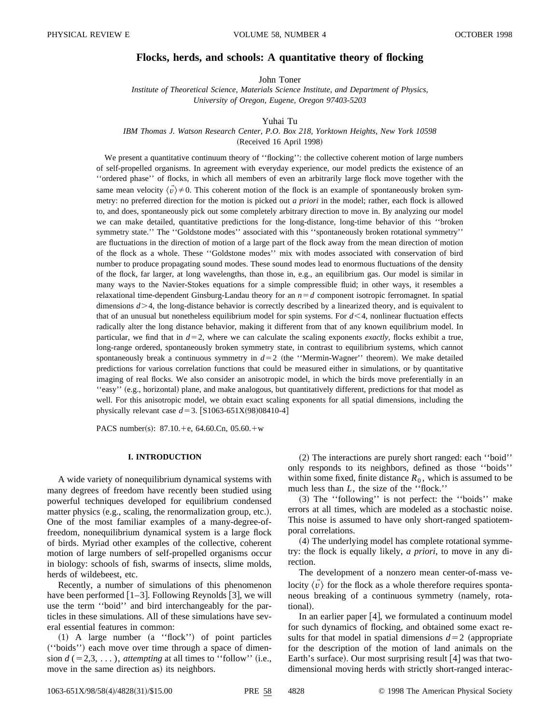# **Flocks, herds, and schools: A quantitative theory of flocking**

John Toner

*Institute of Theoretical Science, Materials Science Institute, and Department of Physics, University of Oregon, Eugene, Oregon 97403-5203*

### Yuhai Tu

*IBM Thomas J. Watson Research Center, P.O. Box 218, Yorktown Heights, New York 10598*

(Received 16 April 1998)

We present a quantitative continuum theory of "flocking": the collective coherent motion of large numbers of self-propelled organisms. In agreement with everyday experience, our model predicts the existence of an ''ordered phase'' of flocks, in which all members of even an arbitrarily large flock move together with the same mean velocity  $\langle v \rangle \neq 0$ . This coherent motion of the flock is an example of spontaneously broken symmetry: no preferred direction for the motion is picked out *a priori* in the model; rather, each flock is allowed to, and does, spontaneously pick out some completely arbitrary direction to move in. By analyzing our model we can make detailed, quantitative predictions for the long-distance, long-time behavior of this ''broken symmetry state.'' The ''Goldstone modes'' associated with this ''spontaneously broken rotational symmetry'' are fluctuations in the direction of motion of a large part of the flock away from the mean direction of motion of the flock as a whole. These ''Goldstone modes'' mix with modes associated with conservation of bird number to produce propagating sound modes. These sound modes lead to enormous fluctuations of the density of the flock, far larger, at long wavelengths, than those in, e.g., an equilibrium gas. Our model is similar in many ways to the Navier-Stokes equations for a simple compressible fluid; in other ways, it resembles a relaxational time-dependent Ginsburg-Landau theory for an  $n=d$  component isotropic ferromagnet. In spatial dimensions  $d > 4$ , the long-distance behavior is correctly described by a linearized theory, and is equivalent to that of an unusual but nonetheless equilibrium model for spin systems. For  $d < 4$ , nonlinear fluctuation effects radically alter the long distance behavior, making it different from that of any known equilibrium model. In particular, we find that in  $d=2$ , where we can calculate the scaling exponents *exactly*, flocks exhibit a true, long-range ordered, spontaneously broken symmetry state, in contrast to equilibrium systems, which cannot spontaneously break a continuous symmetry in  $d=2$  (the "Mermin-Wagner" theorem). We make detailed predictions for various correlation functions that could be measured either in simulations, or by quantitative imaging of real flocks. We also consider an anisotropic model, in which the birds move preferentially in an "easy" (e.g., horizontal) plane, and make analogous, but quantitatively different, predictions for that model as well. For this anisotropic model, we obtain exact scaling exponents for all spatial dimensions, including the physically relevant case  $d=3$ . [S1063-651X(98)08410-4]

PACS number(s):  $87.10.+e$ , 64.60.Cn, 05.60.+w

## **I. INTRODUCTION**

A wide variety of nonequilibrium dynamical systems with many degrees of freedom have recently been studied using powerful techniques developed for equilibrium condensed matter physics (e.g., scaling, the renormalization group, etc.). One of the most familiar examples of a many-degree-offreedom, nonequilibrium dynamical system is a large flock of birds. Myriad other examples of the collective, coherent motion of large numbers of self-propelled organisms occur in biology: schools of fish, swarms of insects, slime molds, herds of wildebeest, etc.

Recently, a number of simulations of this phenomenon have been performed  $\lceil 1-3 \rceil$ . Following Reynolds  $\lceil 3 \rceil$ , we will use the term ''boid'' and bird interchangeably for the particles in these simulations. All of these simulations have several essential features in common:

 $(1)$  A large number  $(a$  "flock" of point particles ~''boids''! each move over time through a space of dimension  $d$  (=2,3, ...), *attempting* at all times to "follow" (i.e., move in the same direction as) its neighbors.

~2! The interactions are purely short ranged: each ''boid'' only responds to its neighbors, defined as those ''boids'' within some fixed, finite distance  $R_0$ , which is assumed to be much less than *L*, the size of the ''flock.''

~3! The ''following'' is not perfect: the ''boids'' make errors at all times, which are modeled as a stochastic noise. This noise is assumed to have only short-ranged spatiotemporal correlations.

(4) The underlying model has complete rotational symmetry: the flock is equally likely, *a priori*, to move in any direction.

The development of a nonzero mean center-of-mass velocity  $\langle v \rangle$  for the flock as a whole therefore requires spontaneous breaking of a continuous symmetry (namely, rotational).

In an earlier paper  $[4]$ , we formulated a continuum model for such dynamics of flocking, and obtained some exact results for that model in spatial dimensions  $d=2$  (appropriate for the description of the motion of land animals on the Earth's surface). Our most surprising result  $[4]$  was that twodimensional moving herds with strictly short-ranged interac-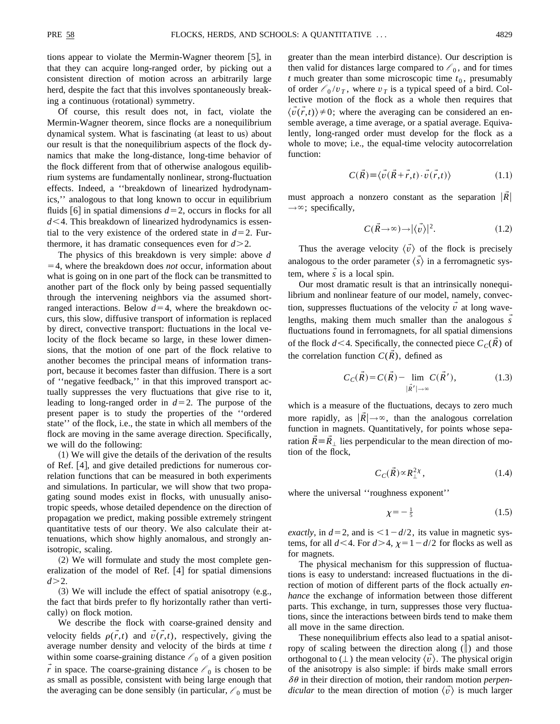tions appear to violate the Mermin-Wagner theorem  $|5|$ , in that they can acquire long-ranged order, by picking out a consistent direction of motion across an arbitrarily large herd, despite the fact that this involves spontaneously breaking a continuous (rotational) symmetry.

Of course, this result does not, in fact, violate the Mermin-Wagner theorem, since flocks are a nonequilibrium dynamical system. What is fascinating (at least to us) about our result is that the nonequilibrium aspects of the flock dynamics that make the long-distance, long-time behavior of the flock different from that of otherwise analogous equilibrium systems are fundamentally nonlinear, strong-fluctuation effects. Indeed, a ''breakdown of linearized hydrodynamics,'' analogous to that long known to occur in equilibrium fluids  $\lceil 6 \rceil$  in spatial dimensions  $d=2$ , occurs in flocks for all  $d$   $\leq$  4. This breakdown of linearized hydrodynamics is essential to the very existence of the ordered state in  $d=2$ . Furthermore, it has dramatic consequences even for  $d > 2$ .

The physics of this breakdown is very simple: above *d* 54, where the breakdown does *not* occur, information about what is going on in one part of the flock can be transmitted to another part of the flock only by being passed sequentially through the intervening neighbors via the assumed shortranged interactions. Below  $d=4$ , where the breakdown occurs, this slow, diffusive transport of information is replaced by direct, convective transport: fluctuations in the local velocity of the flock became so large, in these lower dimensions, that the motion of one part of the flock relative to another becomes the principal means of information transport, because it becomes faster than diffusion. There is a sort of ''negative feedback,'' in that this improved transport actually suppresses the very fluctuations that give rise to it, leading to long-ranged order in  $d=2$ . The purpose of the present paper is to study the properties of the ''ordered state'' of the flock, i.e., the state in which all members of the flock are moving in the same average direction. Specifically, we will do the following:

 $(1)$  We will give the details of the derivation of the results of Ref. [4], and give detailed predictions for numerous correlation functions that can be measured in both experiments and simulations. In particular, we will show that two propagating sound modes exist in flocks, with unusually anisotropic speeds, whose detailed dependence on the direction of propagation we predict, making possible extremely stringent quantitative tests of our theory. We also calculate their attenuations, which show highly anomalous, and strongly anisotropic, scaling.

 $(2)$  We will formulate and study the most complete generalization of the model of Ref.  $[4]$  for spatial dimensions  $d > 2$ .

 $(3)$  We will include the effect of spatial anisotropy (e.g., the fact that birds prefer to fly horizontally rather than vertically) on flock motion.

We describe the flock with coarse-grained density and velocity fields  $\rho(\vec{r},t)$  and  $\vec{v}(\vec{r},t)$ , respectively, giving the average number density and velocity of the birds at time *t* within some coarse-graining distance  $\ell_0$  of a given position  $\vec{r}$  in space. The coarse-graining distance  $\ell_0$  is chosen to be as small as possible, consistent with being large enough that the averaging can be done sensibly (in particular,  $\ell_0$  must be greater than the mean interbird distance). Our description is then valid for distances large compared to  $\ell_0$ , and for times *t* much greater than some microscopic time  $t_0$ , presumably of order  $\ell_0 / v_T$ , where  $v_T$  is a typical speed of a bird. Collective motion of the flock as a whole then requires that  $\langle v(r,t) \rangle \neq 0$ ; where the averaging can be considered an ensemble average, a time average, or a spatial average. Equivalently, long-ranged order must develop for the flock as a whole to move; i.e., the equal-time velocity autocorrelation function:

$$
C(\vec{R}) \equiv \langle \vec{v}(\vec{R} + \vec{r}, t) \cdot \vec{v}(\vec{r}, t) \rangle \tag{1.1}
$$

must approach a nonzero constant as the separation  $|R|$ →∞; specifically,

$$
C(\vec{R}\to\infty)\to|\langle\vec{v}\rangle|^2.\tag{1.2}
$$

Thus the average velocity  $\langle \vec{v} \rangle$  of the flock is precisely analogous to the order parameter  $\langle \vec{s} \rangle$  in a ferromagnetic system, where  $\vec{s}$  is a local spin.

Our most dramatic result is that an intrinsically nonequilibrium and nonlinear feature of our model, namely, convection, suppresses fluctuations of the velocity  $\tilde{v}$  at long wavelengths, making them much smaller than the analogous  $\vec{s}$ fluctuations found in ferromagnets, for all spatial dimensions of the flock  $d < 4$ . Specifically, the connected piece  $C_C(\tilde{R})$  of the correlation function  $C(\vec{R})$ , defined as

$$
C_C(\vec{R}) = C(\vec{R}) - \lim_{\substack{\left|\vec{R}\right| \to \infty}} C(\vec{R}'),\tag{1.3}
$$

which is a measure of the fluctuations, decays to zero much more rapidly, as  $|\tilde{R}| \rightarrow \infty$ , than the analogous correlation function in magnets. Quantitatively, for points whose separation  $\bar{R} \equiv \bar{R}_{\perp}$  lies perpendicular to the mean direction of motion of the flock,

$$
C_C(\vec{R}) \propto R_{\perp}^{2\chi},\tag{1.4}
$$

where the universal "roughness exponent"

$$
\chi = -\frac{1}{5} \tag{1.5}
$$

*exactly*, in  $d=2$ , and is  $\leq 1-d/2$ , its value in magnetic systems, for all  $d < 4$ . For  $d > 4$ ,  $\chi = 1 - d/2$  for flocks as well as for magnets.

The physical mechanism for this suppression of fluctuations is easy to understand: increased fluctuations in the direction of motion of different parts of the flock actually *enhance* the exchange of information between those different parts. This exchange, in turn, suppresses those very fluctuations, since the interactions between birds tend to make them all move in the same direction.

These nonequilibrium effects also lead to a spatial anisotropy of scaling between the direction along  $(\parallel)$  and those orthogonal to  $(\perp)$  the mean velocity  $\langle \vec{v} \rangle$ . The physical origin of the anisotropy is also simple: if birds make small errors  $\delta\theta$  in their direction of motion, their random motion *perpendicular* to the mean direction of motion  $\langle v \rangle$  is much larger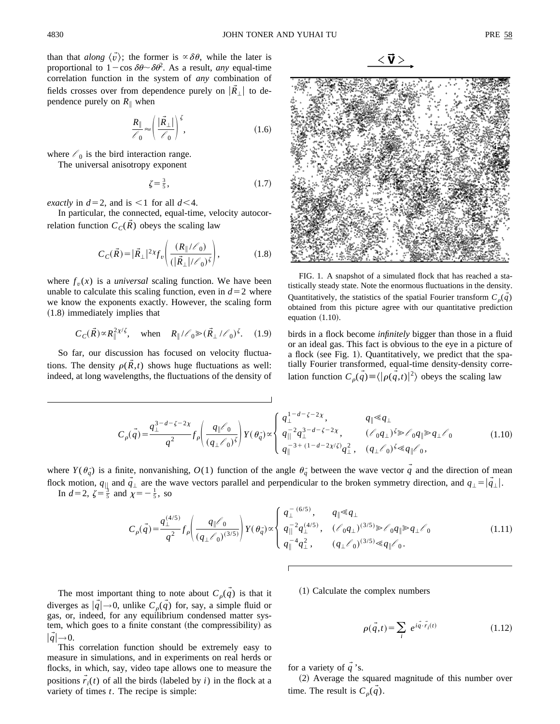than that *along*  $\langle v \rangle$ ; the former is  $\propto \delta \theta$ , while the later is proportional to  $1-\cos\delta\theta \sim \delta\theta^2$ . As a result, *any* equal-time correlation function in the system of *any* combination of fields crosses over from dependence purely on  $|R_1|$  to dependence purely on  $R_{\parallel}$  when

$$
\frac{R_{\parallel}}{\mathcal{E}_0} \approx \left(\frac{|\vec{R}_{\perp}|}{\mathcal{E}_0}\right)^{\zeta},\tag{1.6}
$$

where  $\ell_0$  is the bird interaction range.

The universal anisotropy exponent

$$
\zeta = \frac{3}{5},\tag{1.7}
$$

*exactly* in  $d=2$ , and is <1 for all  $d<4$ .

In particular, the connected, equal-time, velocity autocorrelation function  $C_C(\tilde{R})$  obeys the scaling law

$$
C_C(\vec{R}) = |\vec{R}_{\perp}|^2 X f_v \left( \frac{(R_{\parallel}/\ell_0)}{(|\vec{R}_{\perp}|/\ell_0)^{\zeta}} \right),
$$
 (1.8)

where  $f_{\nu}(x)$  is a *universal* scaling function. We have been unable to calculate this scaling function, even in  $d=2$  where we know the exponents exactly. However, the scaling form  $(1.8)$  immediately implies that

$$
C_C(\vec{R}) \propto R_{\parallel}^{2\chi/\zeta}, \quad \text{when} \quad R_{\parallel}/\ell_0 \gg (\vec{R}_{\perp}/\ell_0)^{\zeta}. \quad (1.9)
$$

So far, our discussion has focused on velocity fluctuations. The density  $\rho(R,t)$  shows huge fluctuations as well: indeed, at long wavelengths, the fluctuations of the density of





FIG. 1. A snapshot of a simulated flock that has reached a statistically steady state. Note the enormous fluctuations in the density. Quantitatively, the statistics of the spatial Fourier transform  $C<sub>o</sub>(q)$ obtained from this picture agree with our quantitative prediction equation  $(1.10)$ .

birds in a flock become *infinitely* bigger than those in a fluid or an ideal gas. This fact is obvious to the eye in a picture of a flock (see Fig. 1). Quantitatively, we predict that the spatially Fourier transformed, equal-time density-density correlation function  $C_{\rho}(\vec{q}) \equiv \langle |\rho(\vec{q},t)|^2 \rangle$  obeys the scaling law

$$
C_{\rho}(\vec{q}) = \frac{q_{\perp}^{3-d-\zeta-2\chi}}{q^2} f_{\rho} \left( \frac{q_{\parallel} \ell_0}{(q_{\perp} \ell_0)^{\zeta}} \right) Y(\theta_{\vec{q}}) \propto \begin{cases} q_{\perp}^{1-d-\zeta-2\chi}, & q_{\parallel} \ll q_{\perp} \\ q_{\parallel}^{-2} q_{\perp}^{3-d-\zeta-2\chi}, & (\ell_0 q_{\perp})^{\zeta} \gg \ell_0 q_{\parallel} \gg q_{\perp} \ell_0 \\ q_{\parallel}^{-3+(1-d-2\chi/\zeta)} q_{\perp}^2, & (q_{\perp} \ell_0)^{\zeta} \ll q_{\parallel} \ell_0, \end{cases}
$$
(1.10)

where  $Y(\theta_q^*)$  is a finite, nonvanishing,  $O(1)$  function of the angle  $\theta_q^*$  between the wave vector  $\vec{q}$  and the direction of mean flock motion,  $q_{\parallel}$  and  $\vec{q}_{\perp}$  are the wave vectors parallel and perpendicular to the broken symmetry direction, and  $q_{\perp} = |\vec{q}_{\perp}|$ . In  $d=2$ ,  $\zeta = \frac{3}{5}$  and  $\chi = -\frac{1}{5}$ , so

$$
C_{\rho}(\vec{q}) = \frac{q_{\perp}^{(4/5)}}{q^2} f_{\rho} \left( \frac{q_{\parallel} \ell_0}{(q_{\perp} \ell_0)^{(3/5)}} \right) Y(\theta_{\vec{q}}) \propto \begin{cases} q_{\perp}^{-(6/5)}, & q_{\parallel} \ll q_{\perp} \\ q_{\parallel}^{-2} q_{\perp}^{(4/5)}, & (\ell_0 q_{\perp})^{(3/5)} \gg \ell_0 q_{\parallel} \gg q_{\perp} \ell_0 \\ q_{\parallel}^{-4} q_{\perp}^2, & (q_{\perp} \ell_0)^{(3/5)} \ll q_{\parallel} \ell_0. \end{cases}
$$
(1.11)

The most important thing to note about  $C_{\rho}(q)$  is that it diverges as  $|\vec{q}| \rightarrow 0$ , unlike  $C_{\rho}(\vec{q})$  for, say, a simple fluid or gas, or, indeed, for any equilibrium condensed matter system, which goes to a finite constant (the compressibility) as  $|q|→0.$ 

This correlation function should be extremely easy to measure in simulations, and in experiments on real herds or flocks, in which, say, video tape allows one to measure the positions  $\vec{r}_i(t)$  of all the birds (labeled by *i*) in the flock at a variety of times *t*. The recipe is simple:

~1! Calculate the complex numbers

$$
\rho(\vec{q},t) = \sum_{i} e^{i\vec{q}\cdot\vec{r}_i(t)} \tag{1.12}
$$

for a variety of  $\tilde{q}$ 's.

(2) Average the squared magnitude of this number over time. The result is  $C_{\rho}(q)$ .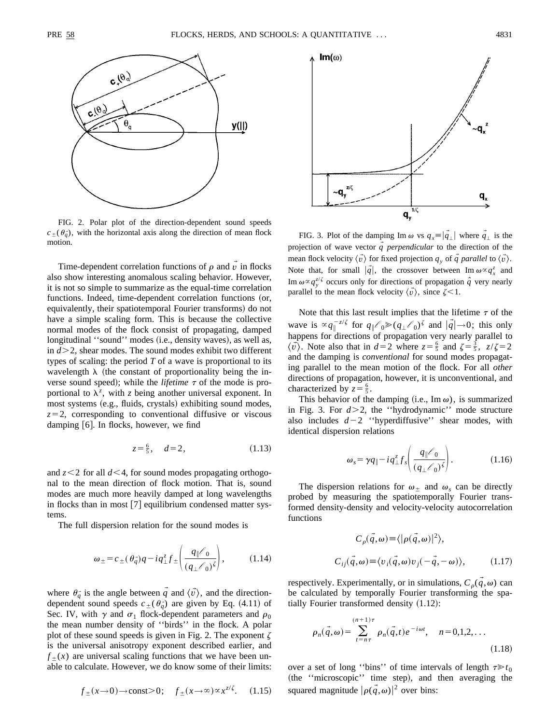

FIG. 2. Polar plot of the direction-dependent sound speeds  $c_{\pm}(\theta_q)$ , with the horizontal axis along the direction of mean flock  $c_{\pm}(\theta_{q}^{2})$ , with the horizontal axis along the direction of mean flock FIG. 3. Plot of the damping Im  $\omega$  vs  $q_{x} \equiv |\dot{q}_{\perp}|$  where  $\dot{q}_{\perp}$  is the motion.

Time-dependent correlation functions of  $\rho$  and  $\bar{v}$  in flocks also show interesting anomalous scaling behavior. However, it is not so simple to summarize as the equal-time correlation functions. Indeed, time-dependent correlation functions (or, equivalently, their spatiotemporal Fourier transforms) do not have a simple scaling form. This is because the collective normal modes of the flock consist of propagating, damped longitudinal "sound" modes (i.e., density waves), as well as, in  $d > 2$ , shear modes. The sound modes exhibit two different types of scaling: the period *T* of a wave is proportional to its wavelength  $\lambda$  (the constant of proportionality being the inverse sound speed); while the *lifetime*  $\tau$  of the mode is proportional to  $\lambda^z$ , with *z* being another universal exponent. In most systems (e.g., fluids, crystals) exhibiting sound modes,  $z=2$ , corresponding to conventional diffusive or viscous damping  $[6]$ . In flocks, however, we find

$$
z = \frac{6}{5}, \quad d = 2,\tag{1.13}
$$

and  $z < 2$  for all  $d < 4$ , for sound modes propagating orthogonal to the mean direction of flock motion. That is, sound modes are much more heavily damped at long wavelengths in flocks than in most  $[7]$  equilibrium condensed matter systems.

The full dispersion relation for the sound modes is

$$
\omega_{\pm} = c_{\pm}(\theta_q^{\dagger})q - iq_{\pm}^z f_{\pm} \left( \frac{q_{\parallel} \ell_0}{(q_{\perp} \ell_0)^{\zeta}} \right), \tag{1.14}
$$

where  $\theta_{\vec{q}}$  is the angle between  $\vec{q}$  and  $\langle \vec{v} \rangle$ , and the directiondependent sound speeds  $c_{\pm}(\theta_q)$  are given by Eq. (4.11) of Sec. IV, with  $\gamma$  and  $\sigma_1$  flock-dependent parameters and  $\rho_0$ the mean number density of ''birds'' in the flock. A polar plot of these sound speeds is given in Fig. 2. The exponent  $\zeta$ is the universal anisotropy exponent described earlier, and  $f_+(x)$  are universal scaling functions that we have been unable to calculate. However, we do know some of their limits:





projection of wave vector  $\vec{q}$  *perpendicular* to the direction of the mean flock velocity  $\langle \vec{v} \rangle$  for fixed projection  $q_y$  of  $\vec{q}$  *parallel* to  $\langle \vec{v} \rangle$ . Note that, for small  $|\vec{q}|$ , the crossover between Im  $\omega \propto q_x^z$  and Im  $\omega \propto q_{y}^{z/\zeta}$  occurs only for directions of propagation  $\hat{q}$  very nearly parallel to the mean flock velocity  $\langle \vec{v} \rangle$ , since  $\zeta$  < 1.

Note that this last result implies that the lifetime  $\tau$  of the wave is  $\alpha q_{\parallel}^{-z/\zeta}$  for  $q_{\parallel} \ell_0 \gg (q_{\perp} \ell_0)^{\zeta}$  and  $|\dot{q}| \rightarrow 0$ ; this only happens for directions of propagation very nearly parallel to  $\langle \vec{v} \rangle$ . Note also that in *d*=2 where  $z = \frac{6}{5}$  and  $\zeta = \frac{3}{5}$ ,  $z/\zeta = 2$ and the damping is *conventional* for sound modes propagating parallel to the mean motion of the flock. For all *other* directions of propagation, however, it is unconventional, and characterized by  $z = \frac{6}{5}$ .

This behavior of the damping (i.e., Im  $\omega$ ), is summarized in Fig. 3. For  $d > 2$ , the "hydrodynamic" mode structure also includes  $d-2$  "hyperdiffusive" shear modes, with identical dispersion relations

$$
\omega_s = \gamma q_{\parallel} - i q_{\perp}^z f_s \left( \frac{q_{\parallel} \ell_0}{(q_{\perp} \ell_0)^{\zeta}} \right). \tag{1.16}
$$

The dispersion relations for  $\omega_{\pm}$  and  $\omega_s$  can be directly probed by measuring the spatiotemporally Fourier transformed density-density and velocity-velocity autocorrelation functions

$$
C_{\rho}(\vec{q}, \omega) \equiv \langle |\rho(\vec{q}, \omega)|^2 \rangle,
$$
  

$$
C_{ij}(\vec{q}, \omega) \equiv \langle v_i(\vec{q}, \omega) v_j(-\vec{q}, -\omega) \rangle,
$$
 (1.17)

respectively. Experimentally, or in simulations,  $C_{\rho}(\vec{q},\omega)$  can be calculated by temporally Fourier transforming the spatially Fourier transformed density  $(1.12)$ :

$$
\rho_n(\vec{q}, \omega) = \sum_{t=n\tau}^{(n+1)\tau} \rho_n(\vec{q}, t) e^{-i\omega t}, \quad n = 0, 1, 2, \dots
$$
\n(1.18)

over a set of long "bins" of time intervals of length  $\tau \gg t_0$ (the "microscopic" time step), and then averaging the squared magnitude  $|\rho(\vec{q},\omega)|^2$  over bins: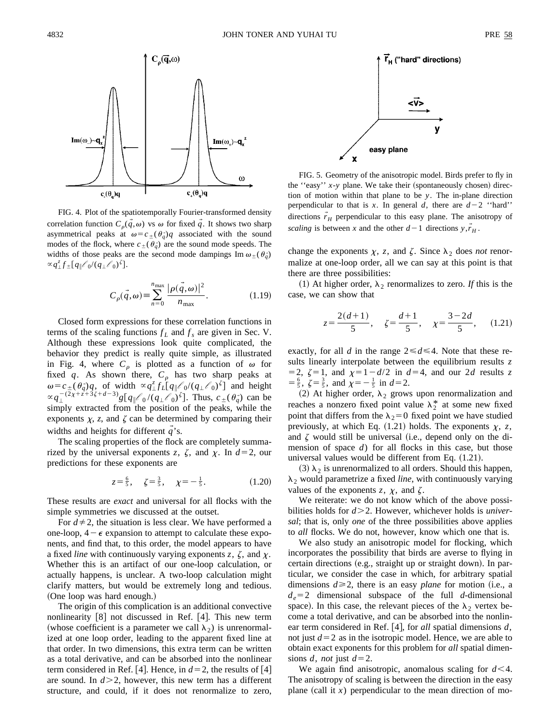

FIG. 4. Plot of the spatiotemporally Fourier-transformed density correlation function  $C_{\rho}(q,\omega)$  vs  $\omega$  for fixed  $\vec{q}$ . It shows two sharp asymmetrical peaks at  $\omega = c_{\pm}(\theta_q)q$  associated with the sound modes of the flock, where  $c_{\pm}(\theta_q^*)$  are the sound mode speeds. The widths of those peaks are the second mode dampings Im  $\omega_{\pm}(\theta_{\vec{q}})$  $\alpha q_\perp^z f_\pm [q_\parallel \ell_0/(q_\perp \ell_0)^\zeta].$ 

$$
C_{\rho}(\vec{q},\omega) \equiv \sum_{n=0}^{n_{\text{max}}} \frac{|\rho(\vec{q},\omega)|^2}{n_{\text{max}}}.
$$
 (1.19)

Closed form expressions for these correlation functions in terms of the scaling functions  $f_L$  and  $f_s$  are given in Sec. V. Although these expressions look quite complicated, the behavior they predict is really quite simple, as illustrated in Fig. 4, where  $C_{\rho}$  is plotted as a function of  $\omega$  for fixed *q*. As shown there,  $C_p$  has two sharp peaks at  $\omega = c_{\pm}(\theta_q^{\dagger})q$ , of width  $\alpha q_{\perp}^z f_L^{\dagger} [q_{\parallel} \ell_0/(q_{\perp} \ell_0)^{\zeta}]$  and height  $\alpha q_{\perp}^{-(2\chi+\bar{z}+3\zeta+d-3)}g[q|\ell_0/(q_{\perp}\ell_0)^{\zeta}].$  Thus,  $c_{\pm}(\theta_q)$  can be simply extracted from the position of the peaks, while the exponents  $\chi$ , *z*, and  $\zeta$  can be determined by comparing their widths and heights for different  $\vec{q}$ 's.

The scaling properties of the flock are completely summarized by the universal exponents *z*,  $\zeta$ , and  $\chi$ . In  $d=2$ , our predictions for these exponents are

$$
z = \frac{6}{5}, \quad \zeta = \frac{3}{5}, \quad \chi = -\frac{1}{5}.
$$
 (1.20)

These results are *exact* and universal for all flocks with the simple symmetries we discussed at the outset.

For  $d \neq 2$ , the situation is less clear. We have performed a one-loop,  $4-\epsilon$  expansion to attempt to calculate these exponents, and find that, to this order, the model appears to have a fixed *line* with continuously varying exponents  $z$ ,  $\zeta$ , and  $\chi$ . Whether this is an artifact of our one-loop calculation, or actually happens, is unclear. A two-loop calculation might clarify matters, but would be extremely long and tedious. (One loop was hard enough.)

The origin of this complication is an additional convective nonlinearity  $[8]$  not discussed in Ref.  $[4]$ . This new term (whose coefficient is a parameter we call  $\lambda_2$ ) is unrenormalized at one loop order, leading to the apparent fixed line at that order. In two dimensions, this extra term can be written as a total derivative, and can be absorbed into the nonlinear term considered in Ref. [4]. Hence, in  $d=2$ , the results of [4] are sound. In  $d > 2$ , however, this new term has a different structure, and could, if it does not renormalize to zero,



FIG. 5. Geometry of the anisotropic model. Birds prefer to fly in the "easy"  $x$ - $y$  plane. We take their (spontaneously chosen) direction of motion within that plane to be *y*. The in-plane direction perpendicular to that is *x*. In general *d*, there are  $d-2$  "hard" directions  $\vec{r}_H$  perpendicular to this easy plane. The anisotropy of scaling is between *x* and the other  $d-1$  directions  $y, \vec{r}_H$ .

change the exponents  $\chi$ , z, and  $\zeta$ . Since  $\lambda_2$  does *not* renormalize at one-loop order, all we can say at this point is that there are three possibilities:

(1) At higher order,  $\lambda_2$  renormalizes to zero. *If* this is the case, we can show that

$$
z = \frac{2(d+1)}{5}
$$
,  $\zeta = \frac{d+1}{5}$ ,  $\chi = \frac{3-2d}{5}$ , (1.21)

exactly, for all *d* in the range  $2 \le d \le 4$ . Note that these results linearly interpolate between the equilibrium results *z*  $=$  2,  $\zeta$ =1, and  $\chi$ =1-*d*/2 in *d*=4, and our 2*d* results *z*  $=$  $\frac{6}{5}$ ,  $\zeta = \frac{3}{5}$ , and  $\chi = -\frac{1}{5}$  in  $d=2$ .

(2) At higher order,  $\lambda_2$  grows upon renormalization and reaches a nonzero fixed point value  $\lambda_2^*$  at some new fixed point that differs from the  $\lambda_2=0$  fixed point we have studied previously, at which Eq.  $(1.21)$  holds. The exponents  $\chi$ , *z*, and  $\zeta$  would still be universal (i.e., depend only on the dimension of space *d*) for all flocks in this case, but those universal values would be different from Eq.  $(1.21)$ .

 $(3)$   $\lambda_2$  is unrenormalized to all orders. Should this happen,  $\lambda_2$  would parametrize a fixed *line*, with continuously varying values of the exponents *z*,  $\chi$ , and  $\zeta$ .

We reiterate: we do not know which of the above possibilities holds for  $d > 2$ . However, whichever holds is *universal*; that is, only *one* of the three possibilities above applies to *all* flocks. We do not, however, know which one that is.

We also study an anisotropic model for flocking, which incorporates the possibility that birds are averse to flying in certain directions (e.g., straight up or straight down). In particular, we consider the case in which, for arbitrary spatial dimensions  $d \ge 2$ , there is an easy *plane* for motion (i.e., a  $d_e=2$  dimensional subspace of the full *d*-dimensional space). In this case, the relevant pieces of the  $\lambda_2$  vertex become a total derivative, and can be absorbed into the nonlinear term considered in Ref.  $[4]$ , for *all* spatial dimensions *d*, not just  $d=2$  as in the isotropic model. Hence, we are able to obtain exact exponents for this problem for *all* spatial dimensions *d*, *not* just  $d=2$ .

We again find anisotropic, anomalous scaling for  $d < 4$ . The anisotropy of scaling is between the direction in the easy plane (call it  $x$ ) perpendicular to the mean direction of mo-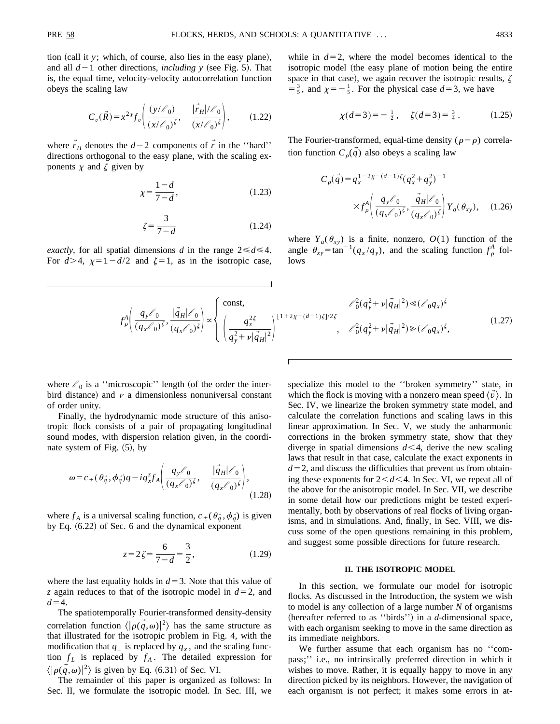tion  $(call it y; which, of course, also lies in the easy plane),$ and all  $d-1$  other directions, *including* y (see Fig. 5). That is, the equal time, velocity-velocity autocorrelation function obeys the scaling law

$$
C_v(\vec{R}) = x^2 X f_v\left(\frac{(y/\ell_0)}{(x/\ell_0)^{\zeta}}, \frac{|\vec{r}_H|/\ell_0}{(x/\ell_0)^{\zeta}}\right), \qquad (1.22)
$$

where  $\vec{r}_H$  denotes the  $d-2$  components of  $\vec{r}$  in the "hard" directions orthogonal to the easy plane, with the scaling exponents  $\chi$  and  $\zeta$  given by

$$
\chi = \frac{1-d}{7-d},\tag{1.23}
$$

$$
\zeta = \frac{3}{7 - d} \tag{1.24}
$$

*exactly*, for all spatial dimensions *d* in the range  $2 \le d \le 4$ . For  $d > 4$ ,  $\chi = 1 - d/2$  and  $\zeta = 1$ , as in the isotropic case, while in  $d=2$ , where the model becomes identical to the isotropic model (the easy plane of motion being the entire space in that case), we again recover the isotropic results,  $\zeta$  $=$   $\frac{3}{5}$ , and  $\chi = -\frac{1}{5}$ . For the physical case  $d=3$ , we have

$$
\chi(d=3) = -\frac{1}{2}, \quad \zeta(d=3) = \frac{3}{4}. \tag{1.25}
$$

The Fourier-transformed, equal-time density ( $\rho - \rho$ ) correlation function  $C_{\rho}(\vec{q})$  also obeys a scaling law

$$
C_{\rho}(\vec{q}) = q_x^{1-2\chi - (d-1)\zeta} (q_x^2 + q_y^2)^{-1}
$$

$$
\times f_{\rho}^A \left( \frac{q_y \ell_0}{(q_x \ell_0)^{\zeta}}, \frac{|\vec{q}_H| \ell_0}{(q_x \ell_0)^{\zeta}} \right) Y_a(\theta_{xy}), \quad (1.26)
$$

where  $Y_a(\theta_{xy})$  is a finite, nonzero,  $O(1)$  function of the angle  $\theta_{xy} = \tan^{-1}(q_x/q_y)$ , and the scaling function  $f^A_\rho$  follows

$$
f_{\rho}^{A} \left( \frac{q_{y} \ell_{0}}{(q_{x} \ell_{0})^{\zeta}}, \frac{|\vec{q}_{H}| \ell_{0}}{(q_{x} \ell_{0})^{\zeta}} \right) \propto \begin{cases} \text{const}, & \ell_{0}^{2} (q_{y}^{2} + \nu |\vec{q}_{H}|^{2}) \ll (\ell_{0} q_{x})^{\zeta} \\ \left( \frac{q_{x}^{2\zeta}}{q_{y}^{2} + \nu |\vec{q}_{H}|^{2}} \right)^{[1 + 2\chi + (d - 1)\zeta]/2\zeta}, & \ell_{0}^{2} (q_{y}^{2} + \nu |\vec{q}_{H}|^{2}) \gg (\ell_{0} q_{x})^{\zeta}, \end{cases}
$$
(1.27)

where  $\ell_0$  is a "microscopic" length (of the order the interbird distance) and  $\nu$  a dimensionless nonuniversal constant of order unity.

Finally, the hydrodynamic mode structure of this anisotropic flock consists of a pair of propagating longitudinal sound modes, with dispersion relation given, in the coordinate system of Fig.  $(5)$ , by

$$
\omega = c_{\pm}(\theta_{q}^{-}, \phi_{q}^{-})q - iq_{x}^{z}f_{A}\left(\frac{q_{y}\ell_{0}}{(q_{x}\ell_{0})^{\zeta}}, \frac{|\vec{q}_{H}|\ell_{0}}{(q_{x}\ell_{0})^{\zeta}}\right), \tag{1.28}
$$

where  $f_A$  is a universal scaling function,  $c_{\pm}(\theta_q^*, \phi_q^*)$  is given by Eq.  $(6.22)$  of Sec. 6 and the dynamical exponent

$$
z = 2\zeta = \frac{6}{7 - d} = \frac{3}{2},\tag{1.29}
$$

where the last equality holds in  $d=3$ . Note that this value of *z* again reduces to that of the isotropic model in  $d=2$ , and  $d=4.$ 

The spatiotemporally Fourier-transformed density-density correlation function  $\langle |\rho(\vec{q},\omega)|^2 \rangle$  has the same structure as that illustrated for the isotropic problem in Fig. 4, with the modification that  $q_{\perp}$  is replaced by  $q_x$ , and the scaling function  $f_L$  is replaced by  $f_A$ . The detailed expression for  $\langle |\rho(\vec{q},\omega)|^2 \rangle$  is given by Eq. (6.31) of Sec. VI.

The remainder of this paper is organized as follows: In Sec. II, we formulate the isotropic model. In Sec. III, we specialize this model to the ''broken symmetry'' state, in which the flock is moving with a nonzero mean speed  $\langle v \rangle$ . In Sec. IV, we linearize the broken symmetry state model, and calculate the correlation functions and scaling laws in this linear approximation. In Sec. V, we study the anharmonic corrections in the broken symmetry state, show that they diverge in spatial dimensions  $d < 4$ , derive the new scaling laws that result in that case, calculate the exact exponents in  $d=2$ , and discuss the difficulties that prevent us from obtaining these exponents for  $2 < d < 4$ . In Sec. VI, we repeat all of the above for the anisotropic model. In Sec. VII, we describe in some detail how our predictions might be tested experimentally, both by observations of real flocks of living organisms, and in simulations. And, finally, in Sec. VIII, we discuss some of the open questions remaining in this problem, and suggest some possible directions for future research.

#### **II. THE ISOTROPIC MODEL**

In this section, we formulate our model for isotropic flocks. As discussed in the Introduction, the system we wish to model is any collection of a large number *N* of organisms (hereafter referred to as "birds") in a *d*-dimensional space, with each organism seeking to move in the same direction as its immediate neighbors.

We further assume that each organism has no ''compass;'' i.e., no intrinsically preferred direction in which it wishes to move. Rather, it is equally happy to move in any direction picked by its neighbors. However, the navigation of each organism is not perfect; it makes some errors in at-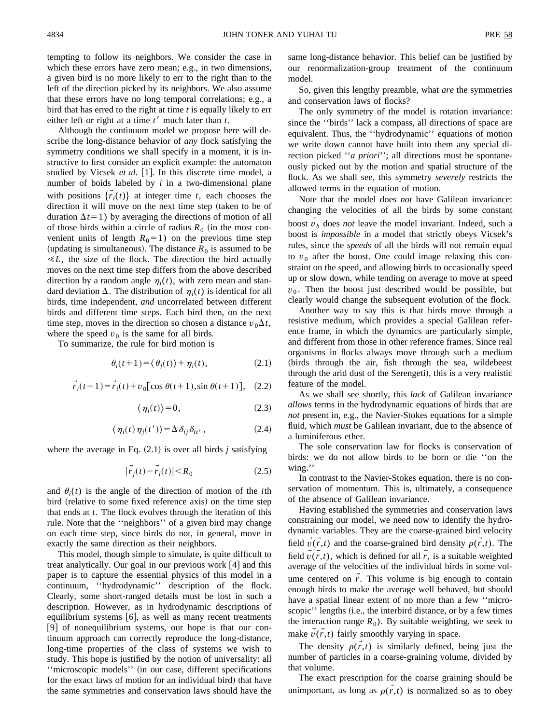Although the continuum model we propose here will describe the long-distance behavior of *any* flock satisfying the symmetry conditions we shall specify in a moment, it is instructive to first consider an explicit example: the automaton studied by Vicsek *et al.* [1]. In this discrete time model, a number of boids labeled by *i* in a two-dimensional plane with positions  $\{\vec{r}_i(t)\}\$ at integer time *t*, each chooses the direction it will move on the next time step (taken to be of duration  $\Delta t$ <sup>=</sup>1) by averaging the directions of motion of all of those birds within a circle of radius  $R_0$  (in the most convenient units of length  $R_0=1$ ) on the previous time step (updating is simultaneous). The distance  $R_0$  is assumed to be  $\ll L$ , the size of the flock. The direction the bird actually moves on the next time step differs from the above described direction by a random angle  $\eta_i(t)$ , with zero mean and standard deviation  $\Delta$ . The distribution of  $\eta_i(t)$  is identical for all birds, time independent, *and* uncorrelated between different birds and different time steps. Each bird then, on the next time step, moves in the direction so chosen a distance  $v_0\Delta t$ , where the speed  $v_0$  is the same for all birds.

To summarize, the rule for bird motion is

$$
\theta_i(t+1) = \langle \theta_j(t) \rangle + \eta_i(t), \tag{2.1}
$$

$$
\vec{r}_i(t+1) = \vec{r}_i(t) + v_0[\cos\theta(t+1), \sin\theta(t+1)], \quad (2.2)
$$

$$
\langle \eta_i(t) \rangle = 0, \tag{2.3}
$$

$$
\langle \eta_i(t) \eta_j(t') \rangle = \Delta \delta_{ij} \delta_{tt'}, \qquad (2.4)
$$

where the average in Eq.  $(2.1)$  is over all birds *j* satisfying

$$
|\vec{r}_j(t) - \vec{r}_i(t)| < R_0 \tag{2.5}
$$

and  $\theta_i(t)$  is the angle of the direction of motion of the *i*th bird (relative to some fixed reference axis) on the time step that ends at *t*. The flock evolves through the iteration of this rule. Note that the ''neighbors'' of a given bird may change on each time step, since birds do not, in general, move in exactly the same direction as their neighbors.

This model, though simple to simulate, is quite difficult to treat analytically. Our goal in our previous work  $\lceil 4 \rceil$  and this paper is to capture the essential physics of this model in a continuum, ''hydrodynamic'' description of the flock. Clearly, some short-ranged details must be lost in such a description. However, as in hydrodynamic descriptions of equilibrium systems  $[6]$ , as well as many recent treatments [9] of nonequilibrium systems, our hope is that our continuum approach can correctly reproduce the long-distance, long-time properties of the class of systems we wish to study. This hope is justified by the notion of universality: all ''microscopic models'' (in our case, different specifications for the exact laws of motion for an individual bird) that have the same symmetries and conservation laws should have the same long-distance behavior. This belief can be justified by our renormalization-group treatment of the continuum model.

So, given this lengthy preamble, what *are* the symmetries and conservation laws of flocks?

The only symmetry of the model is rotation invariance: since the ''birds'' lack a compass, all directions of space are equivalent. Thus, the ''hydrodynamic'' equations of motion we write down cannot have built into them any special direction picked ''*a priori*''; all directions must be spontaneously picked out by the motion and spatial structure of the flock. As we shall see, this symmetry *severely* restricts the allowed terms in the equation of motion.

Note that the model does *not* have Galilean invariance: changing the velocities of all the birds by some constant boost  $\overline{v}_h$  does *not* leave the model invariant. Indeed, such a boost is *impossible* in a model that strictly obeys Vicsek's rules, since the *speeds* of all the birds will not remain equal to  $v_0$  after the boost. One could image relaxing this constraint on the speed, and allowing birds to occasionally speed up or slow down, while tending on average to move at speed  $v_0$ . Then the boost just described would be possible, but clearly would change the subsequent evolution of the flock.

Another way to say this is that birds move through a resistive medium, which provides a special Galilean reference frame, in which the dynamics are particularly simple, and different from those in other reference frames. Since real organisms in flocks always move through such a medium (birds through the air, fish through the sea, wildebeest through the arid dust of the Serengeti), this is a very realistic feature of the model.

As we shall see shortly, this *lack* of Galilean invariance *allows* terms in the hydrodynamic equations of birds that are *not* present in, e.g., the Navier-Stokes equations for a simple fluid, which *must* be Galilean invariant, due to the absence of a luminiferous ether.

The sole conservation law for flocks is conservation of birds: we do not allow birds to be born or die ''on the wing.''

In contrast to the Navier-Stokes equation, there is no conservation of momentum. This is, ultimately, a consequence of the absence of Galilean invariance.

Having established the symmetries and conservation laws constraining our model, we need now to identify the hydrodynamic variables. They are the coarse-grained bird velocity field  $\vec{v}(\vec{r},t)$  and the coarse-grained bird density  $\rho(\vec{r},t)$ . The field  $\vec{v}(\vec{r},t)$ , which is defined for all  $\vec{r}$ , is a suitable weighted average of the velocities of the individual birds in some volume centered on  $\vec{r}$ . This volume is big enough to contain enough birds to make the average well behaved, but should have a spatial linear extent of no more than a few ''microscopic'' lengths (i.e., the interbird distance, or by a few times the interaction range  $R_0$ ). By suitable weighting, we seek to make  $\vec{v}(\vec{r},t)$  fairly smoothly varying in space.

The density  $\rho(\vec{r},t)$  is similarly defined, being just the number of particles in a coarse-graining volume, divided by that volume.

The exact prescription for the coarse graining should be unimportant, as long as  $\rho(\vec{r},t)$  is normalized so as to obey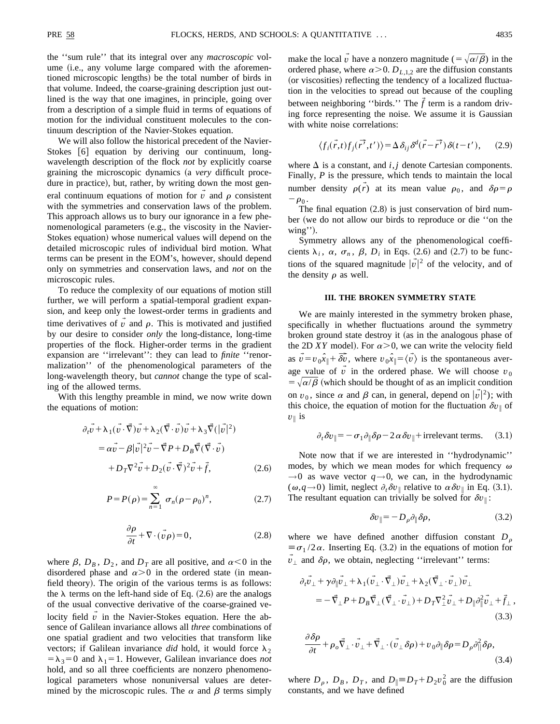the ''sum rule'' that its integral over any *macroscopic* volume  $(i.e., any volume large compared with the aforementioned$ tioned microscopic lengths) be the total number of birds in that volume. Indeed, the coarse-graining description just outlined is the way that one imagines, in principle, going over from a description of a simple fluid in terms of equations of motion for the individual constituent molecules to the continuum description of the Navier-Stokes equation.

We will also follow the historical precedent of the Navier-Stokes [6] equation by deriving our continuum, longwavelength description of the flock *not* by explicitly coarse graining the microscopic dynamics (a *very* difficult procedure in practice), but, rather, by writing down the most general continuum equations of motion for  $\nu$  and  $\rho$  consistent with the symmetries and conservation laws of the problem. This approach allows us to bury our ignorance in a few phenomenological parameters (e.g., the viscosity in the Navier-Stokes equation) whose numerical values will depend on the detailed microscopic rules of individual bird motion. What terms can be present in the EOM's, however, should depend only on symmetries and conservation laws, and *not* on the microscopic rules.

To reduce the complexity of our equations of motion still further, we will perform a spatial-temporal gradient expansion, and keep only the lowest-order terms in gradients and time derivatives of  $\overline{v}$  and  $\rho$ . This is motivated and justified by our desire to consider *only* the long-distance, long-time properties of the flock. Higher-order terms in the gradient expansion are ''irrelevant'': they can lead to *finite* ''renormalization'' of the phenomenological parameters of the long-wavelength theory, but *cannot* change the type of scaling of the allowed terms.

With this lengthy preamble in mind, we now write down the equations of motion:

$$
\partial_t \vec{v} + \lambda_1 (\vec{v} \cdot \vec{\nabla}) \vec{v} + \lambda_2 (\vec{\nabla} \cdot \vec{v}) \vec{v} + \lambda_3 \vec{\nabla} (|\vec{v}|^2)
$$
  
=  $\alpha \vec{v} - \beta |\vec{v}|^2 \vec{v} - \vec{\nabla} P + D_B \vec{\nabla} (\vec{\nabla} \cdot \vec{v})$   
+  $D_T \nabla^2 \vec{v} + D_2 (\vec{v} \cdot \vec{\nabla})^2 \vec{v} + \vec{f},$  (2.6)

$$
P = P(\rho) = \sum_{n=1}^{\infty} \sigma_n (\rho - \rho_0)^n, \qquad (2.7)
$$

$$
\frac{\partial \rho}{\partial t} + \nabla \cdot (\vec{v} \rho) = 0, \qquad (2.8)
$$

where  $\beta$ ,  $D_B$ ,  $D_2$ , and  $D_T$  are all positive, and  $\alpha < 0$  in the disordered phase and  $\alpha$  > 0 in the ordered state (in meanfield theory). The origin of the various terms is as follows: the  $\lambda$  terms on the left-hand side of Eq. (2.6) are the analogs of the usual convective derivative of the coarse-grained velocity field  $\overline{v}$  in the Navier-Stokes equation. Here the absence of Galilean invariance allows all *three* combinations of one spatial gradient and two velocities that transform like vectors; if Galilean invariance *did* hold, it would force  $\lambda_2$  $= \lambda_3 = 0$  and  $\lambda_1 = 1$ . However, Galilean invariance does *not* hold, and so all three coefficients are nonzero phenomenological parameters whose nonuniversal values are determined by the microscopic rules. The  $\alpha$  and  $\beta$  terms simply make the local  $\vec{v}$  have a nonzero magnitude ( $=\sqrt{\alpha/\beta}$ ) in the ordered phase, where  $\alpha > 0$ .  $D_{L,1,2}$  are the diffusion constants (or viscosities) reflecting the tendency of a localized fluctuation in the velocities to spread out because of the coupling between neighboring "birds." The  $\vec{f}$  term is a random driving force representing the noise. We assume it is Gaussian with white noise correlations:

$$
\langle f_i(\vec{r},t) f_j(\vec{r'},t') \rangle = \Delta \delta_{ij} \delta^d(\vec{r}-\vec{r'}) \delta(t-t'), \quad (2.9)
$$

where  $\Delta$  is a constant, and *i*, *j* denote Cartesian components. Finally, *P* is the pressure, which tends to maintain the local number density  $\rho(r)$  at its mean value  $\rho_0$ , and  $\delta \rho = \rho$  $-\rho_0$ .

The final equation  $(2.8)$  is just conservation of bird number (we do not allow our birds to reproduce or die "on the  $wing$ ").

Symmetry allows any of the phenomenological coefficients  $\lambda_i$ ,  $\alpha$ ,  $\sigma_n$ ,  $\beta$ ,  $D_i$  in Eqs. (2.6) and (2.7) to be functions of the squared magnitude  $|\vec{v}|^2$  of the velocity, and of the density  $\rho$  as well.

### **III. THE BROKEN SYMMETRY STATE**

We are mainly interested in the symmetry broken phase, specifically in whether fluctuations around the symmetry broken ground state destroy it (as in the analogous phase of the 2D *XY* model). For  $\alpha > 0$ , we can write the velocity field as  $\vec{v} = v_0 \hat{x}_{\parallel} + \overline{\delta v}$ , where  $v_0 \hat{x}_{\parallel} = \langle \vec{v} \rangle$  is the spontaneous average value of  $\overline{v}$  in the ordered phase. We will choose  $v_0$  $=\sqrt{\alpha/\beta}$  (which should be thought of as an implicit condition on  $v_0$ , since  $\alpha$  and  $\beta$  can, in general, depend on  $|\vec{v}|^2$ ); with this choice, the equation of motion for the fluctuation  $\delta v_{\parallel}$  of  $v_{\parallel}$  is

$$
\partial_t \delta v_{\parallel} = -\sigma_1 \partial_{\parallel} \delta \rho - 2\alpha \delta v_{\parallel} + \text{irrelevant terms.} \quad (3.1)
$$

Note now that if we are interested in ''hydrodynamic'' modes, by which we mean modes for which frequency  $\omega$ *→*0 as wave vector *q→*0, we can, in the hydrodynamic  $(\omega, q \rightarrow 0)$  limit, neglect  $\partial_t \delta v_{\parallel}$  relative to  $\alpha \delta v_{\parallel}$  in Eq. (3.1). The resultant equation can trivially be solved for  $\delta v_{\parallel}$ :

$$
\delta v_{\parallel} = -D_{\rho} \partial_{\parallel} \delta \rho, \qquad (3.2)
$$

where we have defined another diffusion constant  $D_{\rho}$  $\equiv \sigma_1 / 2 \alpha$ . Inserting Eq. (3.2) in the equations of motion for  $v_{\perp}$  and  $\delta \rho$ , we obtain, neglecting "irrelevant" terms:

$$
\partial_t \vec{v}_{\perp} + \gamma \partial_{\parallel} \vec{v}_{\perp} + \lambda_1 (\vec{v}_{\perp} \cdot \vec{\nabla}_{\perp}) \vec{v}_{\perp} + \lambda_2 (\vec{\nabla}_{\perp} \cdot \vec{v}_{\perp}) \vec{v}_{\perp}
$$
  
= 
$$
- \vec{\nabla}_{\perp} P + D_B \vec{\nabla}_{\perp} (\vec{\nabla}_{\perp} \cdot \vec{v}_{\perp}) + D_T \nabla_{\perp}^2 \vec{v}_{\perp} + D_{\parallel} \partial_{\parallel}^2 \vec{v}_{\perp} + \vec{f}_{\perp} ,
$$
(3.3)

$$
\frac{\partial \delta \rho}{\partial t} + \rho_o \vec{\nabla}_{\perp} \cdot \vec{v}_{\perp} + \vec{\nabla}_{\perp} \cdot (\vec{v}_{\perp} \delta \rho) + v_0 \partial_{\parallel} \delta \rho = D_\rho \partial_{\parallel}^2 \delta \rho, \tag{3.4}
$$

where  $D_{\rho}$ ,  $D_{B}$ ,  $D_{T}$ , and  $D_{\parallel} \equiv D_{T} + D_{2}v_{0}^{2}$  are the diffusion constants, and we have defined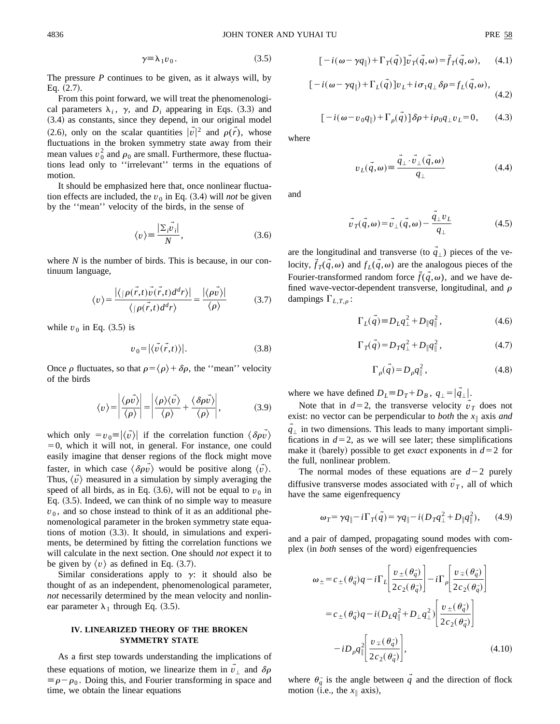$$
\gamma \equiv \lambda_1 v_0. \tag{3.5}
$$

The pressure *P* continues to be given, as it always will, by Eq.  $(2.7)$ .

From this point forward, we will treat the phenomenological parameters  $\lambda_i$ ,  $\gamma$ , and  $D_i$  appearing in Eqs. (3.3) and  $(3.4)$  as constants, since they depend, in our original model  $(2.6)$ , only on the scalar quantities  $|\vec{v}|^2$  and  $\rho(\vec{r})$ , whose fluctuations in the broken symmetry state away from their mean values  $v_0^2$  and  $\rho_0$  are small. Furthermore, these fluctuations lead only to ''irrelevant'' terms in the equations of motion.

It should be emphasized here that, once nonlinear fluctuation effects are included, the  $v_0$  in Eq.  $(3.4)$  will *not* be given by the ''mean'' velocity of the birds, in the sense of

$$
\langle v \rangle \equiv \frac{|\Sigma_i \vec{v}_i|}{N},\tag{3.6}
$$

where *N* is the number of birds. This is because, in our continuum language,

$$
\langle v \rangle = \frac{|\langle \rho(\vec{r},t)\vec{v}(\vec{r},t)d^d r \rangle|}{\langle \rho(\vec{r},t)d^d r \rangle} = \frac{|\langle \rho \vec{v} \rangle|}{\langle \rho \rangle} \tag{3.7}
$$

while  $v_0$  in Eq.  $(3.5)$  is

$$
v_0 = |\langle \vec{v}(\vec{r},t) \rangle|.
$$
 (3.8)

Once  $\rho$  fluctuates, so that  $\rho = \langle \rho \rangle + \delta \rho$ , the ''mean'' velocity of the birds

$$
\langle v \rangle = \left| \frac{\langle \rho \vec{v} \rangle}{\langle \rho \rangle} \right| = \left| \frac{\langle \rho \rangle \langle \vec{v} \rangle}{\langle \rho \rangle} + \frac{\langle \delta \rho \vec{v} \rangle}{\langle \rho \rangle} \right|, \tag{3.9}
$$

which only  $=v_0=|\langle \vec{v} \rangle|$  if the correlation function  $\langle \delta \rho \vec{v} \rangle$  $=0$ , which it will not, in general. For instance, one could easily imagine that denser regions of the flock might move faster, in which case  $\langle \delta \rho \tilde{v} \rangle$  would be positive along  $\langle \tilde{v} \rangle$ . Thus,  $\langle v \rangle$  measured in a simulation by simply averaging the speed of all birds, as in Eq.  $(3.6)$ , will not be equal to  $v_0$  in Eq.  $(3.5)$ . Indeed, we can think of no simple way to measure  $v<sub>0</sub>$ , and so chose instead to think of it as an additional phenomenological parameter in the broken symmetry state equations of motion  $(3.3)$ . It should, in simulations and experiments, be determined by fitting the correlation functions we will calculate in the next section. One should *not* expect it to be given by  $\langle v \rangle$  as defined in Eq.  $(3.7)$ .

Similar considerations apply to  $\gamma$ : it should also be thought of as an independent, phenomenological parameter, *not* necessarily determined by the mean velocity and nonlinear parameter  $\lambda_1$  through Eq. (3.5).

# **IV. LINEARIZED THEORY OF THE BROKEN SYMMETRY STATE**

As a first step towards understanding the implications of these equations of motion, we linearize them in  $v_{\perp}$  and  $\delta \rho$  $\equiv \rho - \rho_0$ . Doing this, and Fourier transforming in space and time, we obtain the linear equations

$$
[-i(\omega - \gamma q_{\parallel}) + \Gamma_T(\vec{q})]\vec{v}_T(\vec{q}, \omega) = \vec{f}_T(\vec{q}, \omega), \qquad (4.1)
$$

$$
[-i(\omega - \gamma q_{\parallel}) + \Gamma_L(\vec{q})]v_L + i\sigma_1 q_{\perp} \delta \rho = f_L(\vec{q}, \omega),
$$
\n(4.2)

$$
\left[-i(\omega - v_0 q_{\parallel}) + \Gamma_{\rho}(\vec{q})\right]\delta\rho + i\rho_0 q_{\perp} v_L = 0,\qquad(4.3)
$$

where

$$
v_L(\vec{q}, \omega) \equiv \frac{\vec{q}_\perp \cdot \vec{v}_\perp(\vec{q}, \omega)}{q_\perp} \tag{4.4}
$$

and

$$
\vec{v}_T(\vec{q},\omega) = \vec{v}_\perp(\vec{q},\omega) - \frac{\vec{q}_\perp v_L}{q_\perp} \tag{4.5}
$$

are the longitudinal and transverse (to  $q_{\perp}$ ) pieces of the velocity,  $\vec{f}_T(\vec{q},\omega)$  and  $f_L(\vec{q},\omega)$  are the analogous pieces of the  $\rightarrow$ Fourier-transformed random force  $\vec{f}(\vec{q},\omega)$ , and we have defined wave-vector-dependent transverse, longitudinal, and  $\rho$ dampings  $\Gamma_{L,T,\rho}$ :

$$
\Gamma_L(\vec{q}) \equiv D_L q_\perp^2 + D_{\parallel} q_{\parallel}^2, \qquad (4.6)
$$

$$
\Gamma_T(\vec{q}) = D_T q_\perp^2 + D_{\parallel} q_{\parallel}^2, \qquad (4.7)
$$

$$
\Gamma_{\rho}(\vec{q}) = D_{\rho}q_{\parallel}^2, \qquad (4.8)
$$

where we have defined  $D_L \equiv D_T + D_B$ ,  $q_{\perp} = |\vec{q}_{\perp}|$ .

Note that in  $d=2$ , the transverse velocity  $v_T$  does not exist: no vector can be perpendicular to *both* the  $x_{\parallel}$  axis *and*  $q_{\perp}$  in two dimensions. This leads to many important simplifications in  $d=2$ , as we will see later; these simplifications make it (barely) possible to get *exact* exponents in  $d=2$  for the full, nonlinear problem.

The normal modes of these equations are  $d-2$  purely diffusive transverse modes associated with  $v_T$ , all of which have the same eigenfrequency

$$
\omega_T = \gamma q_{\parallel} - i \Gamma_T(\vec{q}) = \gamma q_{\parallel} - i (D_T q_{\perp}^2 + D_{\parallel} q_{\parallel}^2), \qquad (4.9)
$$

and a pair of damped, propagating sound modes with complex (in *both* senses of the word) eigenfrequencies

$$
\omega_{\pm} = c_{\pm}(\theta_{\tilde{q}})q - i\Gamma_{L} \left[ \frac{v_{\pm}(\theta_{\tilde{q}})}{2c_{2}(\theta_{\tilde{q}})} \right] - i\Gamma_{\rho} \left[ \frac{v_{\mp}(\theta_{\tilde{q}})}{2c_{2}(\theta_{\tilde{q}})} \right]
$$

$$
= c_{\pm}(\theta_{\tilde{q}})q - i(D_{L}q_{\parallel}^{2} + D_{\perp}q_{\perp}^{2}) \left[ \frac{v_{\pm}(\theta_{\tilde{q}})}{2c_{2}(\theta_{\tilde{q}})} \right]
$$

$$
-iD_{\rho}q_{\parallel}^{2} \left[ \frac{v_{\mp}(\theta_{\tilde{q}})}{2c_{2}(\theta_{\tilde{q}})} \right],
$$
(4.10)

where  $\theta_q^*$  is the angle between  $\vec{q}$  and the direction of flock motion (i.e., the  $x_{\parallel}$  axis),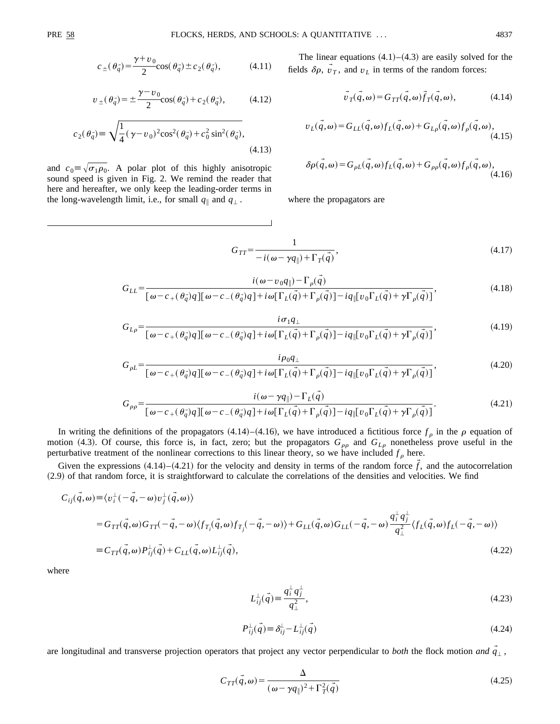$$
v_{\pm}(\theta_{\vec{q}}) = \pm \frac{\gamma - v_0}{2} \cos(\theta_{\vec{q}}) + c_2(\theta_{\vec{q}}), \quad (4.12)
$$

$$
c_2(\theta_{\vec{q}}) \equiv \sqrt{\frac{1}{4}(\gamma - v_0)^2 \cos^2(\theta_{\vec{q}}) + c_0^2 \sin^2(\theta_{\vec{q}})},
$$
\n(4.13)

and  $c_0 \equiv \sqrt{\sigma_1 \rho_0}$ . A polar plot of this highly anisotropic sound speed is given in Fig. 2. We remind the reader that here and hereafter, we only keep the leading-order terms in the long-wavelength limit, i.e., for small  $q_{\parallel}$  and  $q_{\perp}$ .

The linear equations  $(4.1)$ – $(4.3)$  are easily solved for the fields  $\delta \rho$ ,  $\vec{v}_T$ , and  $v_L$  in terms of the random forces:

$$
\vec{v}_T(\vec{q}, \omega) = G_{TT}(\vec{q}, \omega) \vec{f}_T(\vec{q}, \omega), \qquad (4.14)
$$

$$
v_L(\vec{q}, \omega) = G_{LL}(\vec{q}, \omega) f_L(\vec{q}, \omega) + G_{L\rho}(\vec{q}, \omega) f_\rho(\vec{q}, \omega),
$$
\n(4.15)

$$
\delta \rho(\vec{q}, \omega) = G_{\rho L}(\vec{q}, \omega) f_L(\vec{q}, \omega) + G_{\rho \rho}(\vec{q}, \omega) f_{\rho}(\vec{q}, \omega),
$$
\n(4.16)

where the propagators are

$$
G_{TT} = \frac{1}{-i(\omega - \gamma q_{\parallel}) + \Gamma_T(\vec{q})},\tag{4.17}
$$

$$
G_{LL} = \frac{i(\omega - v_0 q_{\parallel}) - \Gamma_{\rho}(\vec{q})}{[\omega - c_{+}(\theta_{\vec{q}})q][\omega - c_{-}(\theta_{\vec{q}})q] + i\omega[\Gamma_{L}(\vec{q}) + \Gamma_{\rho}(\vec{q})] - iq_{\parallel}[v_0 \Gamma_{L}(\vec{q}) + \gamma \Gamma_{\rho}(\vec{q})]},
$$
\n(4.18)

$$
G_{L\rho} = \frac{i\sigma_1 q_\perp}{\left[\omega - c_+(\theta_q^{\dagger})q\right] \left[\omega - c_-(\theta_q^{\dagger})q\right] + i\omega \left[\Gamma_L(\vec{q}) + \Gamma_\rho(\vec{q})\right] - iq_\parallel[v_0\Gamma_L(\vec{q}) + \gamma \Gamma_\rho(\vec{q})]} ,\tag{4.19}
$$

$$
G_{\rho L} = \frac{i\rho_0 q_\perp}{\left[\omega - c_+(\theta_q^{\dagger})q\right]\left[\omega - c_-(\theta_q^{\dagger})q\right] + i\omega\left[\Gamma_L(\vec{q}) + \Gamma_\rho(\vec{q})\right] - iq_\parallel[v_0\Gamma_L(\vec{q}) + \gamma\Gamma_\rho(\vec{q})]}
$$
\n(4.20)

$$
G_{\rho\rho} = \frac{i(\omega - \gamma q_{\parallel}) - \Gamma_L(\vec{q})}{[\omega - c_{+}(\theta_{\vec{q}})q][\omega - c_{-}(\theta_{\vec{q}})q] + i\omega[\Gamma_L(\vec{q}) + \Gamma_{\rho}(\vec{q})] - iq_{\parallel}[v_0\Gamma_L(\vec{q}) + \gamma\Gamma_{\rho}(\vec{q})]}.
$$
(4.21)

In writing the definitions of the propagators  $(4.14)$ – $(4.16)$ , we have introduced a fictitious force  $f_{\rho}$  in the  $\rho$  equation of motion (4.3). Of course, this force is, in fact, zero; but the propagators  $G_{\rho\rho}$  and  $G_{L\rho}$  nonetheless prove useful in the perturbative treatment of the nonlinear corrections to this linear theory, so we have included  $f_{\rho}$  here.

Given the expressions  $(4.14)$ – $(4.21)$  for the velocity and density in terms of the random force  $\vec{f}$ , and the autocorrelation  $(2.9)$  of that random force, it is straightforward to calculate the correlations of the densities and velocities. We find

$$
C_{ij}(\vec{q},\omega) \equiv \langle v_i^{\perp}(-\vec{q},-\omega)v_j^{\perp}(\vec{q},\omega) \rangle
$$
  
\n
$$
= G_{TT}(\vec{q},\omega)G_{TT}(-\vec{q},-\omega)\langle f_{T_i}(\vec{q},\omega)f_{T_j}(-\vec{q},-\omega)\rangle + G_{LL}(\vec{q},\omega)G_{LL}(-\vec{q},-\omega)\frac{q_i^{\perp}q_j^{\perp}}{q_\perp^2}\langle f_L(\vec{q},\omega)f_L(-\vec{q},-\omega)\rangle
$$
  
\n
$$
\equiv C_{TT}(\vec{q},\omega)P_{ij}^{\perp}(\vec{q}) + C_{LL}(\vec{q},\omega)L_{ij}^{\perp}(\vec{q}),
$$
\n(4.22)

where

$$
L_{ij}^{\perp}(\vec{q}) \equiv \frac{q_i^{\perp} q_j^{\perp}}{q_{\perp}^2},\tag{4.23}
$$

$$
P_{ij}^{\perp}(\vec{q}) \equiv \delta_{ij}^{\perp} - L_{ij}^{\perp}(\vec{q}) \tag{4.24}
$$

are longitudinal and transverse projection operators that project any vector perpendicular to *both* the flock motion *and*  $\tilde{q}_\perp$ ,

$$
C_{TT}(\vec{q},\omega) = \frac{\Delta}{(\omega - \gamma q_{\parallel})^2 + \Gamma_T^2(\vec{q})}
$$
\n(4.25)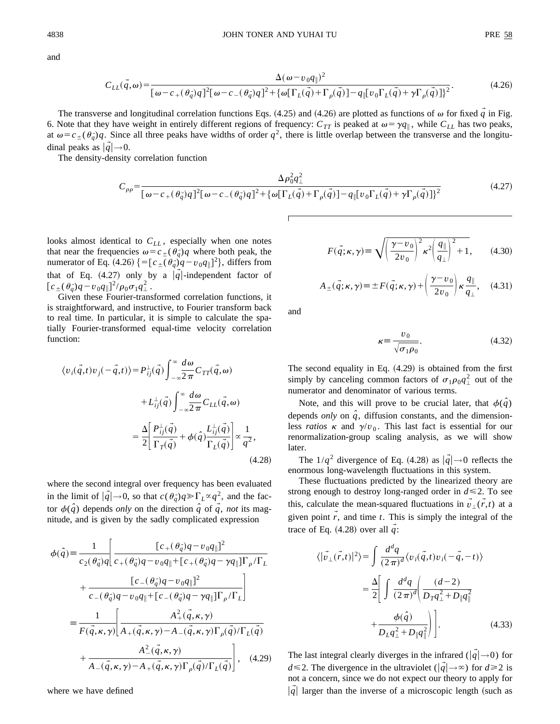and

$$
C_{LL}(\vec{q},\omega) = \frac{\Delta(\omega - v_0 q_{\parallel})^2}{\left[\omega - c_{+}(\theta_q^{\dagger})q\right]^2 \left[\omega - c_{-}(\theta_q^{\dagger})q\right]^2 + \{\omega \left[\Gamma_L(\vec{q}) + \Gamma_{\rho}(\vec{q})\right] - q_{\parallel} \left[v_0 \Gamma_L(\vec{q}) + \gamma \Gamma_{\rho}(\vec{q})\right]\right\}^2}.
$$
(4.26)

The transverse and longitudinal correlation functions Eqs.  $(4.25)$  and  $(4.26)$  are plotted as functions of  $\omega$  for fixed  $q$  in Fig. 6. Note that they have weight in entirely different regions of frequency:  $C_{TT}$  is peaked at  $\omega = \gamma q_{\parallel}$ , while  $C_{LL}$  has two peaks, at  $\omega = c_{\pm}(\theta_q)q$ . Since all three peaks have widths of order  $q^2$ , there is little overlap between the transverse and the longitudinal peaks as  $|q| \rightarrow 0$ .

The density-density correlation function

$$
C_{\rho\rho} = \frac{\Delta \rho_0^2 q_\perp^2}{[\omega - c_+(\theta_q^{\gamma})q]^2 [\omega - c_-(\theta_q^{\gamma})q]^2 + {\omega[\Gamma_L(\vec{q}) + \Gamma_\rho(\vec{q})] - q \|\left[v_0 \Gamma_L(\vec{q}) + \gamma \Gamma_\rho(\vec{q})\right]\}^2}
$$
(4.27)

looks almost identical to  $C_{LL}$ , especially when one notes that near the frequencies  $\omega = c_{\pm}(\theta_q)q$  where both peak, the numerator of Eq. (4.26)  $\{=[c_{\pm}(\theta_{\vec{q}})^{\dagger}q-v_{0}q_{\parallel}]^{2}\},$  differs from that of Eq.  $(4.27)$  only by a  $|\bar{q}|$ -independent factor of  $[c_{\pm}(\theta_q^*)q - v_0q_{\parallel}]^2/\rho_0\sigma_1q_{\perp}^2$ .

Given these Fourier-transformed correlation functions, it is straightforward, and instructive, to Fourier transform back to real time. In particular, it is simple to calculate the spatially Fourier-transformed equal-time velocity correlation function:

$$
\langle v_i(\vec{q},t)v_j(-\vec{q},t)\rangle = P_{ij}^{\perp}(\vec{q}) \int_{-\infty}^{\infty} \frac{d\omega}{2\pi} C_{TT}(\vec{q},\omega)
$$

$$
+ L_{ij}^{\perp}(\vec{q}) \int_{-\infty}^{\infty} \frac{d\omega}{2\pi} C_{LL}(\vec{q},\omega)
$$

$$
= \frac{\Delta}{2} \left[ \frac{P_{ij}^{\perp}(\vec{q})}{\Gamma_T(\vec{q})} + \phi(\hat{q}) \frac{L_{ij}^{\perp}(\vec{q})}{\Gamma_L(\vec{q})} \right] \propto \frac{1}{q^2},\tag{4.28}
$$

where the second integral over frequency has been evaluated in the limit of  $|\vec{q}| \rightarrow 0$ , so that  $c(\theta_{\vec{q}})q \gg \Gamma_L \propto q^2$ , and the factor  $\phi(\hat{q})$  depends *only* on the direction  $\hat{q}$  of  $\hat{q}$ , *not* its magnitude, and is given by the sadly complicated expression

$$
\phi(\hat{q}) = \frac{1}{c_2(\theta_{\vec{q}})q} \left[ \frac{[c_+(\theta_{\vec{q}})q - v_0q_{\parallel}]^2}{c_+(\theta_{\vec{q}})q - v_0q_{\parallel} + [c_+(\theta_{\vec{q}})q - \gamma q_{\parallel}] \Gamma_{\rho}/\Gamma_L} + \frac{[c_-(\theta_{\vec{q}})q - v_0q_{\parallel}]^2}{c_-(\theta_{\vec{q}})q - v_0q_{\parallel} + [c_-(\theta_{\vec{q}})q - \gamma q_{\parallel}] \Gamma_{\rho}/\Gamma_L} \right]
$$
\n
$$
= \frac{1}{F(\vec{q}, \kappa, \gamma)} \left[ \frac{A_+^2(\vec{q}, \kappa, \gamma)}{A_+(\vec{q}, \kappa, \gamma) - A_-(\vec{q}, \kappa, \gamma) \Gamma_{\rho}(\vec{q}) / \Gamma_L(\vec{q})} + \frac{A_-^2(\vec{q}, \kappa, \gamma)}{A_-(\vec{q}, \kappa, \gamma) - A_+(\vec{q}, \kappa, \gamma) \Gamma_{\rho}(\vec{q}) / \Gamma_L(\vec{q})} \right], \quad (4.29)
$$

where we have defined

$$
F(\vec{q}; \kappa, \gamma) \equiv \sqrt{\left(\frac{\gamma - v_0}{2v_0}\right)^2 \kappa^2 \left(\frac{q_{\parallel}}{q_{\perp}}\right)^2 + 1}, \qquad (4.30)
$$

$$
A_{\pm}(\vec{q}; \kappa, \gamma) \equiv \pm F(\vec{q}; \kappa, \gamma) + \left(\frac{\gamma - v_0}{2v_0}\right) \kappa \frac{q_{\parallel}}{q_{\perp}}, \quad (4.31)
$$

and

$$
\kappa \equiv \frac{v_0}{\sqrt{\sigma_1 \rho_0}}.\tag{4.32}
$$

The second equality in Eq.  $(4.29)$  is obtained from the first simply by canceling common factors of  $\sigma_1 \rho_0 q_\perp^2$  out of the numerator and denominator of various terms.

Note, and this will prove to be crucial later, that  $\phi(\hat{q})$ depends *only* on  $\hat{q}$ , diffusion constants, and the dimensionless *ratios*  $\kappa$  and  $\gamma/v_0$ . This last fact is essential for our renormalization-group scaling analysis, as we will show later.

The  $1/q^2$  divergence of Eq. (4.28) as  $|\tilde{q}| \rightarrow 0$  reflects the enormous long-wavelength fluctuations in this system.

These fluctuations predicted by the linearized theory are strong enough to destroy long-ranged order in  $d \le 2$ . To see this, calculate the mean-squared fluctuations in  $\vec{v}_\perp(\vec{r},t)$  at a given point  $\vec{r}$ , and time *t*. This is simply the integral of the trace of Eq.  $(4.28)$  over all  $\vec{q}$ :

$$
\langle |\vec{v}_{\perp}(\vec{r},t)|^2 \rangle = \int \frac{d^d q}{(2\pi)^d} \langle v_i(\vec{q},t)v_i(-\vec{q},-t) \rangle
$$

$$
= \frac{\Delta}{2} \Bigg[ \int \frac{d^d q}{(2\pi)^d} \Bigg( \frac{(d-2)}{D_T q_{\perp}^2 + D_{\parallel} q_{\parallel}^2} + \frac{\phi(\hat{q})}{D_L q_{\perp}^2 + D_{\parallel} q_{\parallel}^2} \Bigg) \Bigg]. \tag{4.33}
$$

The last integral clearly diverges in the infrared ( $|\tilde{q}| \rightarrow 0$ ) for *d*≤2. The divergence in the ultraviolet ( $|\vec{q}| \rightarrow \infty$ ) for *d*≥2 is not a concern, since we do not expect our theory to apply for  $|q|$  larger than the inverse of a microscopic length (such as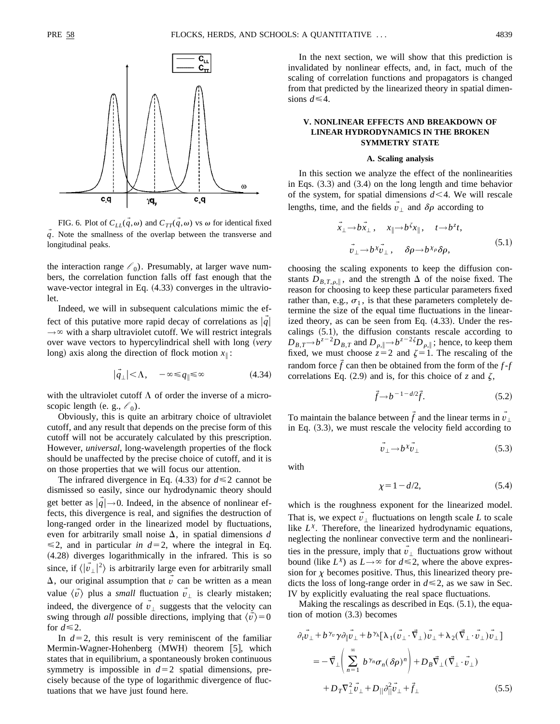

FIG. 6. Plot of  $C_{LL}(\vec{q},\omega)$  and  $C_{TT}(\vec{q},\omega)$  vs  $\omega$  for identical fixed  $\vec{q}$ . Note the smallness of the overlap between the transverse and longitudinal peaks.

the interaction range  $\ell_0$ ). Presumably, at larger wave numbers, the correlation function falls off fast enough that the wave-vector integral in Eq.  $(4.33)$  converges in the ultraviolet.

Indeed, we will in subsequent calculations mimic the effect of this putative more rapid decay of correlations as  $|q|$  $\rightarrow \infty$  with a sharp ultraviolet cutoff. We will restrict integrals over wave vectors to hypercylindrical shell with long (very long) axis along the direction of flock motion  $x_{\parallel}$ :

$$
|\vec{q}_{\perp}| < \Lambda, \quad -\infty \le q_{\parallel} \le \infty \tag{4.34}
$$

with the ultraviolet cutoff  $\Lambda$  of order the inverse of a microscopic length (e. g.,  $\ell_0$ ).

Obviously, this is quite an arbitrary choice of ultraviolet cutoff, and any result that depends on the precise form of this cutoff will not be accurately calculated by this prescription. However, *universal*, long-wavelength properties of the flock should be unaffected by the precise choice of cutoff, and it is on those properties that we will focus our attention.

The infrared divergence in Eq.  $(4.33)$  for  $d \le 2$  cannot be dismissed so easily, since our hydrodynamic theory should get better as  $|\vec{q}| \rightarrow 0$ . Indeed, in the absence of nonlinear effects, this divergence is real, and signifies the destruction of long-ranged order in the linearized model by fluctuations, even for arbitrarily small noise  $\Delta$ , in spatial dimensions *d*  $\leq$ 2, and in particular *in d*=2, where the integral in Eq.  $(4.28)$  diverges logarithmically in the infrared. This is so since, if  $\langle |\vec{v}_\perp|^2 \rangle$  is arbitrarily large even for arbitrarily small  $\Delta$ , our original assumption that  $\vec{v}$  can be written as a mean value  $\langle \vec{v} \rangle$  plus a *small* fluctuation  $\vec{v}_\perp$  is clearly mistaken; indeed, the divergence of  $\tilde{v}_\perp$  suggests that the velocity can swing through *all* possible directions, implying that  $\langle v \rangle = 0$ for  $d \leq 2$ .

In  $d=2$ , this result is very reminiscent of the familiar Mermin-Wagner-Hohenberg  $(MWH)$  theorem [5], which states that in equilibrium, a spontaneously broken continuous symmetry is impossible in  $d=2$  spatial dimensions, precisely because of the type of logarithmic divergence of fluctuations that we have just found here.

In the next section, we will show that this prediction is invalidated by nonlinear effects, and, in fact, much of the scaling of correlation functions and propagators is changed from that predicted by the linearized theory in spatial dimensions  $d \leq 4$ .

## **V. NONLINEAR EFFECTS AND BREAKDOWN OF LINEAR HYDRODYNAMICS IN THE BROKEN SYMMETRY STATE**

### **A. Scaling analysis**

In this section we analyze the effect of the nonlinearities in Eqs.  $(3.3)$  and  $(3.4)$  on the long length and time behavior of the system, for spatial dimensions  $d < 4$ . We will rescale lengths, time, and the fields  $v_{\perp}$  and  $\delta \rho$  according to

$$
\vec{x}_{\perp} \rightarrow b\vec{x}_{\perp}, \quad x_{\parallel} \rightarrow b^{z}x_{\parallel}, \quad t \rightarrow b^{z}t,
$$
\n
$$
\vec{v}_{\perp} \rightarrow b^{x}\vec{v}_{\perp}, \quad \delta\rho \rightarrow b^{x\rho}\delta\rho,
$$
\n(5.1)

choosing the scaling exponents to keep the diffusion constants  $D_{B,T,\rho,\parallel}$ , and the strength  $\Delta$  of the noise fixed. The reason for choosing to keep these particular parameters fixed rather than, e.g.,  $\sigma_1$ , is that these parameters completely determine the size of the equal time fluctuations in the linearized theory, as can be seen from Eq.  $(4.33)$ . Under the rescalings  $(5.1)$ , the diffusion constants rescale according to  $D_{B,T}$  →  $b^{z-2}D_{B,T}$  and  $D_{\rho, \parallel}$  →  $b^{z-2}D_{\rho, \parallel}$ ; hence, to keep them fixed, we must choose  $z=2$  and  $\zeta=1$ . The rescaling of the random force  $\vec{f}$  can then be obtained from the form of the  $f$ - $f$ correlations Eq.  $(2.9)$  and is, for this choice of *z* and  $\zeta$ ,

$$
\vec{f} \rightarrow b^{-1-d/2} \vec{f}.\tag{5.2}
$$

To maintain the balance between  $\vec{f}$  and the linear terms in  $\vec{v}_{\perp}$ in Eq.  $(3.3)$ , we must rescale the velocity field according to

$$
\vec{v}_{\perp} \rightarrow b^{\chi} \vec{v}_{\perp} \tag{5.3}
$$

with

$$
\chi = 1 - d/2,\tag{5.4}
$$

which is the roughness exponent for the linearized model. That is, we expect  $v_{\perp}$  fluctuations on length scale *L* to scale like  $L^{\chi}$ . Therefore, the linearized hydrodynamic equations, neglecting the nonlinear convective term and the nonlinearities in the pressure, imply that  $v_{\perp}$  fluctuations grow without bound (like  $L^{\chi}$ ) as  $L \rightarrow \infty$  for  $d \le 2$ , where the above expression for  $\chi$  becomes positive. Thus, this linearized theory predicts the loss of long-range order in  $d \le 2$ , as we saw in Sec. IV by explicitly evaluating the real space fluctuations.

Making the rescalings as described in Eqs.  $(5.1)$ , the equation of motion  $(3.3)$  becomes

$$
\partial_t \vec{v}_{\perp} + b^{\gamma_v} \gamma \partial_{\parallel} \vec{v}_{\perp} + b^{\gamma_k} [\lambda_1 (\vec{v}_{\perp} \cdot \vec{\nabla}_{\perp}) \vec{v}_{\perp} + \lambda_2 (\vec{\nabla}_{\perp} \cdot \vec{v}_{\perp}) \vec{v}_{\perp}]
$$
  
\n
$$
= -\vec{\nabla}_{\perp} \left( \sum_{n=1}^{\infty} b^{\gamma_n} \sigma_n (\delta \rho)^n \right) + D_B \vec{\nabla}_{\perp} (\vec{\nabla}_{\perp} \cdot \vec{v}_{\perp})
$$
  
\n
$$
+ D_T \nabla_{\perp}^2 \vec{v}_{\perp} + D_{\parallel} \partial_{\parallel}^2 \vec{v}_{\perp} + \vec{f}_{\perp}
$$
 (5.5)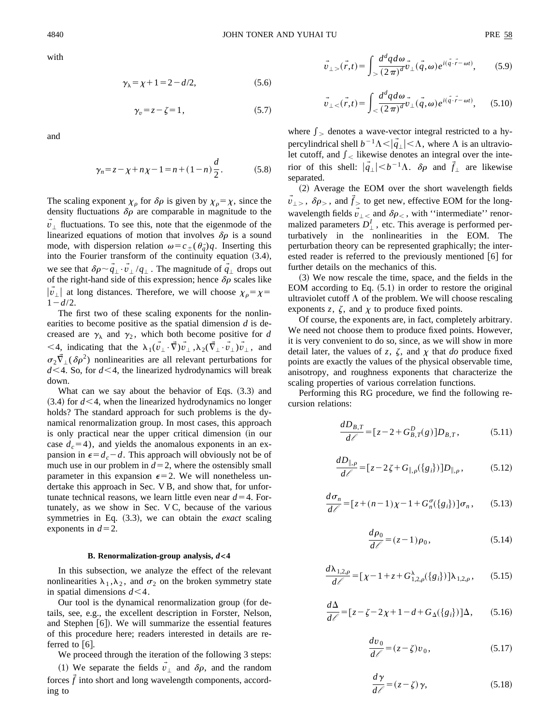with

$$
\gamma_{\lambda} = \chi + 1 = 2 - d/2, \tag{5.6}
$$

$$
\gamma_v = z - \zeta = 1, \tag{5.7}
$$

and

$$
\gamma_n = z - \chi + n\chi - 1 = n + (1 - n)\frac{d}{2}.
$$
 (5.8)

The scaling exponent  $\chi_{\rho}$  for  $\delta \rho$  is given by  $\chi_{\rho} = \chi$ , since the density fluctuations  $\delta \rho$  are comparable in magnitude to the  $v_{\perp}$  fluctuations. To see this, note that the eigenmode of the linearized equations of motion that involves  $\delta \rho$  is a sound mode, with dispersion relation  $\omega = c_{\pm}(\theta_q)q$ . Inserting this into the Fourier transform of the continuity equation  $(3.4)$ , we see that  $\delta \rho \sim q_\perp \cdot v_\perp / q_\perp$ . The magnitude of  $q_\perp$  drops out of the right-hand side of this expression; hence  $\delta \rho$  scales like  $|\tilde{v}_\perp|$  at long distances. Therefore, we will choose  $\chi_\rho = \chi =$  $1 - d/2$ .

The first two of these scaling exponents for the nonlinearities to become positive as the spatial dimension *d* is decreased are  $\gamma_{\lambda}$  and  $\gamma_2$ , which both become positive for *d*  $<$  4, indicating that the  $\lambda_1(\vec{v}_\perp \cdot \vec{\nabla}) \vec{v}_\perp, \lambda_2(\vec{\nabla}_\perp \cdot \vec{v}_\perp) \vec{v}_\perp$ , and  $\sigma_2 \vec{V}_1 (\delta \rho^2)$  nonlinearities are all relevant perturbations for  $d$ <4. So, for  $d$ <4, the linearized hydrodynamics will break down.

What can we say about the behavior of Eqs.  $(3.3)$  and  $(3.4)$  for  $d < 4$ , when the linearized hydrodynamics no longer holds? The standard approach for such problems is the dynamical renormalization group. In most cases, this approach is only practical near the upper critical dimension (in our case  $d_c=4$ ), and yields the anomalous exponents in an expansion in  $\epsilon = d_c - d$ . This approach will obviously not be of much use in our problem in  $d=2$ , where the ostensibly small parameter in this expansion  $\epsilon$ =2. We will nonetheless undertake this approach in Sec. V B, and show that, for unfortunate technical reasons, we learn little even near  $d=4$ . Fortunately, as we show in Sec. V C, because of the various symmetries in Eq.  $(3.3)$ , we can obtain the *exact* scaling exponents in  $d=2$ .

### **B. Renormalization-group analysis,** *d***<4**

In this subsection, we analyze the effect of the relevant nonlinearities  $\lambda_1, \lambda_2$ , and  $\sigma_2$  on the broken symmetry state in spatial dimensions  $d$ <4.

Our tool is the dynamical renormalization group (for details, see, e.g., the excellent description in Forster, Nelson, and Stephen  $[6]$ ). We will summarize the essential features of this procedure here; readers interested in details are referred to  $[6]$ .

We proceed through the iteration of the following 3 steps:

(1) We separate the fields  $v_{\perp}$  and  $\delta \rho$ , and the random forces  $\vec{f}$  into short and long wavelength components, according to

$$
\vec{v}_{\perp>}(\vec{r},t) = \int_{>} \frac{d^d q d\omega}{(2\pi)^d} \vec{v}_{\perp}(\vec{q},\omega) e^{i(\vec{q}\cdot\vec{r}-\omega t)},\qquad(5.9)
$$

$$
\vec{v}_{\perp <}(\vec{r},t) = \int_{\leq} \frac{d^d q d\omega}{(2\pi)^d} \vec{v}_{\perp}(\vec{q},\omega) e^{i(\vec{q}\cdot\vec{r}-\omega t)}, \quad (5.10)
$$

where  $\int_{\gamma}$  denotes a wave-vector integral restricted to a hypercylindrical shell  $b^{-1}\Lambda < |\vec{q}| < \Lambda$ , where  $\Lambda$  is an ultraviolet cutoff, and  $\int$  / likewise denotes an integral over the interior of this shell:  $|\vec{q}_{\perp}| < b^{-1}\Lambda$ .  $\delta \rho$  and  $\vec{f}_{\perp}$  are likewise separated.

(2) Average the EOM over the short wavelength fields  $\vec{v}_{\perp>}$ ,  $\delta\rho$ <sub>></sub>, and  $\vec{f}$ <sub>></sub> to get new, effective EOM for the longwavelength fields  $v_{\perp}$  and  $\delta \rho_{\leq}$ , with "intermediate" renormalized parameters  $D^I_+$ , etc. This average is performed perturbatively in the nonlinearities in the EOM. The perturbation theory can be represented graphically; the interested reader is referred to the previously mentioned [6] for further details on the mechanics of this.

 $(3)$  We now rescale the time, space, and the fields in the EOM according to Eq.  $(5.1)$  in order to restore the original ultraviolet cutoff  $\Lambda$  of the problem. We will choose rescaling exponents  $z$ ,  $\zeta$ , and  $\chi$  to produce fixed points.

Of course, the exponents are, in fact, completely arbitrary. We need not choose them to produce fixed points. However, it is very convenient to do so, since, as we will show in more detail later, the values of  $z$ ,  $\zeta$ , and  $\chi$  that *do* produce fixed points are exactly the values of the physical observable time, anisotropy, and roughness exponents that characterize the scaling properties of various correlation functions.

Performing this RG procedure, we find the following recursion relations:

$$
\frac{dD_{B,T}}{d\ell} = [z - 2 + G_{B,T}^D(g)]D_{B,T},
$$
\n(5.11)

$$
\frac{dD_{\parallel,\rho}}{d\ell} = [z - 2\zeta + G_{\parallel,\rho}(\{g_i\})]D_{\parallel,\rho},\tag{5.12}
$$

$$
\frac{d\sigma_n}{d\ell} = [z + (n-1)\chi - 1 + G_n^{\sigma}(\{g_i\})]\sigma_n, \qquad (5.13)
$$

$$
\frac{d\rho_0}{d\ell} = (z - 1)\rho_0,\tag{5.14}
$$

$$
\frac{d\lambda_{1,2,\rho}}{d\ell} = [\chi - 1 + z + G^{\lambda}_{1,2,\rho}(\{g_i\})] \lambda_{1,2,\rho},
$$
 (5.15)

$$
\frac{d\Delta}{d\ell} = [z - \zeta - 2\chi + 1 - d + G_{\Delta}(\{g_i\})]\Delta, \qquad (5.16)
$$

$$
\frac{dv_0}{d\ell} = (z - \zeta)v_0,\tag{5.17}
$$

$$
\frac{d\gamma}{d\ell} = (z - \zeta)\gamma,\tag{5.18}
$$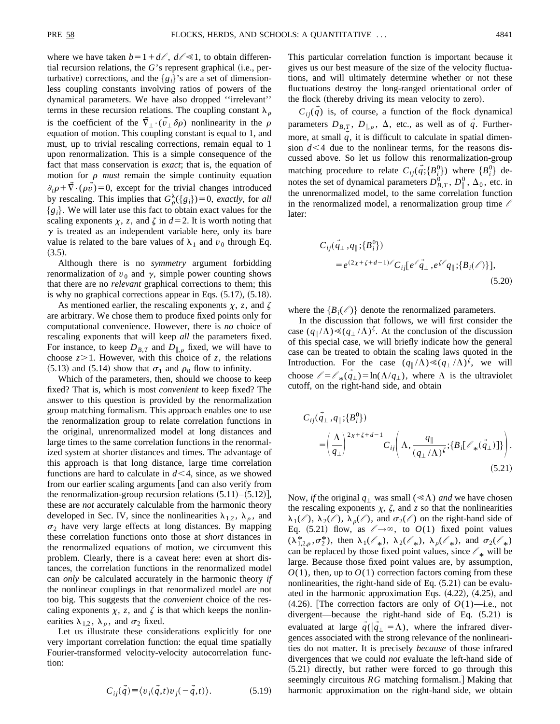where we have taken  $b=1+d\ell$ ,  $d\ell \ll 1$ , to obtain differential recursion relations, the  $G$ 's represent graphical (i.e., perturbative) corrections, and the  ${g_i}$ 's are a set of dimensionless coupling constants involving ratios of powers of the dynamical parameters. We have also dropped ''irrelevant'' terms in these recursion relations. The coupling constant  $\lambda_{\rho}$ is the coefficient of the  $\vec{V}_\perp \cdot (\vec{v}_\perp \delta \rho)$  nonlinearity in the  $\rho$ equation of motion. This coupling constant is equal to 1, and must, up to trivial rescaling corrections, remain equal to 1 upon renormalization. This is a simple consequence of the fact that mass conservation is *exact*; that is, the equation of motion for  $\rho$  *must* remain the simple continuity equation  $\partial_t \rho + \vec{\nabla} \cdot (\rho v) = 0$ , except for the trivial changes introduced by rescaling. This implies that  $G_{\rho}^{\lambda}(\{g_i\})=0$ , *exactly*, for *all*  ${g_i}$ . We will later use this fact to obtain exact values for the scaling exponents  $\chi$ , *z*, and  $\zeta$  in  $d=2$ . It is worth noting that  $\gamma$  is treated as an independent variable here, only its bare value is related to the bare values of  $\lambda_1$  and  $v_0$  through Eq.  $(3.5)$ 

Although there is no *symmetry* argument forbidding renormalization of  $v_0$  and  $\gamma$ , simple power counting shows that there are no *relevant* graphical corrections to them; this is why no graphical corrections appear in Eqs.  $(5.17)$ ,  $(5.18)$ .

As mentioned earlier, the rescaling exponents  $\chi$ , *z*, and  $\zeta$ are arbitrary. We chose them to produce fixed points only for computational convenience. However, there is *no* choice of rescaling exponents that will keep *all* the parameters fixed. For instance, to keep  $D_{B,T}$  and  $D_{\parallel,\rho}$  fixed, we will have to choose  $z > 1$ . However, with this choice of *z*, the relations  $(5.13)$  and  $(5.14)$  show that  $\sigma_1$  and  $\rho_0$  flow to infinity.

Which of the parameters, then, should we choose to keep fixed? That is, which is most *convenient* to keep fixed? The answer to this question is provided by the renormalization group matching formalism. This approach enables one to use the renormalization group to relate correlation functions in the original, unrenormalized model at long distances and large times to the same correlation functions in the renormalized system at shorter distances and times. The advantage of this approach is that long distance, large time correlation functions are hard to calculate in  $d < 4$ , since, as we showed from our earlier scaling arguments and can also verify from the renormalization-group recursion relations  $(5.11)–(5.12)$ , these are *not* accurately calculable from the harmonic theory developed in Sec. IV, since the nonlinearities  $\lambda_{1,2}$ ,  $\lambda_{\rho}$ , and  $\sigma_2$  have very large effects at long distances. By mapping these correlation functions onto those at *short* distances in the renormalized equations of motion, we circumvent this problem. Clearly, there is a caveat here: even at short distances, the correlation functions in the renormalized model can *only* be calculated accurately in the harmonic theory *if* the nonlinear couplings in that renormalized model are not too big. This suggests that the *convenient* choice of the rescaling exponents  $\chi$ , z, and  $\zeta$  is that which keeps the nonlinearities  $\lambda_{1,2}$ ,  $\lambda_{\rho}$ , and  $\sigma_2$  fixed.

Let us illustrate these considerations explicitly for one very important correlation function: the equal time spatially Fourier-transformed velocity-velocity autocorrelation function:

$$
C_{ij}(\vec{q}) \equiv \langle v_i(\vec{q},t)v_j(-\vec{q},t) \rangle. \tag{5.19}
$$

This particular correlation function is important because it gives us our best measure of the size of the velocity fluctuations, and will ultimately determine whether or not these fluctuations destroy the long-ranged orientational order of the flock (thereby driving its mean velocity to zero).

 $C_{ii}(\vec{q})$  is, of course, a function of the flock dynamical parameters  $D_{B,T}$ ,  $D_{\parallel,\rho}$ ,  $\Delta$ , etc., as well as of  $\vec{q}$ . Furthermore, at small  $q$ , it is difficult to calculate in spatial dimension  $d < 4$  due to the nonlinear terms, for the reasons discussed above. So let us follow this renormalization-group matching procedure to relate  $C_{ij}(\vec{q}; \{B_i^0\})$  where  $\{B_i^0\}$  denotes the set of dynamical parameters  $D_{B,T}^0$ ,  $D_{\parallel}^0$ ,  $\Delta_0$ , etc. in the unrenormalized model, to the same correlation function in the renormalized model, a renormalization group time *l* later:

$$
C_{ij}(\vec{q}_{\perp}, q_{\parallel}; \{B_i^0\})
$$
  
=  $e^{(2\chi + \zeta + d - 1)\ell} C_{ij} [e^{\ell} \vec{q}_{\perp}, e^{\zeta \ell} q_{\parallel}; \{B_i(\ell)\}],$  (5.20)

where the  ${B_i(\ell)}$  denote the renormalized parameters.

In the discussion that follows, we will first consider the case  $(q_{\parallel}/\Lambda) \ll (q_{\perp}/\Lambda)^{\zeta}$ . At the conclusion of the discussion of this special case, we will briefly indicate how the general case can be treated to obtain the scaling laws quoted in the Introduction. For the case  $(q_{\parallel}/\Lambda) \ll (q_{\perp}/\Lambda)^{\zeta}$ , we will choose  $l = l_*(\vec{q}_\perp) = \ln(\Lambda/q_\perp)$ , where  $\Lambda$  is the ultraviolet cutoff, on the right-hand side, and obtain

$$
C_{ij}(\vec{q}_{\perp}, q_{\parallel}; \{B_i^0\})
$$
  
=  $\left(\frac{\Lambda}{q_{\perp}}\right)^{2\chi + \zeta + d - 1} C_{ij} \left(\Lambda, \frac{q_{\parallel}}{(q_{\perp}/\Lambda)^{\zeta}}; \{B_i[\mathscr{O}_{*}(\vec{q}_{\perp})]\}\right).$  (5.21)

Now, *if* the original  $q_{\perp}$  was small ( $\ll \Lambda$ ) *and* we have chosen the rescaling exponents  $\chi$ ,  $\zeta$ , and  $\zeta$  so that the nonlinearities  $\lambda_1(\ell)$ ,  $\lambda_2(\ell)$ ,  $\lambda_\rho(\ell)$ , and  $\sigma_2(\ell)$  on the right-hand side of Eq.  $(5.21)$  flow, as  $\ell \rightarrow \infty$ , to  $O(1)$  fixed point values  $(\lambda_{1,2,\rho}^*, \sigma_2^*)$ , then  $\lambda_1(\ell_*)$ ,  $\lambda_2(\ell_*)$ ,  $\lambda_\rho(\ell_*)$ , and  $\sigma_2(\ell_*)$ can be replaced by those fixed point values, since  $\ell_*$  will be large. Because those fixed point values are, by assumption,  $O(1)$ , then, up to  $O(1)$  correction factors coming from these nonlinearities, the right-hand side of Eq.  $(5.21)$  can be evaluated in the harmonic approximation Eqs.  $(4.22)$ ,  $(4.25)$ , and  $(4.26)$ . The correction factors are only of  $O(1)$ —i.e., not divergent—because the right-hand side of Eq.  $(5.21)$  is evaluated at large  $q(|q_{\perp}| = \Lambda)$ , where the infrared divergences associated with the strong relevance of the nonlinearities do not matter. It is precisely *because* of those infrared divergences that we could *not* evaluate the left-hand side of  $(5.21)$  directly, but rather were forced to go through this seemingly circuitous *RG* matching formalism. Making that harmonic approximation on the right-hand side, we obtain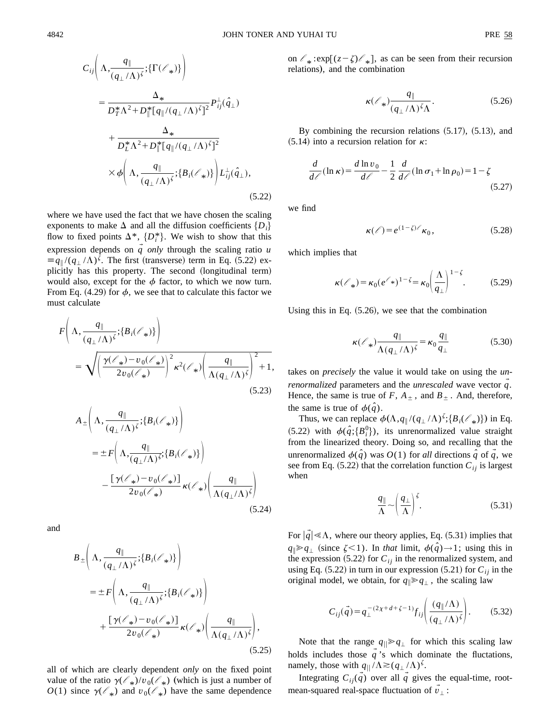$$
C_{ij}\left(\Lambda,\frac{q_{\parallel}}{(q_{\perp}/\Lambda)^{\zeta}};\{\Gamma(\mathscr{E}_*)\}\right)
$$
  

$$
=\frac{\Delta_*}{D_T^*\Lambda^2+D_{\parallel}^* [q_{\parallel}/(q_{\perp}/\Lambda)^{\zeta}]^2}P_{ij}^{\perp}(\hat{q}_{\perp})
$$
  

$$
+\frac{\Delta_*}{D_L^*\Lambda^2+D_{\parallel}^* [q_{\parallel}/(q_{\perp}/\Lambda)^{\zeta}]^2}
$$
  

$$
\times \phi\left(\Lambda,\frac{q_{\parallel}}{(q_{\perp}/\Lambda)^{\zeta}};\{B_i(\mathscr{E}_*)\}\right) L_{ij}^{\perp}(\hat{q}_{\perp}),
$$
(5.22)

where we have used the fact that we have chosen the scaling exponents to make  $\Delta$  and all the diffusion coefficients  $\{D_i\}$ flow to fixed points  $\Delta^*$ ,  $\{D_i^*\}$ . We wish to show that this expression depends on  $q$  *only* through the scaling ratio  $u$  $\equiv q_{\parallel}/(q_{\perp}/\Lambda)^5$ . The first (transverse) term in Eq. (5.22) explicitly has this property. The second (longitudinal term) would also, except for the  $\phi$  factor, to which we now turn. From Eq. (4.29) for  $\phi$ , we see that to calculate this factor we must calculate

$$
F\left(\Lambda, \frac{q_{\parallel}}{(q_{\perp}/\Lambda)^{\zeta}}; \{B_i(\mathscr{E}_*)\}\right)
$$
  
=  $\sqrt{\left(\frac{\gamma(\mathscr{E}_*) - v_0(\mathscr{E}_*)}{2v_0(\mathscr{E}_*)}\right)^2 \kappa^2(\mathscr{E}_*) \left(\frac{q_{\parallel}}{\Lambda(q_{\perp}/\Lambda)^{\zeta}}\right)^2 + 1},$  (5.23)

$$
A_{\pm}\left(\Lambda, \frac{q_{\parallel}}{(q_{\perp}/\Lambda)^{\zeta}};\{B_{i}(\mathscr{O}_{*})\}\right)
$$
  

$$
=\pm F\left(\Lambda, \frac{q_{\parallel}}{(q_{\perp}/\Lambda)^{\zeta}};\{B_{i}(\mathscr{O}_{*})\}\right)
$$
  

$$
-\frac{[\gamma(\mathscr{O}_{*})-\nu_{0}(\mathscr{O}_{*})]}{2\nu_{0}(\mathscr{O}_{*})}\kappa(\mathscr{O}_{*})\left(\frac{q_{\parallel}}{\Lambda(q_{\perp}/\Lambda)^{\zeta}}\right)
$$
(5.24)

and

$$
B_{\pm}\left(\Lambda, \frac{q_{\parallel}}{(q_{\perp}/\Lambda)^{\zeta}};\{B_{i}(\mathscr{O}_{*})\}\right)
$$
  

$$
=\pm F\left(\Lambda, \frac{q_{\parallel}}{(q_{\perp}/\Lambda)^{\zeta}};\{B_{i}(\mathscr{O}_{*})\}\right)
$$
  

$$
+\frac{\left[\gamma(\mathscr{O}_{*})-\upsilon_{0}(\mathscr{O}_{*})\right]}{2\upsilon_{0}(\mathscr{O}_{*})}\kappa(\mathscr{O}_{*})\left(\frac{q_{\parallel}}{\Lambda(q_{\perp}/\Lambda)^{\zeta}}\right),
$$
(5.25)

all of which are clearly dependent *only* on the fixed point value of the ratio  $\gamma(\ell_*)/v_0(\ell_*)$  (which is just a number of *O*(1) since  $\gamma(\ell_*)$  and  $v_0(\ell_*)$  have the same dependence on  $\ell_*: \exp[(z-\zeta)\ell_*]$ , as can be seen from their recursion relations), and the combination

$$
\kappa(\mathscr{E}_*)\frac{q_{\parallel}}{(q_{\perp}/\Lambda)^{\zeta}\Lambda}.\tag{5.26}
$$

By combining the recursion relations  $(5.17)$ ,  $(5.13)$ , and  $(5.14)$  into a recursion relation for  $\kappa$ :

$$
\frac{d}{d\ell}(\ln \kappa) = \frac{d \ln v_0}{d\ell} - \frac{1}{2} \frac{d}{d\ell}(\ln \sigma_1 + \ln \rho_0) = 1 - \zeta
$$
\n(5.27)

we find

$$
\kappa(\ell) = e^{(1-\zeta)\ell} \kappa_0, \tag{5.28}
$$

which implies that

$$
\kappa(\mathscr{E}_*) = \kappa_0 (e^{\mathscr{E}_*})^{1-\zeta} = \kappa_0 \left(\frac{\Lambda}{q_\perp}\right)^{1-\zeta}.\tag{5.29}
$$

Using this in Eq.  $(5.26)$ , we see that the combination

$$
\kappa(\mathscr{E}_*)\frac{q_{\parallel}}{\Lambda(q_{\perp}/\Lambda)^{\zeta}} = \kappa_0 \frac{q_{\parallel}}{q_{\perp}} \tag{5.30}
$$

takes on *precisely* the value it would take on using the *unrenormalized* parameters and the *unrescaled* wave vector  $q$ . Hence, the same is true of *F*,  $A_{\pm}$ , and  $B_{\pm}$ . And, therefore, the same is true of  $\phi(\hat{q})$ .

Thus, we can replace  $\phi(\Lambda, q_{\parallel}/(q_{\perp}/\Lambda)^5; \{B_i(\mathscr{O}_*)\})$  in Eq.  $(5.22)$  with  $\phi(\hat{q}; \{B_i^0\})$ , its unrenormalized value straight from the linearized theory. Doing so, and recalling that the unrenormalized  $\phi(\hat{q})$  was  $O(1)$  for *all* directions  $\hat{q}$  of  $\vec{q}$ , we see from Eq.  $(5.22)$  that the correlation function  $C_{ij}$  is largest when

$$
\frac{q_{\parallel}}{\Lambda} \sim \left(\frac{q_{\perp}}{\Lambda}\right)^{\zeta}.\tag{5.31}
$$

For  $|q| \ll \Lambda$ , where our theory applies, Eq. (5.31) implies that  $q_{\parallel} \geq q_{\perp}$  (since  $\zeta$ <1). In *that* limit,  $\phi(q) \rightarrow 1$ ; using this in the expression  $(5.22)$  for  $C_{ij}$  in the renormalized system, and using Eq.  $(5.22)$  in turn in our expression  $(5.21)$  for  $C_{ij}$  in the original model, we obtain, for  $q_{\parallel} \geq q_{\perp}$ , the scaling law

$$
C_{ij}(\vec{q}) = q_{\perp}^{-(2\chi+d+\zeta-1)} f_{ij} \left( \frac{(q_{\parallel}/\Lambda)}{(q_{\perp}/\Lambda)^{\zeta}} \right). \tag{5.32}
$$

Note that the range  $q_{\parallel} \geq q_{\perp}$  for which this scaling law holds includes those  $\tilde{q}$ 's which dominate the fluctations, namely, those with  $q_{\parallel}/\Lambda \geq (q_{\perp}/\Lambda)^5$ .

Integrating  $C_{ij}(\vec{q})$  over all  $\vec{q}$  gives the equal-time, rootmean-squared real-space fluctuation of  $v_{\perp}$ :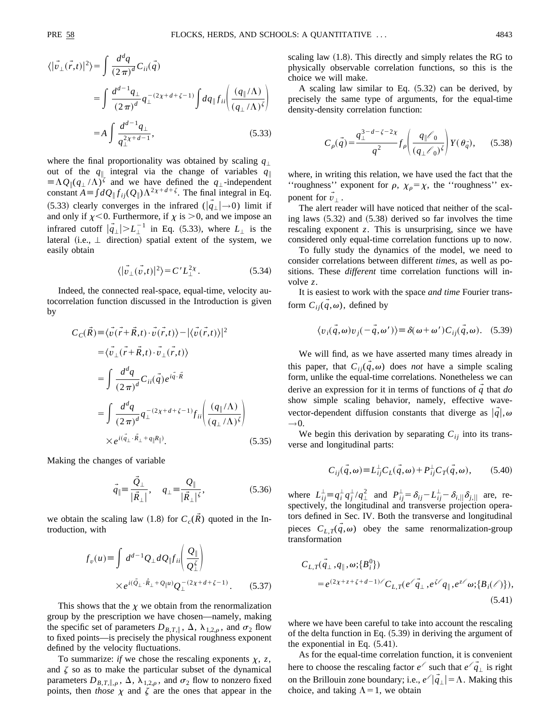$$
\langle |\vec{v}_{\perp}(\vec{r},t)|^2 \rangle = \int \frac{d^d q}{(2\pi)^d} C_{ii}(\vec{q})
$$
  

$$
= \int \frac{d^{d-1}q_{\perp}}{(2\pi)^d} q_{\perp}^{-(2\chi+d+\zeta-1)} \int dq_{\parallel} f_{ii} \left( \frac{(q_{\parallel}/\Lambda)}{(q_{\perp}/\Lambda)^{\zeta}} \right)
$$
  

$$
= A \int \frac{d^{d-1}q_{\perp}}{q_{\perp}^{2\chi+d-1}}, \qquad (5.33)
$$

where the final proportionality was obtained by scaling  $q_{\perp}$ out of the  $q_{\parallel}$  integral via the change of variables  $q_{\parallel}$  $\equiv \Lambda Q_{\parallel}(q_{\perp}/\Lambda)^{\zeta}$  and we have defined the  $q_{\perp}$ -independent constant  $A = \int dQ_{\parallel} f_{ij}(Q_{\parallel}) \Lambda^{2\chi+d+\zeta}$ . The final integral in Eq.  $(5.33)$  clearly converges in the infrared  $(|\vec{q}_\perp| \rightarrow 0)$  limit if and only if  $\chi$ <0. Furthermore, if  $\chi$  is >0, and we impose an infrared cutoff  $|\vec{q}_{\perp}| > L_{\perp}^{-1}$  in Eq. (5.33), where  $L_{\perp}$  is the lateral (i.e.,  $\perp$  direction) spatial extent of the system, we easily obtain

$$
\langle |\vec{v}_{\perp}(\vec{v},t)|^2 \rangle = C'L_{\perp}^{2\chi}.
$$
 (5.34)

Indeed, the connected real-space, equal-time, velocity autocorrelation function discussed in the Introduction is given by

$$
C_{C}(\vec{R}) \equiv \langle \vec{v}(\vec{r} + \vec{R}, t) \cdot \vec{v}(\vec{r}, t) \rangle - | \langle \vec{v}(\vec{r}, t) \rangle |^{2}
$$
  
\n
$$
= \langle \vec{v}_{\perp}(\vec{r} + \vec{R}, t) \cdot \vec{v}_{\perp}(\vec{r}, t) \rangle
$$
  
\n
$$
= \int \frac{d^{d}q}{(2\pi)^{d}} C_{ii}(\vec{q}) e^{i\vec{q} \cdot \vec{R}}
$$
  
\n
$$
= \int \frac{d^{d}q}{(2\pi)^{d}} q_{\perp}^{-(2\chi + d + \zeta - 1)} f_{ii} \left( \frac{(q_{\parallel}/\Lambda)}{(q_{\perp}/\Lambda)^{\zeta}} \right)
$$
  
\n
$$
\times e^{i(\vec{q}_{\perp} \cdot \vec{R}_{\perp} + q_{\parallel}R_{\parallel})}. \tag{5.35}
$$

Making the changes of variable

$$
\vec{q}_{\parallel} = \frac{\vec{Q}_{\perp}}{|\vec{R}_{\perp}|}, \quad q_{\perp} = \frac{Q_{\parallel}}{|\vec{R}_{\perp}|^{\zeta}}, \tag{5.36}
$$

we obtain the scaling law (1.8) for  $C_c(\vec{R})$  quoted in the Introduction, with

$$
f_v(u) \equiv \int d^{d-1}Q_{\perp} dQ_{\parallel} f_{ii} \left( \frac{Q_{\parallel}}{Q_{\perp}^{\xi}} \right)
$$

$$
\times e^{i(\tilde{Q}_{\perp} \cdot \hat{R}_{\perp} + Q_{\parallel} u)} Q_{\perp}^{-(2\chi + d + \zeta - 1)}.
$$
(5.37)

This shows that the  $\chi$  we obtain from the renormalization group by the prescription we have chosen—namely, making the specific set of parameters  $D_{B,T,\parallel}$ ,  $\Delta$ ,  $\lambda_{1,2,\rho}$ , and  $\sigma_2$  flow to fixed points—is precisely the physical roughness exponent defined by the velocity fluctuations.

To summarize: *if* we chose the rescaling exponents  $\chi$ , *z*, and  $\zeta$  so as to make the particular subset of the dynamical parameters  $D_{B,T,\parallel,\rho}$ ,  $\Delta$ ,  $\lambda_{1,2,\rho}$ , and  $\sigma_2$  flow to nonzero fixed points, then *those*  $\chi$  and  $\zeta$  are the ones that appear in the scaling law  $(1.8)$ . This directly and simply relates the RG to physically observable correlation functions, so this is the choice we will make.

A scaling law similar to Eq.  $(5.32)$  can be derived, by precisely the same type of arguments, for the equal-time density-density correlation function:

$$
C_{\rho}(\vec{q}) = \frac{q_{\perp}^{3-d-\zeta-2\chi}}{q^2} f_{\rho} \left( \frac{q_{\parallel} \ell_0}{(q_{\perp} \ell_0)^{\zeta}} \right) Y(\theta_{\vec{q}}), \quad (5.38)
$$

where, in writing this relation, we have used the fact that the "roughness" exponent for  $\rho$ ,  $\chi_{\rho} = \chi$ , the "roughness" exponent for  $v_{\perp}$ .

The alert reader will have noticed that neither of the scaling laws  $(5.32)$  and  $(5.38)$  derived so far involves the time rescaling exponent *z*. This is unsurprising, since we have considered only equal-time correlation functions up to now.

To fully study the dynamics of the model, we need to consider correlations between different *times*, as well as positions. These *different* time correlation functions will involve *z*.

It is easiest to work with the space *and time* Fourier transform  $C_{ii}(q,\omega)$ , defined by

$$
\langle v_i(\vec{q}, \omega) v_j(-\vec{q}, \omega') \rangle \equiv \delta(\omega + \omega') C_{ij}(\vec{q}, \omega). \quad (5.39)
$$

We will find, as we have asserted many times already in this paper, that  $C_{ii}(q,\omega)$  does *not* have a simple scaling form, unlike the equal-time correlations. Nonetheless we can derive an expression for it in terms of functions of  $\tilde{q}$  that *do* show simple scaling behavior, namely, effective wavevector-dependent diffusion constants that diverge as  $|q|, \omega$ *→*0.

We begin this derivation by separating  $C_{ij}$  into its transverse and longitudinal parts:

$$
C_{ij}(\vec{q}, \omega) \equiv L_{ij}^{\perp} C_L(\vec{q}, \omega) + P_{ij}^{\perp} C_T(\vec{q}, \omega), \quad (5.40)
$$

where  $L_{ij}^{\perp} \equiv q_i^{\perp} q_j^{\perp}/q_{\perp}^2$  and  $P_{ij}^{\perp} = \delta_{ij} - L_{ij}^{\perp} - \delta_{i, ||} \delta_{j, ||}$  are, respectively, the longitudinal and transverse projection operators defined in Sec. IV. Both the transverse and longitudinal pieces  $C_{L,T}(\vec{q},\omega)$  obey the same renormalization-group transformation

$$
C_{L,T}(\vec{q}_{\perp}, q_{\parallel}, \omega; \{B_i^0\})
$$
  
=  $e^{(2\chi + z + \zeta + d - 1)\ell} C_{L,T} (e^{\ell} \vec{q}_{\perp}, e^{\zeta \ell} q_{\parallel}, e^{z \ell} \omega; \{B_i(\ell)\}),$  (5.41)

where we have been careful to take into account the rescaling of the delta function in Eq.  $(5.39)$  in deriving the argument of the exponential in Eq.  $(5.41)$ .

As for the equal-time correlation function, it is convenient here to choose the rescaling factor  $e^{\ell}$  such that  $e^{\ell} \tilde{q}_{\perp}$  is right on the Brillouin zone boundary; i.e.,  $e^{\ell}|\vec{q}| = \Lambda$ . Making this choice, and taking  $\Lambda = 1$ , we obtain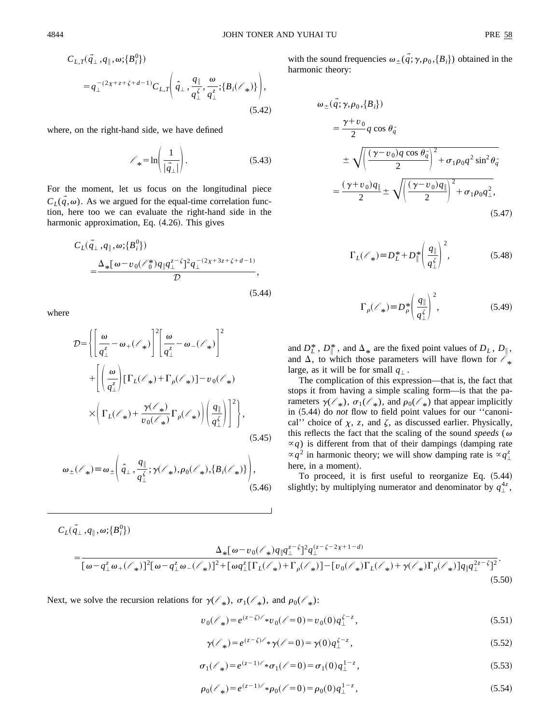$$
C_{L,T}(\vec{q}_{\perp}, q_{\parallel}, \omega; \{B_i^0\})
$$
  
=  $q_{\perp}^{-(2\chi+z+\zeta+d-1)} C_{L,T} \left( \hat{q}_{\perp}, \frac{q_{\parallel}}{q_{\perp}^{\zeta}}, \frac{\omega}{q_{\perp}^{\zeta}}; \{B_i(\mathscr{O}_*)\} \right),$  (5.42)

where, on the right-hand side, we have defined

$$
\mathscr{E}_* = \ln\left(\frac{1}{|\vec{q}_\perp|}\right). \tag{5.43}
$$

For the moment, let us focus on the longitudinal piece  $C_{L}(\vec{q},\omega)$ . As we argued for the equal-time correlation function, here too we can evaluate the right-hand side in the harmonic approximation, Eq.  $(4.26)$ . This gives

$$
C_{L}(\vec{q}_{\perp}, q_{\parallel}, \omega; \{B_{i}^{0}\})
$$
  
= 
$$
\frac{\Delta_{*}[\omega - v_{0}(\ell_{0}^{*})q_{\parallel}q_{\perp}^{z-\zeta}]^{2}q_{\perp}^{-(2\chi+3z+\zeta+d-1)}}{\mathcal{D}},
$$
  
(5.44)

where

 $C_L(\vec{q}_\perp^-,q_\parallel^-, \omega; \{B_i^0\})$ 

$$
\mathcal{D} = \left\{ \left[ \frac{\omega}{q_{\perp}^{z}} - \omega_{+}(\mathscr{O}_{*}) \right]^{2} \left[ \frac{\omega}{q_{\perp}^{z}} - \omega_{-}(\mathscr{O}_{*}) \right]^{2} + \left[ \left( \frac{\omega}{q_{\perp}^{z}} \right) \left[ \Gamma_{L}(\mathscr{O}_{*}) + \Gamma_{\rho}(\mathscr{O}_{*}) \right] - v_{0}(\mathscr{O}_{*}) \right] \times \left( \Gamma_{L}(\mathscr{O}_{*}) + \frac{\gamma(\mathscr{O}_{*})}{v_{0}(\mathscr{O}_{*})} \Gamma_{\rho}(\mathscr{O}_{*}) \right) \left( \frac{q_{\parallel}}{q_{\perp}^{z}} \right) \right]^{2} \right\},
$$
\n(5.45)

$$
\omega_{\pm}(\mathscr{E}_{*}) = \omega_{\pm} \left( \hat{q}_{\perp}, \frac{q_{\parallel}}{q_{\perp}^{2}}; \gamma(\mathscr{E}_{*}), \rho_{0}(\mathscr{E}_{*}), \{B_{i}(\mathscr{E}_{*})\} \right), \tag{5.46}
$$

with the sound frequencies  $\omega_{\pm}(\vec{q};\gamma,\rho_0, \{B_i\})$  obtained in the harmonic theory:

$$
\omega_{\pm}(\vec{q}; \gamma, \rho_0, \{B_i\})
$$
\n
$$
= \frac{\gamma + v_0}{2} q \cos \theta_q^2
$$
\n
$$
\pm \sqrt{\left(\frac{(\gamma - v_0)q \cos \theta_q^2}{2}\right)^2 + \sigma_1 \rho_0 q^2 \sin^2 \theta_q^2}
$$
\n
$$
= \frac{(\gamma + v_0)q_{\parallel}}{2} \pm \sqrt{\left(\frac{(\gamma - v_0)q_{\parallel}}{2}\right)^2 + \sigma_1 \rho_0 q_{\perp}^2},
$$
\n(5.47)

$$
\Gamma_L(\mathscr{O}_*) = D_L^* + D_{\parallel}^* \left(\frac{q_{\parallel}}{q_{\perp}^2}\right)^2, \tag{5.48}
$$

$$
\Gamma_{\rho}(\mathscr{O}_{*})\equiv D_{\rho}^{*}\left(\frac{q_{\parallel}}{q_{\perp}^{2}}\right)^{2},\tag{5.49}
$$

and  $D_L^*$ ,  $D_{\parallel}^*$ , and  $\Delta_{\ast}$  are the fixed point values of  $D_L$ ,  $D_{\parallel}$ ,  $D_{\parallel}$ and  $\Delta$ , to which those parameters will have flown for  $\ell_*$  large, as it will be for small  $q_{\perp}$ .

The complication of this expression—that is, the fact that stops it from having a simple scaling form—is that the parameters  $\gamma(\ell_*)$ ,  $\sigma_1(\ell_*)$ , and  $\rho_0(\ell_*)$  that appear implicitly in (5.44) do *not* flow to field point values for our "canonical'' choice of  $\chi$ , *z*, and  $\zeta$ , as discussed earlier. Physically, this reflects the fact that the scaling of the sound *speeds* ( $\omega$  $\alpha$ *q*) is different from that of their dampings (damping rate  $\propto q^2$  in harmonic theory; we will show damping rate is  $\propto q^2$ here, in a moment).

To proceed, it is first useful to reorganize Eq.  $(5.44)$ slightly; by multiplying numerator and denominator by  $q_{\perp}^{4z}$ ,

$$
= \frac{\Delta_{*}[\omega - v_{0}(\mathscr{O}_{*})q]q_{\perp}^{z-\zeta}^{2}q_{\perp}^{(z-\zeta-2\chi+1-d)}}{[\omega - q_{\perp}^{z}\omega_{+}(\mathscr{O}_{*})]^{2}[\omega - q_{\perp}^{z}\omega_{-}(\mathscr{O}_{*})]^{2} + [\omega q_{\perp}^{z}[\Gamma_{L}(\mathscr{O}_{*}) + \Gamma_{\rho}(\mathscr{O}_{*})] - [v_{0}(\mathscr{O}_{*})\Gamma_{L}(\mathscr{O}_{*}) + \gamma(\mathscr{O}_{*})\Gamma_{\rho}(\mathscr{O}_{*})]q]q_{\perp}^{2z-\zeta}^{2}}}{(5.50)}
$$

Next, we solve the recursion relations for  $\gamma(\ell_*)$ ,  $\sigma_1(\ell_*)$ , and  $\rho_0(\ell_*)$ :

$$
v_0(\mathscr{E}_*) = e^{(z-\zeta)\mathscr{E}_*}v_0(\mathscr{E}=0) = v_0(0)q_{\perp}^{\zeta-z},\tag{5.51}
$$

$$
\gamma(\ell_*) = e^{(z-\zeta)\ell_*}\gamma(\ell=0) = \gamma(0)q_{\perp}^{\zeta-z},\tag{5.52}
$$

$$
\sigma_1(\mathcal{C}_*) = e^{(z-1)\mathcal{C}_*}\sigma_1(\mathcal{C}_*) = \sigma_1(0)q_\perp^{1-z},\tag{5.53}
$$

$$
\rho_0(\mathcal{C}_*) = e^{(z-1)\mathcal{C}_*} \rho_0(\mathcal{C}_0) = \rho_0(0) q_\perp^{1-z}, \qquad (5.54)
$$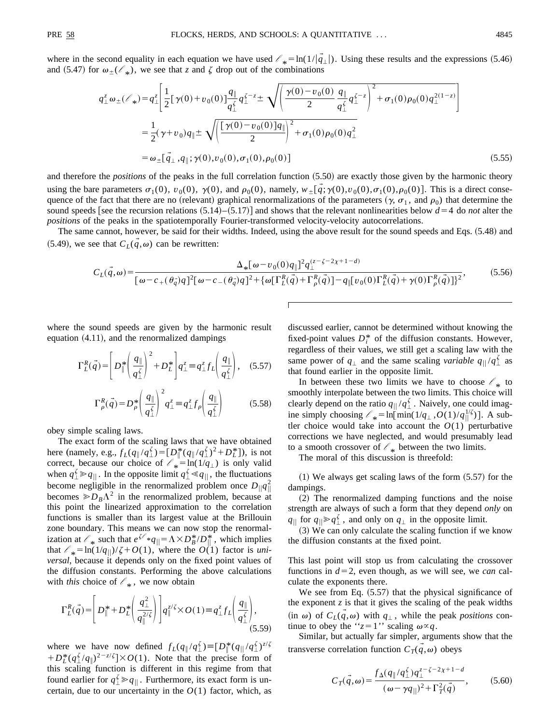where in the second equality in each equation we have used  $\ell_* = \ln(1/\vert \vec{q}_{\perp} \vert)$ . Using these results and the expressions (5.46) and (5.47) for  $\omega_{\pm}$ ( $\ell_{*}$ ), we see that *z* and  $\zeta$  drop out of the combinations

$$
q_{\perp}^{z} \omega_{\pm}(\mathscr{E}_{*}) = q_{\perp}^{z} \left[ \frac{1}{2} [\gamma(0) + v_{0}(0)] \frac{q_{\parallel}}{q_{\perp}^{z}} q_{\perp}^{z-z} \pm \sqrt{\left( \frac{\gamma(0) - v_{0}(0)}{2} \frac{q_{\parallel}}{q_{\perp}^{z}} q_{\perp}^{z-z} \right)^{2} + \sigma_{1}(0) \rho_{0}(0) q_{\perp}^{2(1-z)}} \right]
$$
  
\n
$$
= \frac{1}{2} (\gamma + v_{0}) q_{\parallel} \pm \sqrt{\left( \frac{[\gamma(0) - v_{0}(0)] q_{\parallel}}{2} \right)^{2} + \sigma_{1}(0) \rho_{0}(0) q_{\perp}^{2}}
$$
  
\n
$$
= \omega_{\pm} [\vec{q}_{\perp}, q_{\parallel}; \gamma(0), v_{0}(0), \sigma_{1}(0), \rho_{0}(0)]
$$
\n(5.55)

and therefore the *positions* of the peaks in the full correlation function (5.50) are exactly those given by the harmonic theory using the bare parameters  $\sigma_1(0)$ ,  $v_0(0)$ ,  $\gamma(0)$ , and  $\rho_0(0)$ , namely,  $w \pm [\tilde{q}, \gamma(0), v_0(0), \sigma_1(0), \rho_0(0)]$ . This is a direct consequence of the fact that there are no (relevant) graphical renormalizations of the parameters ( $\gamma$ ,  $\sigma_1$ , and  $\rho_0$ ) that determine the sound speeds [see the recursion relations  $(5.14)$ – $(5.17)$ ] and shows that the relevant nonlinearities below  $d=4$  do *not* alter the *positions* of the peaks in the spatiotemporally Fourier-transformed velocity-velocity autocorrelations.

The same cannot, however, be said for their widths. Indeed, using the above result for the sound speeds and Eqs. (5.48) and (5.49), we see that  $C_L(q,\omega)$  can be rewritten:

$$
C_{L}(\vec{q},\omega) = \frac{\Delta_{*}[\omega - \upsilon_{0}(0)q_{\parallel}]^{2}q_{\perp}^{(z-\zeta-2\chi+1-d)}}{[\omega - c_{+}(\theta_{\vec{q}})q]^{2}[\omega - c_{-}(\theta_{\vec{q}})q]^{2} + {\omega[\Gamma_{L}^{R}(\vec{q}) + \Gamma_{\rho}^{R}(\vec{q})] - q_{\parallel}[\upsilon_{0}(0)\Gamma_{L}^{R}(\vec{q}) + \gamma(0)\Gamma_{\rho}^{R}(\vec{q})]}^{2}},
$$
(5.56)

where the sound speeds are given by the harmonic result equation  $(4.11)$ , and the renormalized dampings

$$
\Gamma_L^R(\vec{q}) = \left[ D_{\parallel}^* \left( \frac{q_{\parallel}}{q_{\perp}^{\zeta}} \right)^2 + D_L^* \right] q_{\perp}^z \equiv q_{\perp}^z f_L \left( \frac{q_{\parallel}}{q_{\perp}^{\zeta}} \right), \quad (5.57)
$$

$$
\Gamma_{\rho}^{R}(\vec{q}) = D_{\rho}^{*} \left( \frac{q_{\parallel}}{q_{\perp}^{\zeta}} \right)^{2} q_{\perp}^{z} \equiv q_{\perp}^{z} f_{\rho} \left( \frac{q_{\parallel}}{q_{\perp}^{\zeta}} \right) \tag{5.58}
$$

obey simple scaling laws.

The exact form of the scaling laws that we have obtained here (namely, e.g.,  $f_L(q_{\parallel}/q_{\perp}^{\zeta}) = [D_{\parallel}^{*}(q_{\parallel}/q_{\perp}^{\zeta})^2 + D_{L}^{*}]$ ), is not correct, because our choice of  $\ell_* = \ln(1/q_\perp)$  is only valid when  $q_{\perp}^{\zeta} \gg q_{\parallel}$ . In the opposite limit  $q_{\perp}^{\zeta} \ll q_{\parallel}$ , the fluctuations become negligible in the renormalized problem once  $D_{\parallel}q_{\parallel}^2$ becomes  $\gg D_B\Lambda^2$  in the renormalized problem, because at this point the linearized approximation to the correlation functions is smaller than its largest value at the Brillouin zone boundary. This means we can now stop the renormalization at  $\ell_*$  such that  $e^{\zeta\ell_*}q_{\parallel} = \Lambda \times D_B^*/D_A^*$ , which implies that  $\ell_* = \ln(1/q_{\parallel})/\zeta + O(1)$ , where the  $O(1)$  factor is *universal*, because it depends only on the fixed point values of the diffusion constants. Performing the above calculations with *this* choice of  $\ell_*$ , we now obtain

$$
\Gamma_L^R(\vec{q}) = \left[ D_\parallel^* + D_L^* \left( \frac{q_\perp^2}{q_\parallel^{2/\zeta}} \right) \right] q_\parallel^{z/\zeta} \times O(1) \equiv q_\perp^z f_L \left( \frac{q_\parallel}{q_\perp^{\zeta}} \right),\tag{5.59}
$$

where we have now defined  $f_L(q_\parallel/q_\perp^{\zeta}) = [D_\parallel^*(q_\parallel/q_\perp^{\zeta})^{z/\zeta}$  $+D_L^*(q_{\perp}^{\zeta}/q_{\parallel})^{2-z/\zeta}$   $\times$  *O*(1). Note that the precise form of this scaling function is different in this regime from that found earlier for  $q_{\perp}^{\zeta} \gg q_{\parallel}$ . Furthermore, its exact form is uncertain, due to our uncertainty in the  $O(1)$  factor, which, as discussed earlier, cannot be determined without knowing the fixed-point values  $D_i^*$  of the diffusion constants. However, regardless of their values, we still get a scaling law with the same power of  $q_{\perp}$  and the same scaling *variable*  $q_{\parallel}/q_{\perp}^{\zeta}$  as that found earlier in the opposite limit.

In between these two limits we have to choose  $\ell_*$  to smoothly interpolate between the two limits. This choice will clearly depend on the ratio  $q_{\parallel}/q_{\perp}^{\zeta}$ . Naively, one could imagine simply choosing  $\ell_* = \ln[\min(1/q_\perp, O(1)/q_1^{1/\zeta})]$ . A subtler choice would take into account the  $O(1)$  perturbative corrections we have neglected, and would presumably lead to a smooth crossover of  $\ell_*$  between the two limits.

The moral of this discussion is threefold:

 $(1)$  We always get scaling laws of the form  $(5.57)$  for the dampings.

~2! The renormalized damping functions and the noise strength are always of such a form that they depend *only* on  $q_{\parallel}$  for  $q_{\parallel} \gg q_{\perp}^{\zeta}$ , and only on  $q_{\perp}$  in the opposite limit.

 $(3)$  We can only calculate the scaling function if we know the diffusion constants at the fixed point.

This last point will stop us from calculating the crossover functions in  $d=2$ , even though, as we will see, we *can* calculate the exponents there.

We see from Eq.  $(5.57)$  that the physical significance of the exponent  $z$  is that it gives the scaling of the peak widths  $(\text{in } \omega)$  of  $C_L(\tilde{q}, \omega)$  with  $q_{\perp}$ , while the peak *positions* continue to obey the " $z=1$ " scaling  $\omega \propto q$ .

Similar, but actually far simpler, arguments show that the transverse correlation function  $C_T(q,\omega)$  obeys

$$
C_T(\vec{q}, \omega) = \frac{f_{\Delta}(q_{\parallel}/q_{\perp}^{\zeta})q_{\perp}^{z-\zeta-2\chi+1-d}}{(\omega - \gamma q_{\parallel})^2 + \Gamma_T^2(\vec{q})},
$$
(5.60)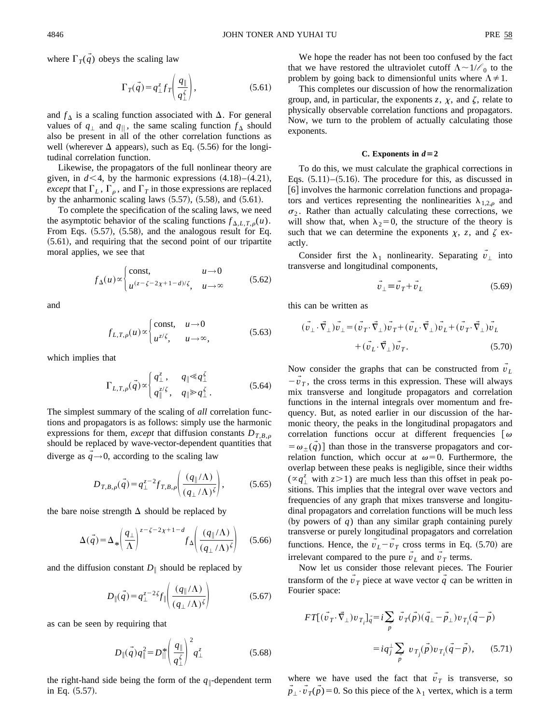where  $\Gamma_T(\vec{q})$  obeys the scaling law

$$
\Gamma_T(\vec{q}) = q_\perp^z f_T \left( \frac{q_\parallel}{q_\perp^{\zeta}} \right),\tag{5.61}
$$

and  $f_{\Delta}$  is a scaling function associated with  $\Delta$ . For general values of  $q_{\perp}$  and  $q_{\parallel}$ , the same scaling function  $f_{\Delta}$  should also be present in all of the other correlation functions as well (wherever  $\Delta$  appears), such as Eq. (5.56) for the longitudinal correlation function.

Likewise, the propagators of the full nonlinear theory are given, in  $d<4$ , by the harmonic expressions  $(4.18)$ – $(4.21)$ , *except* that  $\Gamma_L$ ,  $\Gamma_\rho$ , and  $\Gamma_T$  in those expressions are replaced by the anharmonic scaling laws  $(5.57)$ ,  $(5.58)$ , and  $(5.61)$ .

To complete the specification of the scaling laws, we need the asymptotic behavior of the scaling functions  $f_{\Delta,L,T,\rho}(u)$ . From Eqs.  $(5.57)$ ,  $(5.58)$ , and the analogous result for Eq.  $(5.61)$ , and requiring that the second point of our tripartite moral applies, we see that

$$
f_{\Delta}(u) \propto \begin{cases} \text{const}, & u \to 0\\ u^{(z-\zeta-2\chi+1-d)/\zeta}, & u \to \infty \end{cases} \tag{5.62}
$$

and

$$
f_{L,T,\rho}(u) \propto \begin{cases} \text{const}, & u \to 0\\ u^{z/\zeta}, & u \to \infty, \end{cases} \tag{5.63}
$$

which implies that

$$
\Gamma_{L,T,\rho}(\vec{q}) \propto \begin{cases} q_{\perp}^z, & q_{\parallel} \ll q_{\perp}^{\zeta} \\ q_{\parallel}^{z/\zeta}, & q_{\parallel} \gg q_{\perp}^{\zeta} \end{cases}
$$
 (5.64)

The simplest summary of the scaling of *all* correlation functions and propagators is as follows: simply use the harmonic expressions for them, *except* that diffusion constants  $D_{T,B,\rho}$ should be replaced by wave-vector-dependent quantities that diverge as  $q \rightarrow 0$ , according to the scaling law

$$
D_{T,B,\rho}(\vec{q}) = q_{\perp}^{z-2} f_{T,B,\rho} \left( \frac{(q_{\parallel}/\Lambda)}{(q_{\perp}/\Lambda)^{\zeta}} \right), \tag{5.65}
$$

the bare noise strength  $\Delta$  should be replaced by

$$
\Delta(\vec{q}) = \Delta_* \left(\frac{q_\perp}{\Lambda}\right)^{z-\zeta-2\chi+1-d} f_\Delta \left(\frac{(q_\parallel/\Lambda)}{(q_\perp/\Lambda)^{\zeta}}\right) \quad (5.66)
$$

and the diffusion constant  $D_{\parallel}$  should be replaced by

$$
D_{\parallel}(\vec{q}) = q_{\perp}^{z-2\zeta} f_{\parallel} \left( \frac{(q_{\parallel}/\Lambda)}{(q_{\perp}/\Lambda)^{\zeta}} \right) \tag{5.67}
$$

as can be seen by requiring that

$$
D_{\parallel}(\vec{q})q_{\parallel}^{2} = D_{\parallel}^{*} \left(\frac{q_{\parallel}}{q_{\perp}^{\zeta}}\right)^{2} q_{\perp}^{z}
$$
 (5.68)

the right-hand side being the form of the  $q_{\parallel}$ -dependent term in Eq.  $(5.57)$ .

We hope the reader has not been too confused by the fact that we have restored the ultraviolet cutoff  $\Lambda \sim 1/\ell_0$  to the problem by going back to dimensionful units where  $\Lambda \neq 1$ .

This completes our discussion of how the renormalization group, and, in particular, the exponents  $z$ ,  $\chi$ , and  $\zeta$ , relate to physically observable correlation functions and propagators. Now, we turn to the problem of actually calculating those exponents.

### **C.** Exponents in  $d=2$

To do this, we must calculate the graphical corrections in Eqs.  $(5.11)$ – $(5.16)$ . The procedure for this, as discussed in [6] involves the harmonic correlation functions and propagators and vertices representing the nonlinearities  $\lambda_{1,2,\rho}$  and  $\sigma_2$ . Rather than actually calculating these corrections, we will show that, when  $\lambda_2=0$ , the structure of the theory is such that we can determine the exponents  $\chi$ , z, and  $\zeta$  exactly.

Consider first the  $\lambda_1$  nonlinearity. Separating  $v_\perp$  into transverse and longitudinal components,

$$
\vec{v}_{\perp} \equiv \vec{v}_T + \vec{v}_L \tag{5.69}
$$

this can be written as

$$
(\vec{v}_{\perp} \cdot \vec{\nabla}_{\perp}) \vec{v}_{\perp} = (\vec{v}_{T} \cdot \vec{\nabla}_{\perp}) \vec{v}_{T} + (\vec{v}_{L} \cdot \vec{\nabla}_{\perp}) \vec{v}_{L} + (\vec{v}_{T} \cdot \vec{\nabla}_{\perp}) \vec{v}_{L} + (\vec{v}_{L} \cdot \vec{\nabla}_{\perp}) \vec{v}_{T}.
$$
\n(5.70)

Now consider the graphs that can be constructed from  $v_L$  $-\nu_T$ , the cross terms in this expression. These will always mix transverse and longitude propagators and correlation functions in the internal integrals over momentum and frequency. But, as noted earlier in our discussion of the harmonic theory, the peaks in the longitudinal propagators and correlation functions occur at different frequencies  $\lceil \omega \rceil$  $=\omega_{\pm}(q)$  than those in the transverse propagators and correlation function, which occur at  $\omega=0$ . Furthermore, the overlap between these peaks is negligible, since their widths  $(\alpha q^z)$  with  $z>1$ ) are much less than this offset in peak positions. This implies that the integral over wave vectors and frequencies of any graph that mixes transverse and longitudinal propagators and correlation functions will be much less (by powers of  $q$ ) than any similar graph containing purely transverse or purely longitudinal propagators and correlation functions. Hence, the  $\vec{v}_L - \vec{v}_T$  cross terms in Eq. (5.70) are irrelevant compared to the pure  $v_L$  and  $v_T$  terms.

Now let us consider those relevant pieces. The Fourier transform of the  $v_T$  piece at wave vector  $\tilde{q}$  can be written in Fourier space:

$$
FT[(\vec{v}_T \cdot \vec{\nabla}_\perp) v_{T_i}]_q^2 = i \sum_{\vec{p}} \vec{v}_T(\vec{p}) (\vec{q}_\perp - \vec{p}_\perp) v_{T_i}(\vec{q} - \vec{p})
$$
  

$$
= iq_j^{\perp} \sum_{\vec{p}} v_{T_j}(\vec{p}) v_{T_i}(\vec{q} - \vec{p}), \qquad (5.71)
$$

where we have used the fact that  $v_T$  is transverse, so  $p_{\perp} \cdot v_T(p) = 0$ . So this piece of the  $\lambda_1$  vertex, which is a term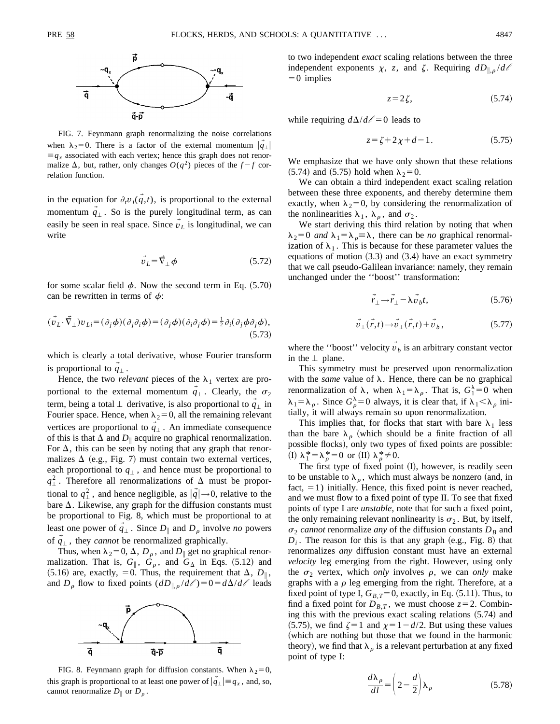

FIG. 7. Feynmann graph renormalizing the noise correlations when  $\lambda_2=0$ . There is a factor of the external momentum  $|\vec{q}_\perp|$  $\equiv q_x$  associated with each vertex; hence this graph does not renormalize  $\Delta$ , but, rather, only changes  $O(q^2)$  pieces of the  $f - f$  correlation function.

in the equation for  $\partial_t v_i(q,t)$ , is proportional to the external momentum  $q_{\perp}$ . So is the purely longitudinal term, as can easily be seen in real space. Since  $v_L$  is longitudinal, we can write

$$
\vec{v}_L = \vec{\nabla}_\perp \phi \tag{5.72}
$$

for some scalar field  $\phi$ . Now the second term in Eq. (5.70) can be rewritten in terms of  $\phi$ :

$$
(\vec{v}_L \cdot \vec{\nabla}_\perp) v_{Li} = (\partial_j \phi)(\partial_j \partial_i \phi) = (\partial_j \phi)(\partial_i \partial_j \phi) = \frac{1}{2} \partial_i (\partial_j \phi \partial_j \phi),
$$
\n(5.73)

which is clearly a total derivative, whose Fourier transform is proportional to  $q_{\perp}$ .

Hence, the two *relevant* pieces of the  $\lambda_1$  vertex are proportional to the external momentum  $q_{\perp}$ . Clearly, the  $\sigma_2$ term, being a total  $\perp$  derivative, is also proportional to  $q_{\perp}$  in Fourier space. Hence, when  $\lambda_2=0$ , all the remaining relevant vertices are proportional to  $q_{\perp}$ . An immediate consequence of this is that  $\Delta$  and  $D_{\parallel}$  acquire no graphical renormalization. For  $\Delta$ , this can be seen by noting that any graph that renormalizes  $\Delta$  (e.g., Fig. 7) must contain two external vertices, each proportional to  $q_{\perp}$ , and hence must be proportional to  $q_1^2$ . Therefore all renormalizations of  $\Delta$  must be proportional to  $q_{\perp}^2$ , and hence negligible, as  $|\vec{q}| \rightarrow 0$ , relative to the bare  $\Delta$ . Likewise, any graph for the diffusion constants must be proportional to Fig. 8, which must be proportional to at least one power of  $q_{\perp}$ . Since  $D_{\parallel}$  and  $D_{\rho}$  involve *no* powers of  $q_{\perp}$ , they *cannot* be renormalized graphically.

Thus, when  $\lambda_2=0$ ,  $\Delta$ ,  $D_\rho$ , and  $D_\parallel$  get no graphical renormalization. That is,  $G_{\parallel}$ ,  $G_{\rho}$ , and  $G_{\Delta}$  in Eqs. (5.12) and  $(5.16)$  are, exactly, =0. Thus, the requirement that  $\Delta$ ,  $D_{\parallel}$ , and  $D_{\rho}$  flow to fixed points  $(dD_{\parallel,\rho}/d\ell) = 0 = d\Delta/d\ell$  leads



FIG. 8. Feynmann graph for diffusion constants. When  $\lambda_2=0$ , this graph is proportional to at least one power of  $|\vec{q}_\perp| = q_x$ , and, so, cannot renormalize  $D_{\parallel}$  or  $D_{\rho}$ .

to two independent *exact* scaling relations between the three independent exponents  $\chi$ , *z*, and  $\zeta$ . Requiring  $dD_{\parallel,\rho}/d\ell$  $=0$  implies

$$
z = 2\zeta,\tag{5.74}
$$

while requiring  $d\Delta/d\ell = 0$  leads to

$$
z = \zeta + 2\chi + d - 1. \tag{5.75}
$$

We emphasize that we have only shown that these relations (5.74) and (5.75) hold when  $\lambda_2 = 0$ .

We can obtain a third independent exact scaling relation between these three exponents, and thereby determine them exactly, when  $\lambda_2=0$ , by considering the renormalization of the nonlinearities  $\lambda_1$ ,  $\lambda_\rho$ , and  $\sigma_2$ .

We start deriving this third relation by noting that when  $\lambda_2=0$  *and*  $\lambda_1=\lambda_0=\lambda$ , there can be *no* graphical renormalization of  $\lambda_1$ . This is because for these parameter values the equations of motion  $(3.3)$  and  $(3.4)$  have an exact symmetry that we call pseudo-Galilean invariance: namely, they remain unchanged under the ''boost'' transformation:

$$
\vec{r}_{\perp} \rightarrow \vec{r}_{\perp} - \lambda \vec{v}_b t, \qquad (5.76)
$$

$$
\vec{v}_{\perp}(\vec{r},t) \to \vec{v}_{\perp}(\vec{r},t) + \vec{v}_b, \tag{5.77}
$$

where the "boost" velocity  $v<sub>b</sub>$  is an arbitrary constant vector in the  $\perp$  plane.

This symmetry must be preserved upon renormalization with the *same* value of  $\lambda$ . Hence, there can be no graphical renormalization of  $\lambda$ , when  $\lambda_1 = \lambda_\rho$ . That is,  $G_1^{\lambda} = 0$  when  $\lambda_1 = \lambda_\rho$ . Since  $G_\rho^{\lambda} = 0$  always, it is clear that, if  $\lambda_1 < \lambda_\rho$  initially, it will always remain so upon renormalization.

This implies that, for flocks that start with bare  $\lambda_1$  less than the bare  $\lambda_{\rho}$  (which should be a finite fraction of all possible flocks), only two types of fixed points are possible: (I)  $\lambda_1^* = \lambda_\rho^* = 0$  or (II)  $\lambda_\rho^* \neq 0$ .

The first type of fixed point  $(I)$ , however, is readily seen to be unstable to  $\lambda_{\rho}$ , which must always be nonzero (and, in fact,  $=1$ ) initially. Hence, this fixed point is never reached, and we must flow to a fixed point of type II. To see that fixed points of type I are *unstable*, note that for such a fixed point, the only remaining relevant nonlinearity is  $\sigma_2$ . But, by itself,  $\sigma_2$  *cannot* renormalize *any* of the diffusion constants  $D_B$  and  $D_i$ . The reason for this is that any graph  $(e.g., Fig. 8)$  that renormalizes *any* diffusion constant must have an external *velocity* leg emerging from the right. However, using only the  $\sigma_2$  vertex, which *only* involves  $\rho$ , we can *only* make graphs with a  $\rho$  leg emerging from the right. Therefore, at a fixed point of type I,  $G_{B,T} = 0$ , exactly, in Eq. (5.11). Thus, to find a fixed point for  $D_{B,T}$ , we must choose  $z=2$ . Combining this with the previous exact scaling relations  $(5.74)$  and (5.75), we find  $\zeta=1$  and  $\chi=1-d/2$ . But using these values (which are nothing but those that we found in the harmonic theory), we find that  $\lambda_{\rho}$  is a relevant perturbation at any fixed point of type I:

$$
\frac{d\lambda_{\rho}}{dl} = \left(2 - \frac{d}{2}\right)\lambda_{\rho} \tag{5.78}
$$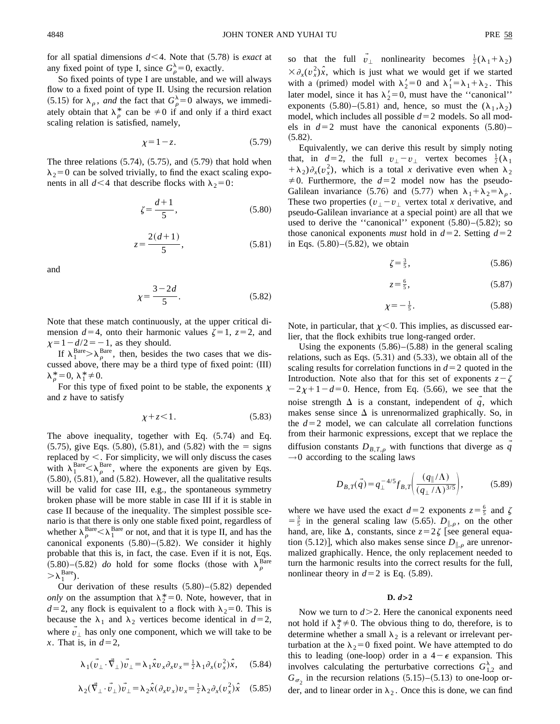for all spatial dimensions  $d < 4$ . Note that  $(5.78)$  is *exact* at any fixed point of type I, since  $G_{\rho}^{\lambda}=0$ , exactly.

So fixed points of type I are unstable, and we will always flow to a fixed point of type II. Using the recursion relation (5.15) for  $\lambda_{\rho}$ , *and* the fact that  $G_{\rho}^{\lambda} = 0$  always, we immediately obtain that  $\lambda_p^*$  can be  $\neq 0$  if and only if a third exact scaling relation is satisfied, namely,

$$
\chi = 1 - z. \tag{5.79}
$$

The three relations  $(5.74)$ ,  $(5.75)$ , and  $(5.79)$  that hold when  $\lambda_2=0$  can be solved trivially, to find the exact scaling exponents in all  $d < 4$  that describe flocks with  $\lambda_2 = 0$ :

$$
\zeta = \frac{d+1}{5},\tag{5.80}
$$

$$
z = \frac{2(d+1)}{5},
$$
\n(5.81)

and

$$
\chi = \frac{3 - 2d}{5}.\tag{5.82}
$$

Note that these match continuously, at the upper critical dimension  $d=4$ , onto their harmonic values  $\zeta=1$ ,  $z=2$ , and  $x=1-d/2=-1$ , as they should.

If  $\lambda_1^{\text{Bare}} > \lambda_\rho^{\text{Bare}}$ , then, besides the two cases that we discussed above, there may be a third type of fixed point: (III)  $\lambda_p^* = 0$ ,  $\lambda_1^* \neq 0$ .

For this type of fixed point to be stable, the exponents  $\chi$ and *z* have to satisfy

$$
\chi + z < 1. \tag{5.83}
$$

The above inequality, together with Eq.  $(5.74)$  and Eq.  $(5.75)$ , give Eqs.  $(5.80)$ ,  $(5.81)$ , and  $(5.82)$  with the = signs replaced by  $\le$ . For simplicity, we will only discuss the cases with  $\lambda_1^{\text{Bare}} < \lambda_\rho^{\text{Bare}}$ , where the exponents are given by Eqs.  $(5.80)$ ,  $(5.81)$ , and  $(5.82)$ . However, all the qualitative results will be valid for case III, e.g., the spontaneous symmetry broken phase will be more stable in case III if it is stable in case II because of the inequality. The simplest possible scenario is that there is only one stable fixed point, regardless of whether  $\lambda_p^{\text{Bare}} < \lambda_1^{\text{Bare}}$  or not, and that it is type II, and has the canonical exponents  $(5.80)$ – $(5.82)$ . We consider it highly probable that this is, in fact, the case. Even if it is not, Eqs.  $(5.80)$ – $(5.82)$  *do* hold for some flocks (those with  $\lambda_p^{\text{Bare}}$  $>\lambda_1^{\text{Bare}}$ ).

Our derivation of these results  $(5.80)–(5.82)$  depended *only* on the assumption that  $\lambda_2^* = 0$ . Note, however, that in  $d=2$ , any flock is equivalent to a flock with  $\lambda_2=0$ . This is because the  $\lambda_1$  and  $\lambda_2$  vertices become identical in  $d=2$ , where  $v_{\perp}$  has only one component, which we will take to be *x*. That is, in  $d=2$ ,

$$
\lambda_1(\vec{v}_\perp \cdot \vec{\nabla}_\perp) \vec{v}_\perp = \lambda_1 \hat{x} v_x \partial_x v_x = \frac{1}{2} \lambda_1 \partial_x (v_x^2) \hat{x}, \quad (5.84)
$$

$$
\lambda_2(\vec{\nabla}_\perp \cdot \vec{v}_\perp) \vec{v}_\perp = \lambda_2 \hat{x} (\partial_x v_x) v_x = \frac{1}{2} \lambda_2 \partial_x (v_x^2) \hat{x} \quad (5.85)
$$

so that the full  $\vec{v}_\perp$  nonlinearity becomes  $\frac{1}{2}(\lambda_1+\lambda_2)$  $\times \partial_x(v_x^2)\hat{x}$ , which is just what we would get if we started with a (primed) model with  $\lambda'_2 = 0$  and  $\lambda'_1 = \lambda_1 + \lambda_2$ . This later model, since it has  $\lambda_2' = 0$ , must have the "canonical" exponents  $(5.80)$ – $(5.81)$  and, hence, so must the  $(\lambda_1, \lambda_2)$ model, which includes all possible  $d=2$  models. So all models in  $d=2$  must have the canonical exponents  $(5.80)$ –  $(5.82).$ 

Equivalently, we can derive this result by simply noting that, in  $d=2$ , the full  $v_{\perp} - v_{\perp}$  vertex becomes  $\frac{1}{2}(\lambda_1)$  $+\lambda_2 \partial_x (v_x^2)$ , which is a total *x* derivative even when  $\lambda_2$  $\neq$ 0. Furthermore, the  $d=2$  model now has the pseudo-Galilean invariance (5.76) and (5.77) when  $\lambda_1 + \lambda_2 = \lambda_0$ . These two properties  $(v_{\perp} - v_{\perp})$  vertex total *x* derivative, and pseudo-Galilean invariance at a special point) are all that we used to derive the "canonical" exponent  $(5.80)$ – $(5.82)$ ; so those canonical exponents *must* hold in  $d=2$ . Setting  $d=2$ in Eqs.  $(5.80)$ – $(5.82)$ , we obtain

$$
\zeta = \frac{3}{5},\tag{5.86}
$$

$$
z = \frac{6}{5},\tag{5.87}
$$

$$
\chi = -\frac{1}{5}.\tag{5.88}
$$

Note, in particular, that  $\chi$ <0. This implies, as discussed earlier, that the flock exhibits true long-ranged order.

Using the exponents  $(5.86)$ – $(5.88)$  in the general scaling relations, such as Eqs.  $(5.31)$  and  $(5.33)$ , we obtain all of the scaling results for correlation functions in  $d=2$  quoted in the Introduction. Note also that for this set of exponents  $z-\zeta$  $-2\chi+1-d=0$ . Hence, from Eq. (5.66), we see that the noise strength  $\Delta$  is a constant, independent of  $q$ , which makes sense since  $\Delta$  is unrenormalized graphically. So, in the  $d=2$  model, we can calculate all correlation functions from their harmonic expressions, except that we replace the diffusion constants  $D_{B,T,\rho}$  with functions that diverge as  $\tilde{q}$ *→*0 according to the scaling laws

$$
D_{B,T}(\vec{q}) = q_{\perp}^{-4/5} f_{B,T} \left( \frac{(q_{\parallel}/\Lambda)}{(q_{\perp}/\Lambda)^{3/5}} \right),
$$
 (5.89)

where we have used the exact  $d=2$  exponents  $z=\frac{6}{5}$  and  $\zeta$  $=$   $\frac{3}{5}$  in the general scaling law (5.65).  $D_{\parallel,p}$ , on the other hand, are, like  $\Delta$ , constants, since  $z=2\zeta$  [see general equation  $(5.12)$ , which also makes sense since  $D_{\parallel,\rho}$  are unrenormalized graphically. Hence, the only replacement needed to turn the harmonic results into the correct results for the full, nonlinear theory in  $d=2$  is Eq.  $(5.89)$ .

#### $D. d > 2$

Now we turn to  $d > 2$ . Here the canonical exponents need not hold if  $\lambda_2^* \neq 0$ . The obvious thing to do, therefore, is to determine whether a small  $\lambda_2$  is a relevant or irrelevant perturbation at the  $\lambda_2=0$  fixed point. We have attempted to do this to leading (one-loop) order in a  $4-\epsilon$  expansion. This involves calculating the perturbative corrections  $G_{1,2}^{\lambda}$  and  $G_{\sigma_2}$  in the recursion relations  $(5.15)$ – $(5.13)$  to one-loop order, and to linear order in  $\lambda_2$ . Once this is done, we can find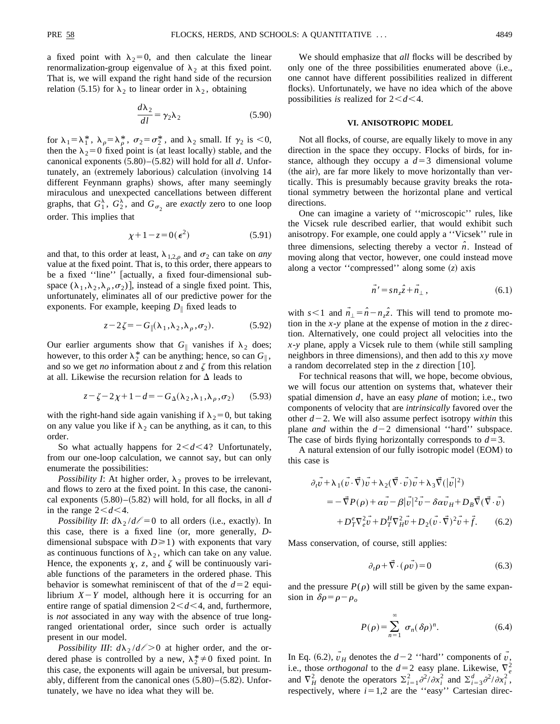a fixed point with  $\lambda_2=0$ , and then calculate the linear renormalization-group eigenvalue of  $\lambda_2$  at this fixed point. That is, we will expand the right hand side of the recursion relation (5.15) for  $\lambda_2$  to linear order in  $\lambda_2$ , obtaining

$$
\frac{d\lambda_2}{dl} = \gamma_2 \lambda_2 \tag{5.90}
$$

for  $\lambda_1 = \lambda_1^*$ ,  $\lambda_\rho = \lambda_\rho^*$ ,  $\sigma_2 = \sigma_2^*$ , and  $\lambda_2$  small. If  $\gamma_2$  is <0, then the  $\lambda_2=0$  fixed point is (at least locally) stable, and the canonical exponents  $(5.80)$ – $(5.82)$  will hold for all *d*. Unfortunately, an (extremely laborious) calculation (involving 14 different Feynmann graphs) shows, after many seemingly miraculous and unexpected cancellations between different graphs, that  $G_1^{\lambda}$ ,  $G_2^{\lambda}$ , and  $G_{\sigma_2}$  are *exactly* zero to one loop order. This implies that

$$
\chi + 1 - z = 0 \, \epsilon^2) \tag{5.91}
$$

and that, to this order at least,  $\lambda_{1,2,\rho}$  and  $\sigma_2$  can take on *any* value at the fixed point. That is, to this order, there appears to be a fixed "line" [actually, a fixed four-dimensional subspace  $(\lambda_1, \lambda_2, \lambda_\rho, \sigma_2)$ , instead of a single fixed point. This, unfortunately, eliminates all of our predictive power for the exponents. For example, keeping  $D_{\parallel}$  fixed leads to

$$
z - 2\zeta = -G_{\parallel}(\lambda_1, \lambda_2, \lambda_\rho, \sigma_2). \tag{5.92}
$$

Our earlier arguments show that  $G_{\parallel}$  vanishes if  $\lambda_2$  does; however, to this order  $\lambda_2^*$  can be anything; hence, so can  $G_{\parallel}$ , and so we get *no* information about  $z$  and  $\zeta$  from this relation at all. Likewise the recursion relation for  $\Delta$  leads to

$$
z - \zeta - 2\chi + 1 - d = -G_{\Delta}(\lambda_2, \lambda_1, \lambda_\rho, \sigma_2)
$$
 (5.93)

with the right-hand side again vanishing if  $\lambda_2=0$ , but taking on any value you like if  $\lambda_2$  can be anything, as it can, to this order.

So what actually happens for  $2 < d < 4$ ? Unfortunately, from our one-loop calculation, we cannot say, but can only enumerate the possibilities:

*Possibility I*: At higher order,  $\lambda_2$  proves to be irrelevant, and flows to zero at the fixed point. In this case, the canonical exponents  $(5.80)$ – $(5.82)$  will hold, for all flocks, in all *d* in the range  $2 < d < 4$ .

*Possibility II:*  $d\lambda_2 / d\ell = 0$  to all orders (i.e., exactly). In this case, there is a fixed line (or, more generally, *D*dimensional subspace with  $D \ge 1$ ) with exponents that vary as continuous functions of  $\lambda_2$ , which can take on any value. Hence, the exponents  $\chi$ , *z*, and  $\zeta$  will be continuously variable functions of the parameters in the ordered phase. This behavior is somewhat reminiscent of that of the  $d=2$  equilibrium  $X-Y$  model, although here it is occurring for an entire range of spatial dimension  $2 < d < 4$ , and, furthermore, is *not* associated in any way with the absence of true longranged orientational order, since such order is actually present in our model.

*Possibility III:*  $d\lambda_2 / d \ell > 0$  at higher order, and the ordered phase is controlled by a new,  $\lambda_2^* \neq 0$  fixed point. In this case, the exponents will again be universal, but presumably, different from the canonical ones  $(5.80)–(5.82)$ . Unfortunately, we have no idea what they will be.

We should emphasize that *all* flocks will be described by only one of the three possibilities enumerated above (i.e., one cannot have different possibilities realized in different flocks). Unfortunately, we have no idea which of the above possibilities *is* realized for  $2 < d < 4$ .

#### **VI. ANISOTROPIC MODEL**

Not all flocks, of course, are equally likely to move in any direction in the space they occupy. Flocks of birds, for instance, although they occupy a  $d=3$  dimensional volume (the air), are far more likely to move horizontally than vertically. This is presumably because gravity breaks the rotational symmetry between the horizontal plane and vertical directions.

One can imagine a variety of ''microscopic'' rules, like the Vicsek rule described earlier, that would exhibit such anisotropy. For example, one could apply a ''Vicsek'' rule in three dimensions, selecting thereby a vector  $n<sub>1</sub>$ . Instead of moving along that vector, however, one could instead move along a vector "compressed" along some  $(z)$  axis

$$
\vec{n'} = s n_z \hat{z} + \vec{n}_{\perp} , \qquad (6.1)
$$

with  $s < 1$  and  $\vec{n}_{\perp} = \hat{n} - n_z \hat{z}$ . This will tend to promote motion in the *x*-*y* plane at the expense of motion in the *z* direction. Alternatively, one could project all velocities into the  $x$ -*y* plane, apply a Vicsek rule to them (while still sampling neighbors in three dimensions), and then add to this  $xy$  move a random decorrelated step in the  $z$  direction  $[10]$ .

For technical reasons that will, we hope, become obvious, we will focus our attention on systems that, whatever their spatial dimension *d*, have an easy *plane* of motion; i.e., two components of velocity that are *intrinsically* favored over the other  $d-2$ . We will also assume perfect isotropy *within* this plane *and* within the  $d-2$  dimensional "hard" subspace. The case of birds flying horizontally corresponds to  $d=3$ .

A natural extension of our fully isotropic model (EOM) to this case is

$$
\partial_t \vec{v} + \lambda_1 (\vec{v} \cdot \vec{\nabla}) \vec{v} + \lambda_2 (\vec{\nabla} \cdot \vec{v}) \vec{v} + \lambda_3 \vec{\nabla} (|\vec{v}|^2) \n= -\vec{\nabla} P(\rho) + \alpha \vec{v} - \beta |\vec{v}|^2 \vec{v} - \delta \alpha \vec{v}_H + D_B \vec{\nabla} (\vec{\nabla} \cdot \vec{v}) \n+ D_F^e \nabla_e^2 \vec{v} + D_T^H \nabla_H^2 \vec{v} + D_2 (\vec{v} \cdot \vec{\nabla})^2 \vec{v} + \vec{f}.
$$
\n(6.2)

Mass conservation, of course, still applies:

$$
\partial_t \rho + \vec{\nabla} \cdot (\rho \vec{v}) = 0 \tag{6.3}
$$

and the pressure  $P(\rho)$  will still be given by the same expansion in  $\delta \rho = \rho - \rho_o$ 

$$
P(\rho) = \sum_{n=1}^{\infty} \sigma_n (\delta \rho)^n.
$$
 (6.4)

In Eq. (6.2),  $v_H$  denotes the  $d-2$  "hard" components of  $v$ , i.e., those *orthogonal* to the  $d=2$  easy plane. Likewise,  $\nabla_e^2$ and  $\nabla_H^2$  denote the operators  $\sum_{i=1}^2 \frac{\partial^2}{\partial x_i^2}$  and  $\sum_{i=3}^d \frac{\partial^2}{\partial x_i^2}$ , respectively, where  $i=1,2$  are the "easy" Cartesian direc-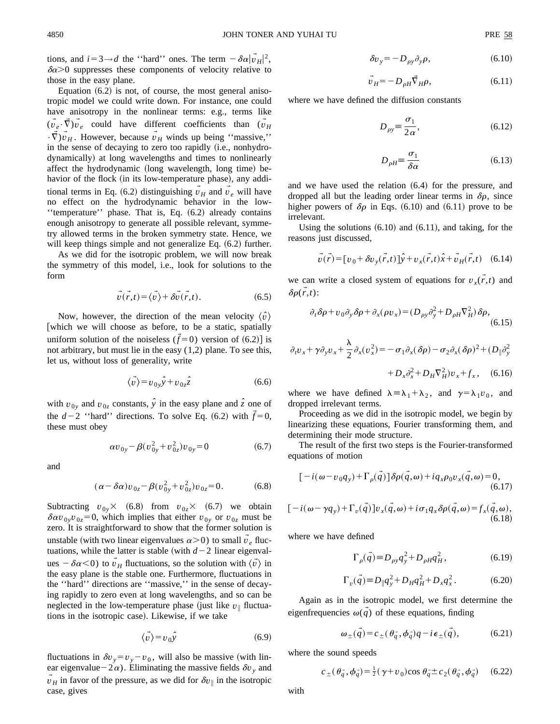tions, and  $i=3\rightarrow d$  the ''hard'' ones. The term  $-\delta\alpha|\vec{v}_H|^2$ ,  $\delta \alpha$  > 0 suppresses these components of velocity relative to those in the easy plane.

Equation  $(6.2)$  is not, of course, the most general anisotropic model we could write down. For instance, one could have anisotropy in the nonlinear terms: e.g., terms like  $(\vec{v}_e \cdot \vec{\nabla}) \vec{v}_e$  could have different coefficients than  $(v_H)$  $\cdot \vec{\nabla} \times \vec{v}_H$ . However, because  $\vec{v}_H$  winds up being "massive," in the sense of decaying to zero too rapidly (i.e., nonhydrodynamically) at long wavelengths and times to nonlinearly affect the hydrodynamic (long wavelength, long time) behavior of the flock (in its low-temperature phase), any additional terms in Eq. (6.2) distinguishing  $\vec{v}_H$  and  $\vec{v}_e$  will have no effect on the hydrodynamic behavior in the low- "temperature" phase. That is, Eq.  $(6.2)$  already contains enough anisotropy to generate all possible relevant, symmetry allowed terms in the broken symmetry state. Hence, we will keep things simple and not generalize Eq.  $(6.2)$  further.

As we did for the isotropic problem, we will now break the symmetry of this model, i.e., look for solutions to the form

$$
\vec{v}(\vec{r},t) = \langle \vec{v} \rangle + \delta \vec{v}(\vec{r},t). \tag{6.5}
$$

Now, however, the direction of the mean velocity  $\langle \hat{v} \rangle$ [which we will choose as before, to be a static, spatially uniform solution of the noiseless  $(\vec{f}=0)$  version of  $(6.2)$  is not arbitrary, but must lie in the easy (1,2) plane. To see this, let us, without loss of generality, write

$$
\langle \vec{v} \rangle = v_{0y} \hat{y} + v_{0z} \hat{z}
$$
 (6.6)

with  $v_{0y}$  and  $v_{0z}$  constants,  $\hat{y}$  in the easy plane and  $\hat{z}$  one of the  $d-2$  "hard" directions. To solve Eq. (6.2) with  $\vec{f} = 0$ , these must obey

$$
\alpha v_{0y} - \beta (v_{0y}^2 + v_{0z}^2) v_{0y} = 0 \tag{6.7}
$$

and

$$
(\alpha - \delta \alpha) v_{0z} - \beta (v_{0y}^2 + v_{0z}^2) v_{0z} = 0.
$$
 (6.8)

Subtracting  $v_{0y}$ <sup>\(6.8)</sup> from  $v_{0z}$ <sup>\(6.7)</sup> we obtain  $\delta \alpha v_{0y}v_{0z} = 0$ , which implies that either  $v_{0y}$  or  $v_{0z}$  must be zero. It is straightforward to show that the former solution is unstable (with two linear eigenvalues  $\alpha$ >0) to small  $\bar{v}_e$  fluctuations, while the latter is stable (with  $d-2$  linear eigenvalues  $-\delta \alpha \langle 0 \rangle$  to  $v_H$  fluctuations, so the solution with  $\langle \vec{v} \rangle$  in the easy plane is the stable one. Furthermore, fluctuations in the ''hard'' directions are ''massive,'' in the sense of decaying rapidly to zero even at long wavelengths, and so can be neglected in the low-temperature phase (just like  $v_{\parallel}$  fluctuations in the isotropic case). Likewise, if we take

$$
\langle \vec{v} \rangle = v_0 \hat{y} \tag{6.9}
$$

fluctuations in  $\delta v_y = v_y - v_0$ , will also be massive (with linear eigenvalue –  $2\alpha$ ). Eliminating the massive fields  $\delta v_y$  and  $v_H$  in favor of the pressure, as we did for  $\delta v_{\parallel}$  in the isotropic case, gives

$$
\delta v_y = -D_{\rho y} \partial_y \rho, \qquad (6.10)
$$

$$
\vec{v}_H = -D_{\rho H}\vec{\nabla}_H \rho, \qquad (6.11)
$$

where we have defined the diffusion constants

$$
D_{\rho y} = \frac{\sigma_1}{2\alpha},\tag{6.12}
$$

$$
D_{\rho H} \equiv \frac{\sigma_1}{\delta \alpha} \tag{6.13}
$$

and we have used the relation  $(6.4)$  for the pressure, and dropped all but the leading order linear terms in  $\delta \rho$ , since higher powers of  $\delta \rho$  in Eqs. (6.10) and (6.11) prove to be irrelevant.

Using the solutions  $(6.10)$  and  $(6.11)$ , and taking, for the reasons just discussed,

$$
\vec{v}(\vec{r}) = [v_0 + \delta v_y(\vec{r}, t)]\hat{y} + v_x(\vec{r}, t)\hat{x} + \vec{v}_H(\vec{r}, t) \quad (6.14)
$$

we can write a closed system of equations for  $v_x(\vec{r},t)$  and  $\delta \rho(\vec{r},t)$ :

$$
\partial_t \delta \rho + v_0 \partial_y \delta \rho + \partial_x (\rho v_x) = (D_{\rho y} \partial_y^2 + D_{\rho H} \nabla_H^2) \delta \rho, \tag{6.15}
$$

$$
\partial_t v_x + \gamma \partial_y v_x + \frac{\lambda}{2} \partial_x (v_x^2) = -\sigma_1 \partial_x (\delta \rho) - \sigma_2 \partial_x (\delta \rho)^2 + (D_{\parallel} \partial_y^2 + D_x \partial_x^2 + D_H \nabla_H^2) v_x + f_x, \quad (6.16)
$$

where we have defined  $\lambda = \lambda_1 + \lambda_2$ , and  $\gamma = \lambda_1 v_0$ , and dropped irrelevant terms.

Proceeding as we did in the isotropic model, we begin by linearizing these equations, Fourier transforming them, and determining their mode structure.

The result of the first two steps is the Fourier-transformed equations of motion

$$
[-i(\omega - v_0 q_y) + \Gamma_\rho(\vec{q})] \delta\rho(\vec{q}, \omega) + i q_x \rho_0 v_x(\vec{q}, \omega) = 0,
$$
\n(6.17)

$$
[-i(\omega-\gamma q_{y})+\Gamma_{v}(\vec{q})]v_{x}(\vec{q},\omega)+i\sigma_{1}q_{x}\delta\rho(\vec{q},\omega)=f_{x}(\vec{q},\omega),
$$
\n(6.18)

where we have defined

$$
\Gamma_{\rho}(\vec{q}) \equiv D_{\rho y} q_{y}^{2} + D_{\rho H} q_{H}^{2}, \qquad (6.19)
$$

$$
\Gamma_v(\vec{q}) \equiv D_{\parallel}q_y^2 + D_H q_H^2 + D_x q_x^2. \tag{6.20}
$$

Again as in the isotropic model, we first determine the eigenfrequencies  $\omega(\vec{q})$  of these equations, finding

$$
\omega_{\pm}(\vec{q}) = c_{\pm}(\theta_{\vec{q}}, \phi_{\vec{q}})q - i\epsilon_{\pm}(\vec{q}), \qquad (6.21)
$$

where the sound speeds

$$
c_{\pm}(\theta_{q}^{*}, \phi_{q}^{*}) = \frac{1}{2}(\gamma + v_{0})\cos\theta_{q}^{*} \pm c_{2}(\theta_{q}^{*}, \phi_{q}^{*}) \quad (6.22)
$$

with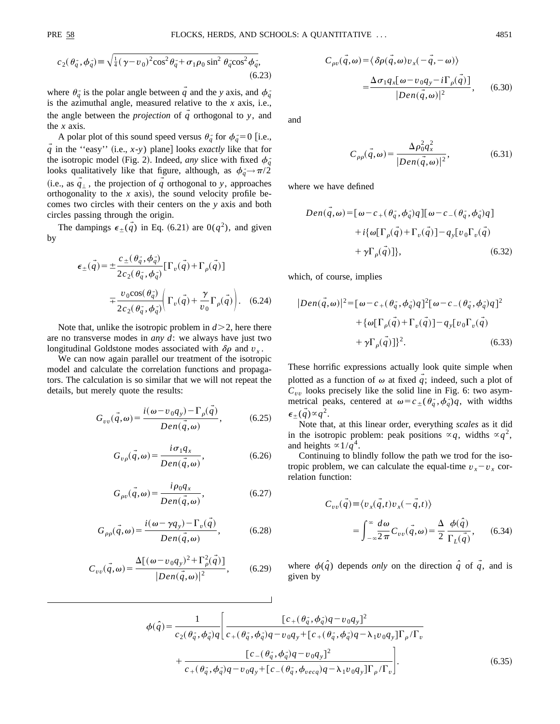$$
c_2(\theta_q^*, \phi_q^*) \equiv \sqrt{\frac{1}{4}(\gamma - v_0)^2 \cos^2 \theta_q^* + \sigma_1 \rho_0 \sin^2 \theta_q^* \cos^2 \phi_q^*},
$$
\n(6.23)

where  $\theta_q^*$  is the polar angle between  $\vec{q}$  and the *y* axis, and  $\phi_q^*$ is the azimuthal angle, measured relative to the *x* axis, i.e., the angle between the *projection* of  $\overrightarrow{q}$  orthogonal to *y*, and the *x* axis.

A polar plot of this sound speed versus  $\theta_{\vec{q}}$  for  $\phi_{\vec{q}} = 0$  [i.e.,  $\tilde{q}$  in the "easy" (i.e., *x*-*y*) plane] looks *exactly* like that for the isotropic model (Fig. 2). Indeed, *any* slice with fixed  $\phi_q^*$ looks qualitatively like that figure, although, as  $\phi_q^* \rightarrow \pi/2$ (i.e., as  $\vec{q}_{\perp}$ , the projection of  $\vec{q}$  orthogonal to *y*, approaches orthogonality to the  $x$  axis), the sound velocity profile becomes two circles with their centers on the *y* axis and both circles passing through the origin.

The dampings  $\epsilon_{\pm}(\vec{q})$  in Eq. (6.21) are  $0(q^2)$ , and given by

$$
\epsilon_{\pm}(\vec{q}) = \pm \frac{c_{\pm}(\theta_{\vec{q}}^{\dagger}, \phi_{\vec{q}})}{2c_2(\theta_{\vec{q}}^{\dagger}, \phi_{\vec{q}})} [\Gamma_v(\vec{q}) + \Gamma_\rho(\vec{q})]
$$

$$
= \frac{v_0 \cos(\theta_{\vec{q}}^{\dagger})}{2c_2(\theta_{\vec{q}}^{\dagger}, \phi_{\vec{q}})} \Big(\Gamma_v(\vec{q}) + \frac{\gamma}{v_0} \Gamma_\rho(\vec{q})\Big). \quad (6.24)
$$

Note that, unlike the isotropic problem in  $d > 2$ , here there are no transverse modes in *any d*: we always have just two longitudinal Goldstone modes associated with  $\delta \rho$  and  $v_x$ .

We can now again parallel our treatment of the isotropic model and calculate the correlation functions and propagators. The calculation is so similar that we will not repeat the details, but merely quote the results:

$$
G_{vv}(\vec{q}, \omega) = \frac{i(\omega - v_0 q_y) - \Gamma_\rho(\vec{q})}{Den(\vec{q}, \omega)},
$$
(6.25)

$$
G_{v\rho}(\vec{q}, \omega) = \frac{i\sigma_1 q_x}{Den(\vec{q}, \omega)},
$$
\n(6.26)

$$
G_{\rho v}(\vec{q}, \omega) = \frac{i\rho_0 q_x}{Den(\vec{q}, \omega)},
$$
\n(6.27)

$$
G_{\rho\rho}(\vec{q},\omega) = \frac{i(\omega - \gamma q_y) - \Gamma_v(\vec{q})}{Den(\vec{q},\omega)},
$$
(6.28)

$$
C_{vv}(\vec{q}, \omega) = \frac{\Delta [(\omega - v_0 q_y)^2 + \Gamma_\rho^2(\vec{q})]}{|Den(\vec{q}, \omega)|^2},
$$
 (6.29)

$$
C_{\rho v}(\vec{q}, \omega) = \langle \delta \rho(\vec{q}, \omega) v_x(-\vec{q}, -\omega) \rangle
$$
  
= 
$$
\frac{\Delta \sigma_1 q_x [\omega - v_0 q_y - i \Gamma_\rho(\vec{q})]}{|D e n(\vec{q}, \omega)|^2},
$$
 (6.30)

and

$$
C_{\rho\rho}(\vec{q},\omega) = \frac{\Delta \rho_0^2 q_x^2}{|Den(\vec{q},\omega)|^2},
$$
\n(6.31)

where we have defined

$$
Den(\vec{q}, \omega) = [\omega - c_+(\theta_{\vec{q}}, \phi_{\vec{q}})q][\omega - c_-(\theta_{\vec{q}}, \phi_{\vec{q}})q]
$$
  
+  $i{\omega[\Gamma_{\rho}(\vec{q}) + \Gamma_{v}(\vec{q})] - q_y[v_0\Gamma_{v}(\vec{q})]}$   
+  $\gamma \Gamma_{\rho}(\vec{q})]$ , (6.32)

which, of course, implies

$$
|Den(\vec{q}, \omega)|^2 = [\omega - c_+(\theta_{\vec{q}}, \phi_{\vec{q}})q]^2 [\omega - c_-(\theta_{\vec{q}}, \phi_{\vec{q}})q]^2
$$
  
+ 
$$
\{\omega[\Gamma_\rho(\vec{q}) + \Gamma_\nu(\vec{q})] - q_y[v_0\Gamma_\nu(\vec{q})] + \gamma \Gamma_\rho(\vec{q})]\}^2.
$$
(6.33)

These horrific expressions actually look quite simple when plotted as a function of  $\omega$  at fixed  $\tilde{q}$ ; indeed, such a plot of  $C_{vv}$  looks precisely like the solid line in Fig. 6: two asymmetrical peaks, centered at  $\omega = c_{\pm}(\theta_q^*, \phi_q^*)q$ , with widths  $\epsilon_{\pm}(\vec{q}) \propto q^2$ .

Note that, at this linear order, everything *scales* as it did in the isotropic problem: peak positions  $\alpha q$ , widths  $\alpha q^2$ , and heights  $\propto 1/q^4$ .

Continuing to blindly follow the path we trod for the isotropic problem, we can calculate the equal-time  $v_x - v_x$  correlation function:

$$
C_{vv}(\vec{q}) \equiv \langle v_x(\vec{q},t)v_x(-\vec{q},t) \rangle
$$
  
= 
$$
\int_{-\infty}^{\infty} \frac{d\omega}{2\pi} C_{vv}(\vec{q},\omega) = \frac{\Delta}{2} \frac{\phi(\hat{q})}{\Gamma_L(\vec{q})},
$$
 (6.34)

where  $\phi(\hat{q})$  depends *only* on the direction  $\hat{q}$  of  $\vec{q}$ , and is given by

$$
\phi(\hat{q}) = \frac{1}{c_2(\theta_q^-, \phi_q^*)q} \left[ \frac{[c_+(\theta_q^-, \phi_q^*)q - v_0 q_y]^2}{c_+(\theta_q^-, \phi_q^*)q - v_0 q_y + [c_+(\theta_q^-, \phi_q^*)q - \lambda_1 v_0 q_y] \Gamma_\rho / \Gamma_v} + \frac{[c_-(\theta_q^-, \phi_q^*)q - v_0 q_y]^2}{c_+(\theta_q^-, \phi_q^*)q - v_0 q_y + [c_-(\theta_q^-, \phi_{vecq})q - \lambda_1 v_0 q_y] \Gamma_\rho / \Gamma_v} \right].
$$
\n(6.35)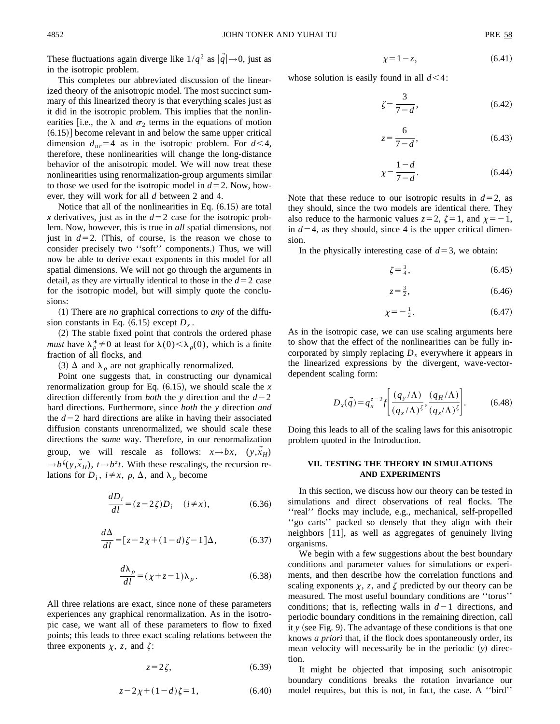These fluctuations again diverge like  $1/q^2$  as  $|\bar{q}| \rightarrow 0$ , just as in the isotropic problem.

This completes our abbreviated discussion of the linearized theory of the anisotropic model. The most succinct summary of this linearized theory is that everything scales just as it did in the isotropic problem. This implies that the nonlinearities [i.e., the  $\lambda$  and  $\sigma_2$  terms in the equations of motion  $(6.15)$  become relevant in and below the same upper critical dimension  $d_{uc}=4$  as in the isotropic problem. For  $d<4$ , therefore, these nonlinearities will change the long-distance behavior of the anisotropic model. We will now treat these nonlinearities using renormalization-group arguments similar to those we used for the isotropic model in  $d=2$ . Now, however, they will work for all *d* between 2 and 4.

Notice that all of the nonlinearities in Eq.  $(6.15)$  are total *x* derivatives, just as in the  $d=2$  case for the isotropic problem. Now, however, this is true in *all* spatial dimensions, not just in  $d=2$ . (This, of course, is the reason we chose to consider precisely two "soft" components.) Thus, we will now be able to derive exact exponents in this model for all spatial dimensions. We will not go through the arguments in detail, as they are virtually identical to those in the  $d=2$  case for the isotropic model, but will simply quote the conclusions:

 $(1)$  There are *no* graphical corrections to *any* of the diffusion constants in Eq.  $(6.15)$  except  $D<sub>x</sub>$ .

(2) The stable fixed point that controls the ordered phase *must* have  $\lambda_p^* \neq 0$  at least for  $\lambda(0) \leq \lambda_p(0)$ , which is a finite fraction of all flocks, and

 $(3)$   $\Delta$  and  $\lambda$ <sub>o</sub> are not graphically renormalized.

Point one suggests that, in constructing our dynamical renormalization group for Eq.  $(6.15)$ , we should scale the *x* direction differently from *both* the *y* direction and the  $d-2$ hard directions. Furthermore, since *both* the *y* direction *and* the  $d-2$  hard directions are alike in having their associated diffusion constants unrenormalized, we should scale these directions the *same* way. Therefore, in our renormalization group, we will rescale as follows:  $x \rightarrow bx$ ,  $(y, x_H)$  $\rightarrow b^{\zeta}(y, x_H)$ ,  $t \rightarrow b^z t$ . With these rescalings, the recursion relations for  $D_i$ ,  $i \neq x$ ,  $\rho$ ,  $\Delta$ , and  $\lambda_\rho$  become

$$
\frac{dD_i}{dl} = (z - 2\zeta)D_i \quad (i \neq x), \tag{6.36}
$$

$$
\frac{d\Delta}{dl} = [z - 2\chi + (1 - d)\zeta - 1]\Delta, \tag{6.37}
$$

$$
\frac{d\lambda_{\rho}}{dl} = (\chi + z - 1)\lambda_{\rho}.
$$
 (6.38)

All three relations are exact, since none of these parameters experiences any graphical renormalization. As in the isotropic case, we want all of these parameters to flow to fixed points; this leads to three exact scaling relations between the three exponents  $\chi$ ,  $z$ , and  $\zeta$ :

$$
z = 2\zeta,\tag{6.39}
$$

$$
z - 2\chi + (1 - d)\zeta = 1,\tag{6.40}
$$

$$
\chi = 1 - z,\tag{6.41}
$$

whose solution is easily found in all  $d$  < 4:

$$
\zeta = \frac{3}{7 - d},\tag{6.42}
$$

$$
z = \frac{6}{7 - d},\tag{6.43}
$$

$$
\chi = \frac{1-d}{7-d}.\tag{6.44}
$$

Note that these reduce to our isotropic results in  $d=2$ , as they should, since the two models are identical there. They also reduce to the harmonic values  $z=2$ ,  $\zeta=1$ , and  $\chi=-1$ , in  $d=4$ , as they should, since 4 is the upper critical dimension.

In the physically interesting case of  $d=3$ , we obtain:

$$
\zeta = \frac{3}{4},\tag{6.45}
$$

$$
z = \frac{3}{2},\tag{6.46}
$$

$$
\chi = -\frac{1}{2}.\tag{6.47}
$$

As in the isotropic case, we can use scaling arguments here to show that the effect of the nonlinearities can be fully incorporated by simply replacing  $D<sub>x</sub>$  everywhere it appears in the linearized expressions by the divergent, wave-vectordependent scaling form:

$$
D_x(\vec{q}) = q_x^{z-2} f\left[\frac{(q_y/\Lambda)}{(q_x/\Lambda)^{\zeta}}, \frac{(q_H/\Lambda)}{(q_x/\Lambda)^{\zeta}}\right].
$$
 (6.48)

Doing this leads to all of the scaling laws for this anisotropic problem quoted in the Introduction.

# **VII. TESTING THE THEORY IN SIMULATIONS AND EXPERIMENTS**

In this section, we discuss how our theory can be tested in simulations and direct observations of real flocks. The ''real'' flocks may include, e.g., mechanical, self-propelled ''go carts'' packed so densely that they align with their neighbors  $[11]$ , as well as aggregates of genuinely living organisms.

We begin with a few suggestions about the best boundary conditions and parameter values for simulations or experiments, and then describe how the correlation functions and scaling exponents  $\chi$ ,  $z$ , and  $\zeta$  predicted by our theory can be measured. The most useful boundary conditions are ''torus'' conditions; that is, reflecting walls in  $d-1$  directions, and periodic boundary conditions in the remaining direction, call it  $y$  (see Fig. 9). The advantage of these conditions is that one knows *a priori* that, if the flock does spontaneously order, its mean velocity will necessarily be in the periodic (y) direction.

It might be objected that imposing such anisotropic boundary conditions breaks the rotation invariance our model requires, but this is not, in fact, the case. A ''bird''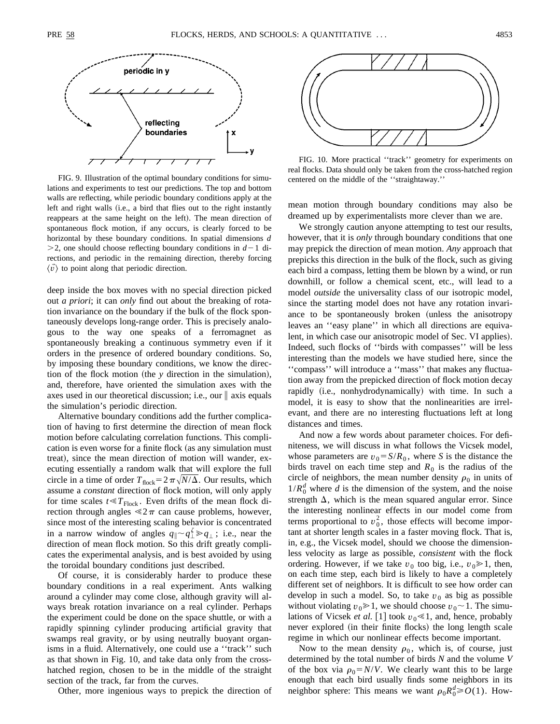

FIG. 9. Illustration of the optimal boundary conditions for simulations and experiments to test our predictions. The top and bottom walls are reflecting, while periodic boundary conditions apply at the left and right walls  $(i.e., a bird that flies out to the right instantly)$ reappears at the same height on the left). The mean direction of spontaneous flock motion, if any occurs, is clearly forced to be horizontal by these boundary conditions. In spatial dimensions *d*  $>$ 2, one should choose reflecting boundary conditions in *d* – 1 directions, and periodic in the remaining direction, thereby forcing  $\langle \vec{v} \rangle$  to point along that periodic direction.

deep inside the box moves with no special direction picked out *a priori*; it can *only* find out about the breaking of rotation invariance on the boundary if the bulk of the flock spontaneously develops long-range order. This is precisely analogous to the way one speaks of a ferromagnet as spontaneously breaking a continuous symmetry even if it orders in the presence of ordered boundary conditions. So, by imposing these boundary conditions, we know the direction of the flock motion (the *y* direction in the simulation), and, therefore, have oriented the simulation axes with the axes used in our theoretical discussion; i.e., our  $\parallel$  axis equals the simulation's periodic direction.

Alternative boundary conditions add the further complication of having to first determine the direction of mean flock motion before calculating correlation functions. This complication is even worse for a finite flock (as any simulation must treat), since the mean direction of motion will wander, executing essentially a random walk that will explore the full circle in a time of order  $T_{\text{flock}}=2\pi\sqrt{N/\Delta}$ . Our results, which assume a *constant* direction of flock motion, will only apply for time scales  $t \ll T_{Flock}$ . Even drifts of the mean flock direction through angles  $\leq 2\pi$  can cause problems, however, since most of the interesting scaling behavior is concentrated in a narrow window of angles  $q_{\parallel} \sim q_{\perp}^{\zeta} \geqslant q_{\perp}$ ; i.e., near the direction of mean flock motion. So this drift greatly complicates the experimental analysis, and is best avoided by using the toroidal boundary conditions just described.

Of course, it is considerably harder to produce these boundary conditions in a real experiment. Ants walking around a cylinder may come close, although gravity will always break rotation invariance on a real cylinder. Perhaps the experiment could be done on the space shuttle, or with a rapidly spinning cylinder producing artificial gravity that swamps real gravity, or by using neutrally buoyant organisms in a fluid. Alternatively, one could use a ''track'' such as that shown in Fig. 10, and take data only from the crosshatched region, chosen to be in the middle of the straight section of the track, far from the curves.

Other, more ingenious ways to prepick the direction of



FIG. 10. More practical ''track'' geometry for experiments on real flocks. Data should only be taken from the cross-hatched region centered on the middle of the ''straightaway.''

mean motion through boundary conditions may also be dreamed up by experimentalists more clever than we are.

We strongly caution anyone attempting to test our results, however, that it is *only* through boundary conditions that one may prepick the direction of mean motion. *Any* approach that prepicks this direction in the bulk of the flock, such as giving each bird a compass, letting them be blown by a wind, or run downhill, or follow a chemical scent, etc., will lead to a model *outside* the universality class of our isotropic model, since the starting model does not have any rotation invariance to be spontaneously broken (unless the anisotropy leaves an ''easy plane'' in which all directions are equivalent, in which case our anisotropic model of Sec. VI applies). Indeed, such flocks of ''birds with compasses'' will be less interesting than the models we have studied here, since the ''compass'' will introduce a ''mass'' that makes any fluctuation away from the prepicked direction of flock motion decay rapidly (i.e., nonhydrodynamically) with time. In such a model, it is easy to show that the nonlinearities are irrelevant, and there are no interesting fluctuations left at long distances and times.

And now a few words about parameter choices. For definiteness, we will discuss in what follows the Vicsek model, whose parameters are  $v_0 = S/R_0$ , where *S* is the distance the birds travel on each time step and  $R_0$  is the radius of the circle of neighbors, the mean number density  $\rho_0$  in units of  $1/R_0^d$  where *d* is the dimension of the system, and the noise strength  $\Delta$ , which is the mean squared angular error. Since the interesting nonlinear effects in our model come from terms proportional to  $v_0^2$ , those effects will become important at shorter length scales in a faster moving flock. That is, in, e.g., the Vicsek model, should we choose the dimensionless velocity as large as possible, *consistent* with the flock ordering. However, if we take  $v_0$  too big, i.e.,  $v_0 \ge 1$ , then, on each time step, each bird is likely to have a completely different set of neighbors. It is difficult to see how order can develop in such a model. So, to take  $v_0$  as big as possible without violating  $v_0 \ge 1$ , we should choose  $v_0 \sim 1$ . The simulations of Vicsek *et al.* [1] took  $v_0 \ll 1$ , and, hence, probably never explored (in their finite flocks) the long length scale regime in which our nonlinear effects become important.

Now to the mean density  $\rho_0$ , which is, of course, just determined by the total number of birds *N* and the volume *V* of the box via  $\rho_0 = N/V$ . We clearly want this to be large enough that each bird usually finds some neighbors in its neighbor sphere: This means we want  $\rho_0 R_0^d \ge O(1)$ . How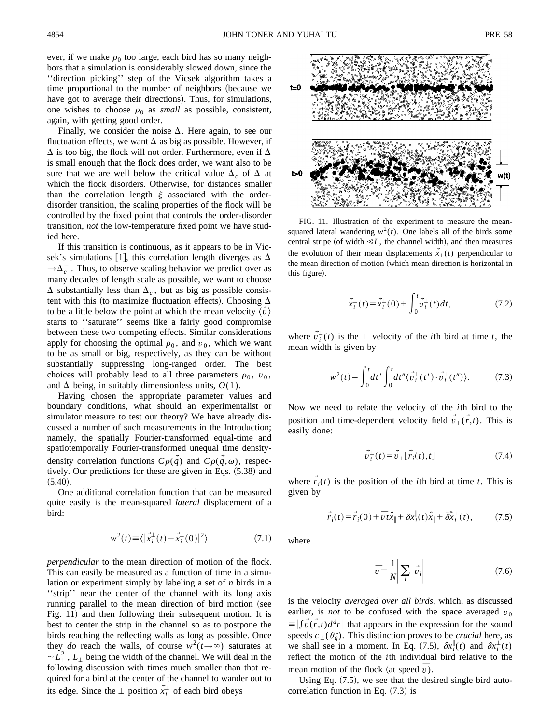ever, if we make  $\rho_0$  too large, each bird has so many neighbors that a simulation is considerably slowed down, since the ''direction picking'' step of the Vicsek algorithm takes a time proportional to the number of neighbors (because we have got to average their directions). Thus, for simulations, one wishes to choose  $\rho_0$  as *small* as possible, consistent, again, with getting good order.

Finally, we consider the noise  $\Delta$ . Here again, to see our fluctuation effects, we want  $\Delta$  as big as possible. However, if  $\Delta$  is too big, the flock will not order. Furthermore, even if  $\Delta$ is small enough that the flock does order, we want also to be sure that we are well below the critical value  $\Delta_c$  of  $\Delta$  at which the flock disorders. Otherwise, for distances smaller than the correlation length  $\xi$  associated with the orderdisorder transition, the scaling properties of the flock will be controlled by the fixed point that controls the order-disorder transition, *not* the low-temperature fixed point we have studied here.

If this transition is continuous, as it appears to be in Vicsek's simulations [1], this correlation length diverges as  $\Delta$  $\rightarrow \Delta_c^-$ . Thus, to observe scaling behavior we predict over as many decades of length scale as possible, we want to choose  $\Delta$  substantially less than  $\Delta_c$ , but as big as possible consistent with this (to maximize fluctuation effects). Choosing  $\Delta$ to be a little below the point at which the mean velocity  $\langle \hat{v} \rangle$ starts to ''saturate'' seems like a fairly good compromise between these two competing effects. Similar considerations apply for choosing the optimal  $\rho_0$ , and  $v_0$ , which we want to be as small or big, respectively, as they can be without substantially suppressing long-ranged order. The best choices will probably lead to all three parameters  $\rho_0$ ,  $v_0$ , and  $\Delta$  being, in suitably dimensionless units,  $O(1)$ .

Having chosen the appropriate parameter values and boundary conditions, what should an experimentalist or simulator measure to test our theory? We have already discussed a number of such measurements in the Introduction; namely, the spatially Fourier-transformed equal-time and spatiotemporally Fourier-transformed unequal time densitydensity correlation functions  $C\rho(q)$  and  $C\rho(q,\omega)$ , respectively. Our predictions for these are given in Eqs. (5.38) and  $(5.40).$ 

One additional correlation function that can be measured quite easily is the mean-squared *lateral* displacement of a bird:

$$
w^2(t) \equiv \langle |\vec{x}_i^\perp(t) - \vec{x}_i^\perp(0)|^2 \rangle \tag{7.1}
$$

*perpendicular* to the mean direction of motion of the flock. This can easily be measured as a function of time in a simulation or experiment simply by labeling a set of *n* birds in a ''strip'' near the center of the channel with its long axis running parallel to the mean direction of bird motion (see Fig. 11) and then following their subsequent motion. It is best to center the strip in the channel so as to postpone the birds reaching the reflecting walls as long as possible. Once they *do* reach the walls, of course  $w^2(t\rightarrow\infty)$  saturates at  $\sim L_{\perp}^2$ ,  $L_{\perp}$  being the width of the channel. We will deal in the following discussion with times much smaller than that required for a bird at the center of the channel to wander out to its edge. Since the  $\perp$  position  $\vec{x}_i^{\perp}$  of each bird obeys



FIG. 11. Illustration of the experiment to measure the meansquared lateral wandering  $w^2(t)$ . One labels all of the birds some central stripe (of width  $\ll L$ , the channel width), and then measures the evolution of their mean displacements  $\hat{x}_{\perp}(t)$  perpendicular to the mean direction of motion (which mean direction is horizontal in this figure).

$$
\vec{x}_i^{\perp}(t) = \vec{x}_i^{\perp}(0) + \int_0^t \vec{v}_i^{\perp}(t)dt, \tag{7.2}
$$

where  $\vec{v}_i^{\perp}(t)$  is the  $\perp$  velocity of the *i*th bird at time *t*, the mean width is given by

$$
w^2(t) = \int_0^t dt' \int_0^t dt'' \langle \vec{v}_i^{\perp}(t') \cdot \vec{v}_i^{\perp}(t'') \rangle.
$$
 (7.3)

Now we need to relate the velocity of the *i*th bird to the position and time-dependent velocity field  $\vec{v}_{\perp}(\vec{r},t)$ . This is easily done:

$$
\vec{v}_i^{\perp}(t) = \vec{v}_{\perp} [\vec{r}_i(t), t] \tag{7.4}
$$

where  $\vec{r}_i(t)$  is the position of the *i*th bird at time *t*. This is given by

$$
\vec{r}_i(t) = \vec{r}_i(0) + \vec{v}t\hat{x}_{\parallel} + \delta x_i^{\parallel}(t)\hat{x}_{\parallel} + \overrightarrow{\delta x}_i^{\perp}(t), \qquad (7.5)
$$

where

$$
\bar{v} = \frac{1}{N} \left| \sum_{i} \vec{v}_i \right| \tag{7.6}
$$

is the velocity *averaged over all birds*, which, as discussed earlier, is *not* to be confused with the space averaged  $v_0$  $\equiv \left| \int \vec{v}(\vec{r},t) d^d r \right|$  that appears in the expression for the sound speeds  $c_{\pm}(\theta_q)$ . This distinction proves to be *crucial* here, as we shall see in a moment. In Eq. (7.5),  $\delta x_i^{\parallel}(t)$  and  $\delta x_i^{\perp}(t)$ reflect the motion of the *i*th individual bird relative to the mean motion of the flock (at speed  $\bar{v}$ ).

Using Eq.  $(7.5)$ , we see that the desired single bird autocorrelation function in Eq.  $(7.3)$  is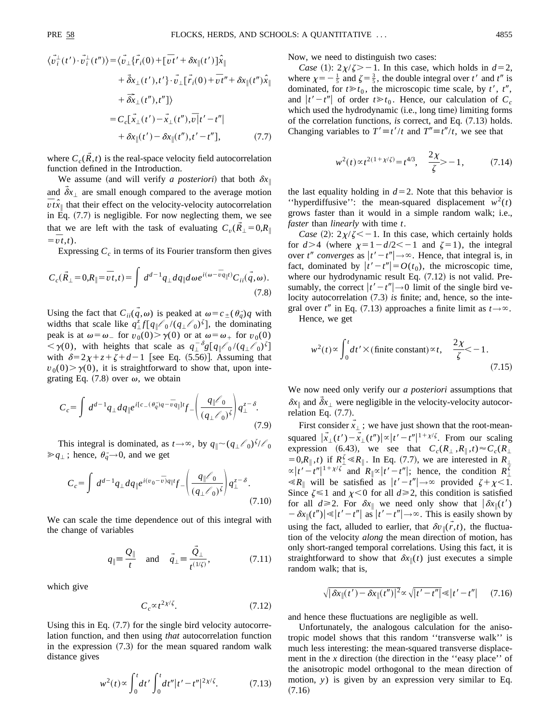$$
\langle \vec{v}_i^{\perp}(t') \cdot \vec{v}_i^{\perp}(t'') \rangle = \langle \vec{v}_{\perp} \{ \vec{r}_i(0) + [\bar{v}t' + \delta x_{\parallel}(t')] \hat{x}_{\parallel} \n+ \delta x_{\perp}(t'), t' \} \cdot \vec{v}_{\perp} [\vec{r}_i(0) + \bar{v}t'' + \delta x_{\parallel}(t'') \hat{x}_{\parallel} \n+ \delta \vec{x}_{\perp}(t''), t'' ] \rangle \n= C_c [\vec{x}_{\perp}(t') - \vec{x}_{\perp}(t''), \bar{v}] t' - t'' | \n+ \delta x_{\parallel}(t') - \delta x_{\parallel}(t''), t' - t'' ], \qquad (7.7)
$$

where  $C_c(\tilde{R},t)$  is the real-space velocity field autocorrelation function defined in the Introduction.

We assume (and will verify *a posteriori*) that both  $\delta x_{\parallel}$ and  $\delta x_{\perp}$  are small enough compared to the average motion  $\overline{v} t\hat{x}_{\parallel}$  that their effect on the velocity-velocity autocorrelation in Eq.  $(7.7)$  is negligible. For now neglecting them, we see that we are left with the task of evaluating  $C_v(R_1 = 0, R_{\parallel})$  $=\overline{v}t,t$ .

Expressing  $C_c$  in terms of its Fourier transform then gives

$$
C_c(\vec{R}_{\perp} = 0, R_{\parallel} = \overline{\nu}t, t) = \int d^{d-1}q_{\perp} dq_{\parallel} d\omega e^{i(\omega - \overline{\nu}q_{\parallel}t)} C_{ii}(\vec{q}, \omega).
$$
\n(7.8)

Using the fact that  $C_{ii}(\vec{q},\omega)$  is peaked at  $\omega = c_{\pm}(\theta_{\vec{q}})q$  with widths that scale like  $q_{\perp}^z f [q_{\parallel} \ell_0 / (q_{\perp} \ell_0)^{\zeta}]$ , the dominating peak is at  $\omega = \omega_{-}$  for  $v_0(0) > \gamma(0)$  or at  $\omega = \omega_{+}$  for  $v_0(0)$  $\langle \gamma(0), \text{ with heights that scale as } q_\perp^{-\delta} g [q] \ell_0 / (q_\perp \ell_0)^{\delta}$ with  $\delta=2\chi+z+\zeta+d-1$  [see Eq. (5.56)]. Assuming that  $v_0(0)$   $\gamma$ (0), it is straightforward to show that, upon integrating Eq.  $(7.8)$  over  $\omega$ , we obtain

$$
C_c = \int d^{d-1}q_{\perp} dq_{\parallel} e^{i[c_{\perp}(\theta_q^{\perp})q - \bar{v}q_{\parallel}]t} f_{\perp} \left( \frac{q_{\parallel} \ell_0}{(q_{\perp} \ell_0)^{\zeta}} \right) q_{\perp}^{z - \delta}.
$$
\n(7.9)

This integral is dominated, as  $t \rightarrow \infty$ , by  $q_{\parallel} \sim (q_{\perp} \ell_0)^{5/2}$  $\gg q_{\perp}$ ; hence,  $\theta_q^{\sim} \rightarrow 0$ , and we get

$$
C_c = \int d^{d-1}q_{\perp} dq_{\parallel} e^{i(v_0 - \bar{v})q_{\parallel}t} f_{-}\left(\frac{q_{\parallel} \ell_0}{(q_{\perp} \ell_0)^{\zeta}}\right) q_{\perp}^{z-\delta}.
$$
\n(7.10)

We can scale the time dependence out of this integral with the change of variables

$$
q_{\parallel} \equiv \frac{Q_{\parallel}}{t} \quad \text{and} \quad \vec{q}_{\perp} \equiv \frac{\vec{Q}_{\perp}}{t^{(1/\zeta)}}, \tag{7.11}
$$

which give

$$
C_c \propto t^{2\chi/\zeta}.\tag{7.12}
$$

Using this in Eq.  $(7.7)$  for the single bird velocity autocorrelation function, and then using *that* autocorrelation function in the expression  $(7.3)$  for the mean squared random walk distance gives

$$
w^{2}(t) \propto \int_{0}^{t} dt' \int_{0}^{t} dt'' |t'-t''|^{2\chi/\zeta}.
$$
 (7.13)

Now, we need to distinguish two cases:

*Case* (1):  $2\chi/\zeta$  > -1. In this case, which holds in *d* = 2, where  $\chi = -\frac{1}{5}$  and  $\zeta = \frac{3}{5}$ , the double integral over *t'* and *t''* is dominated, for  $t \geq t_0$ , the microscopic time scale, by  $t'$ ,  $t''$ , and  $|t'-t''|$  of order  $t \geq t_0$ . Hence, our calculation of  $C_c$ which used the hydrodynamic (i.e., long time) limiting forms of the correlation functions, *is* correct, and Eq.  $(7.13)$  holds. Changing variables to  $T' \equiv t'/t$  and  $T'' \equiv t''/t$ , we see that

$$
w^{2}(t) \propto t^{2(1+\chi/\zeta)} = t^{4/3}, \quad \frac{2\chi}{\zeta} > -1, \tag{7.14}
$$

the last equality holding in  $d=2$ . Note that this behavior is "hyperdiffusive": the mean-squared displacement  $w^2(t)$ grows faster than it would in a simple random walk; i.e., *faster* than *linearly* with time *t*.

*Case* (2):  $2\chi/\zeta \leq -1$ . In this case, which certainly holds for  $d>4$  (where  $\chi=1-d/2<-1$  and  $\zeta=1$ ), the integral over *t*<sup>*''*</sup> *converges* as  $|t'-t''| \rightarrow \infty$ . Hence, that integral is, in fact, dominated by  $|t'-t''|=O(t_0)$ , the microscopic time, where our hydrodynamic result Eq.  $(7.12)$  is not valid. Presumably, the correct  $|t'-t''| \rightarrow 0$  limit of the single bird velocity autocorrelation  $(7.3)$  *is* finite; and, hence, so the integral over *t*<sup> $\prime\prime$ </sup> in Eq. (7.13) approaches a finite limit as  $t \rightarrow \infty$ .

Hence, we get

$$
w^{2}(t) \propto \int_{0}^{t} dt' \times (\text{finite constant}) \propto t, \quad \frac{2\chi}{\zeta} < -1.
$$
\n(7.15)

We now need only verify our *a posteriori* assumptions that  $\delta x_{\parallel}$  and  $\delta x_{\perp}$  were negligible in the velocity-velocity autocorrelation Eq.  $(7.7)$ .

First consider  $\bar{x}_{\perp}$ ; we have just shown that the root-meansquared  $|\vec{x}_{\perp}(t') - \vec{x}_{\perp}(t'')| \propto |t'-t''|^{1+\chi/\zeta}$ . From our scaling expression (6.43), we see that  $C_c(R_{\perp}, R_{\parallel}, t) \approx C_c(R_{\perp})$  $=0, R_{\parallel}, t$  if  $R_{\perp}^{\zeta} \ll R_{\parallel}$ . In Eq. (7.7), we are interested in  $R_{\perp}$  $\alpha |t'-t''|^{1+\chi/\zeta}$  and  $R_{\parallel} \alpha |t'-t''|$ ; hence, the condition  $R_{\perp} \zeta$  $\ll R_{\parallel}$  will be satisfied as  $|t'-t''| \rightarrow \infty$  provided  $\zeta + \chi < 1$ . Since  $\zeta \leq 1$  and  $\chi \leq 0$  for all  $d \geq 2$ , this condition is satisfied for all  $d \ge 2$ . For  $\delta x_{\parallel}$  we need only show that  $|\delta x_{\parallel}(t')|$  $2\sigma - \delta x_{\parallel}(t'') \le |t'-t''|$  as  $|t'-t''| \to \infty$ . This is easily shown by using the fact, alluded to earlier, that  $\delta v_{\parallel}(\vec{r},t)$ , the fluctuation of the velocity *along* the mean direction of motion, has only short-ranged temporal correlations. Using this fact, it is straightforward to show that  $\delta x_{\parallel}(t)$  just executes a simple random walk; that is,

$$
\sqrt{|\delta x_{\parallel}(t') - \delta x_{\parallel}(t'')|^2} \propto \sqrt{|t'-t''|} \ll |t'-t''|
$$
 (7.16)

and hence these fluctuations are negligible as well.

Unfortunately, the analogous calculation for the anisotropic model shows that this random ''transverse walk'' is much less interesting: the mean-squared transverse displacement in the  $x$  direction (the direction in the "easy place" of the anisotropic model orthogonal to the mean direction of motion, *y*) is given by an expression very similar to Eq.  $(7.16)$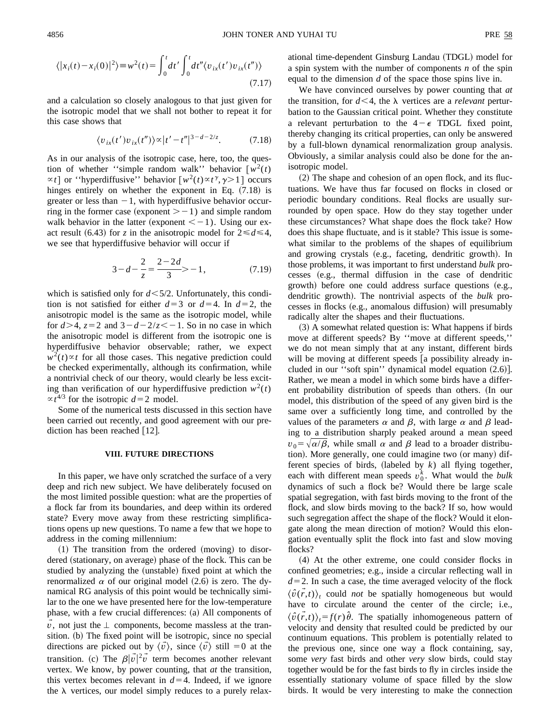$$
\langle |x_i(t) - x_i(0)|^2 \rangle \equiv w^2(t) = \int_0^t dt' \int_0^t dt'' \langle v_{ix}(t') v_{ix}(t'') \rangle
$$

 $(7.17)$ and a calculation so closely analogous to that just given for

the isotropic model that we shall not bother to repeat it for this case shows that

$$
\langle v_{ix}(t')v_{ix}(t'')\rangle \propto |t'-t''|^{3-d-2/z}.\tag{7.18}
$$

As in our analysis of the isotropic case, here, too, the question of whether "simple random walk" behavior  $[w^2(t)]$  $\alpha$ *t*] or ''hyperdiffusive'' behavior  $[w^2(t) \alpha t^{\gamma}, \gamma > 1]$  occurs hinges entirely on whether the exponent in Eq.  $(7.18)$  is greater or less than  $-1$ , with hyperdiffusive behavior occurring in the former case (exponent  $\geq -1$ ) and simple random walk behavior in the latter (exponent  $<-1$ ). Using our exact result (6.43) for *z* in the anisotropic model for  $2 \le d \le 4$ , we see that hyperdiffusive behavior will occur if

$$
3-d-\frac{2}{z}=\frac{2-2d}{3} > -1, \tag{7.19}
$$

which is satisfied only for  $d < 5/2$ . Unfortunately, this condition is not satisfied for either  $d=3$  or  $d=4$ . In  $d=2$ , the anisotropic model is the same as the isotropic model, while for  $d > 4$ ,  $z = 2$  and  $3-d-2/z < -1$ . So in no case in which the anisotropic model is different from the isotropic one is hyperdiffusive behavior observable; rather, we expect  $w^{2}(t) \propto t$  for all those cases. This negative prediction could be checked experimentally, although its confirmation, while a nontrivial check of our theory, would clearly be less exciting than verification of our hyperdiffusive prediction  $w^2(t)$  $\propto t^{4/3}$  for the isotropic  $d=2$  model.

Some of the numerical tests discussed in this section have been carried out recently, and good agreement with our prediction has been reached  $[12]$ .

### **VIII. FUTURE DIRECTIONS**

In this paper, we have only scratched the surface of a very deep and rich new subject. We have deliberately focused on the most limited possible question: what are the properties of a flock far from its boundaries, and deep within its ordered state? Every move away from these restricting simplifications opens up new questions. To name a few that we hope to address in the coming millennium:

 $(1)$  The transition from the ordered (moving) to disordered (stationary, on average) phase of the flock. This can be studied by analyzing the (unstable) fixed point at which the renormalized  $\alpha$  of our original model (2.6) is zero. The dynamical RG analysis of this point would be technically similar to the one we have presented here for the low-temperature phase, with a few crucial differences: (a) All components of  $v<sub>x</sub>$ , not just the  $\perp$  components, become massless at the transition. (b) The fixed point will be isotropic, since no special directions are picked out by  $\langle v \rangle$ , since  $\langle v \rangle$  still =0 at the transition. (c) The  $\beta |\vec{v}|^2 \vec{v}$  term becomes another relevant vertex. We know, by power counting, that *at* the transition, this vertex becomes relevant in  $d=4$ . Indeed, if we ignore the  $\lambda$  vertices, our model simply reduces to a purely relax-

ational time-dependent Ginsburg Landau (TDGL) model for a spin system with the number of components *n* of the spin equal to the dimension *d* of the space those spins live in.

We have convinced ourselves by power counting that *at* the transition, for  $d < 4$ , the  $\lambda$  vertices are a *relevant* perturbation to the Gaussian critical point. Whether they constitute a relevant perturbation to the  $4-\epsilon$  TDGL fixed point, thereby changing its critical properties, can only be answered by a full-blown dynamical renormalization group analysis. Obviously, a similar analysis could also be done for the anisotropic model.

 $(2)$  The shape and cohesion of an open flock, and its fluctuations. We have thus far focused on flocks in closed or periodic boundary conditions. Real flocks are usually surrounded by open space. How do they stay together under these circumstances? What shape does the flock take? How does this shape fluctuate, and is it stable? This issue is somewhat similar to the problems of the shapes of equilibrium and growing crystals (e.g., faceting, dendritic growth). In those problems, it was important to first understand *bulk* processes (e.g., thermal diffusion in the case of dendritic growth) before one could address surface questions (e.g., dendritic growth). The nontrivial aspects of the *bulk* processes in flocks (e.g., anomalous diffusion) will presumably radically alter the shapes and their fluctuations.

 $(3)$  A somewhat related question is: What happens if birds move at different speeds? By ''move at different speeds,'' we do not mean simply that at any instant, different birds will be moving at different speeds  $\lceil a \rceil$  possibility already included in our "soft spin" dynamical model equation  $(2.6)$ ]. Rather, we mean a model in which some birds have a different probability distribution of speeds than others. (In our model, this distribution of the speed of any given bird is the same over a sufficiently long time, and controlled by the values of the parameters  $\alpha$  and  $\beta$ , with large  $\alpha$  and  $\beta$  leading to a distribution sharply peaked around a mean speed  $v_0 = \sqrt{\alpha/\beta}$ , while small  $\alpha$  and  $\beta$  lead to a broader distribution). More generally, one could imagine two (or many) different species of birds, (labeled by  $k$ ) all flying together, each with different mean speeds  $v_0^k$ . What would the *bulk* dynamics of such a flock be? Would there be large scale spatial segregation, with fast birds moving to the front of the flock, and slow birds moving to the back? If so, how would such segregation affect the shape of the flock? Would it elongate along the mean direction of motion? Would this elongation eventually split the flock into fast and slow moving flocks?

~4! At the other extreme, one could consider flocks in confined geometries; e.g., inside a circular reflecting wall in  $d=2$ . In such a case, the time averaged velocity of the flock  $\langle \hat{v}(\vec{r},t) \rangle_t$  could *not* be spatially homogeneous but would have to circulate around the center of the circle; i.e.,  $\langle \hat{v}(\vec{r},t) \rangle_t = f(r) \hat{\theta}$ . The spatially inhomogeneous pattern of velocity and density that resulted could be predicted by our continuum equations. This problem is potentially related to the previous one, since one way a flock containing, say, some *very* fast birds and other *very* slow birds, could stay together would be for the fast birds to fly in circles inside the essentially stationary volume of space filled by the slow birds. It would be very interesting to make the connection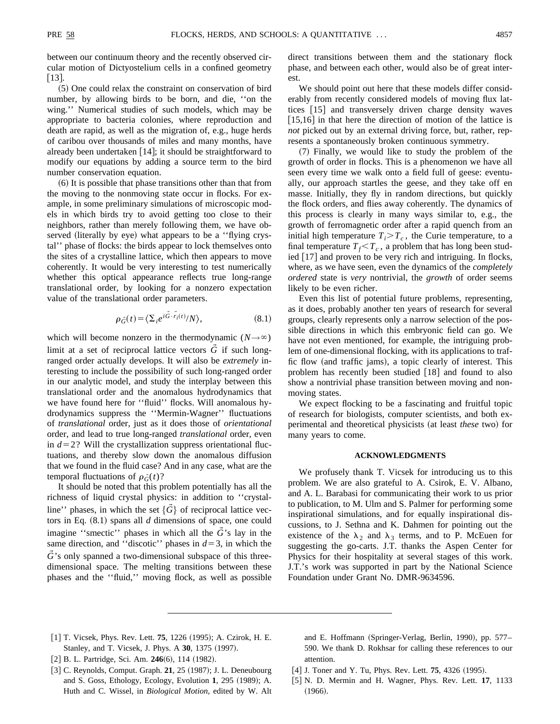between our continuum theory and the recently observed circular motion of Dictyostelium cells in a confined geometry  $|13|$ .

~5! One could relax the constraint on conservation of bird number, by allowing birds to be born, and die, ''on the wing.'' Numerical studies of such models, which may be appropriate to bacteria colonies, where reproduction and death are rapid, as well as the migration of, e.g., huge herds of caribou over thousands of miles and many months, have already been undertaken  $[14]$ ; it should be straightforward to modify our equations by adding a source term to the bird number conservation equation.

~6! It is possible that phase transitions other than that from the moving to the nonmoving state occur in flocks. For example, in some preliminary simulations of microscopic models in which birds try to avoid getting too close to their neighbors, rather than merely following them, we have observed (literally by eye) what appears to be a "flying crystal'' phase of flocks: the birds appear to lock themselves onto the sites of a crystalline lattice, which then appears to move coherently. It would be very interesting to test numerically whether this optical appearance reflects true long-range translational order, by looking for a nonzero expectation value of the translational order parameters.

$$
\rho_{\vec{G}}(t) = \langle \sum_{i} e^{i\vec{G} \cdot \vec{r}_i(t)} / N \rangle, \tag{8.1}
$$

which will become nonzero in the thermodynamic  $(N \rightarrow \infty)$ limit at a set of reciprocal lattice vectors  $G$  if such longranged order actually develops. It will also be *extremely* interesting to include the possibility of such long-ranged order in our analytic model, and study the interplay between this translational order and the anomalous hydrodynamics that we have found here for ''fluid'' flocks. Will anomalous hydrodynamics suppress the ''Mermin-Wagner'' fluctuations of *translational* order, just as it does those of *orientational* order, and lead to true long-ranged *translational* order, even in  $d=2$ ? Will the crystallization suppress orientational fluctuations, and thereby slow down the anomalous diffusion that we found in the fluid case? And in any case, what are the temporal fluctuations of  $\rho_G^*(t)$ ?

It should be noted that this problem potentially has all the richness of liquid crystal physics: in addition to ''crystalline'' phases, in which the set  $\{G\}$  of reciprocal lattice vectors in Eq.  $(8.1)$  spans all  $d$  dimensions of space, one could imagine "smectic" phases in which all the  $\ddot{G}$ 's lay in the same direction, and "discotic" phases in  $d=3$ , in which the  $\hat{G}$ 's only spanned a two-dimensional subspace of this threedimensional space. The melting transitions between these phases and the ''fluid,'' moving flock, as well as possible

direct transitions between them and the stationary flock phase, and between each other, would also be of great interest.

We should point out here that these models differ considerably from recently considered models of moving flux lattices [15] and transversely driven charge density waves  $[15,16]$  in that here the direction of motion of the lattice is *not* picked out by an external driving force, but, rather, represents a spontaneously broken continuous symmetry.

~7! Finally, we would like to study the problem of the growth of order in flocks. This is a phenomenon we have all seen every time we walk onto a field full of geese: eventually, our approach startles the geese, and they take off en masse. Initially, they fly in random directions, but quickly the flock orders, and flies away coherently. The dynamics of this process is clearly in many ways similar to, e.g., the growth of ferromagnetic order after a rapid quench from an initial high temperature  $T_i > T_c$ , the Curie temperature, to a final temperature  $T_f < T_c$ , a problem that has long been studied  $[17]$  and proven to be very rich and intriguing. In flocks, where, as we have seen, even the dynamics of the *completely ordered* state is *very* nontrivial, the *growth* of order seems likely to be even richer.

Even this list of potential future problems, representing, as it does, probably another ten years of research for several groups, clearly represents only a narrow selection of the possible directions in which this embryonic field can go. We have not even mentioned, for example, the intriguing problem of one-dimensional flocking, with its applications to traffic flow (and traffic jams), a topic clearly of interest. This problem has recently been studied  $[18]$  and found to also show a nontrivial phase transition between moving and nonmoving states.

We expect flocking to be a fascinating and fruitful topic of research for biologists, computer scientists, and both experimental and theoretical physicists (at least *these* two) for many years to come.

### **ACKNOWLEDGMENTS**

We profusely thank T. Vicsek for introducing us to this problem. We are also grateful to A. Csirok, E. V. Albano, and A. L. Barabasi for communicating their work to us prior to publication, to M. Ulm and S. Palmer for performing some inspirational simulations, and for equally inspirational discussions, to J. Sethna and K. Dahmen for pointing out the existence of the  $\lambda_2$  and  $\lambda_3$  terms, and to P. McEuen for suggesting the go-carts. J.T. thanks the Aspen Center for Physics for their hospitality at several stages of this work. J.T.'s work was supported in part by the National Science Foundation under Grant No. DMR-9634596.

- [1] T. Vicsek, Phys. Rev. Lett. **75**, 1226 (1995); A. Czirok, H. E. Stanley, and T. Vicsek, J. Phys. A 30, 1375 (1997).
- [2] B. L. Partridge, Sci. Am. 246(6), 114 (1982).
- [3] C. Reynolds, Comput. Graph. **21**, 25 (1987); J. L. Deneubourg and S. Goss, Ethology, Ecology, Evolution 1, 295 (1989); A. Huth and C. Wissel, in *Biological Motion*, edited by W. Alt

and E. Hoffmann (Springer-Verlag, Berlin, 1990), pp. 577– 590. We thank D. Rokhsar for calling these references to our attention.

- [4] J. Toner and Y. Tu, Phys. Rev. Lett. **75**, 4326 (1995).
- [5] N. D. Mermin and H. Wagner, Phys. Rev. Lett. **17**, 1133  $(1966).$